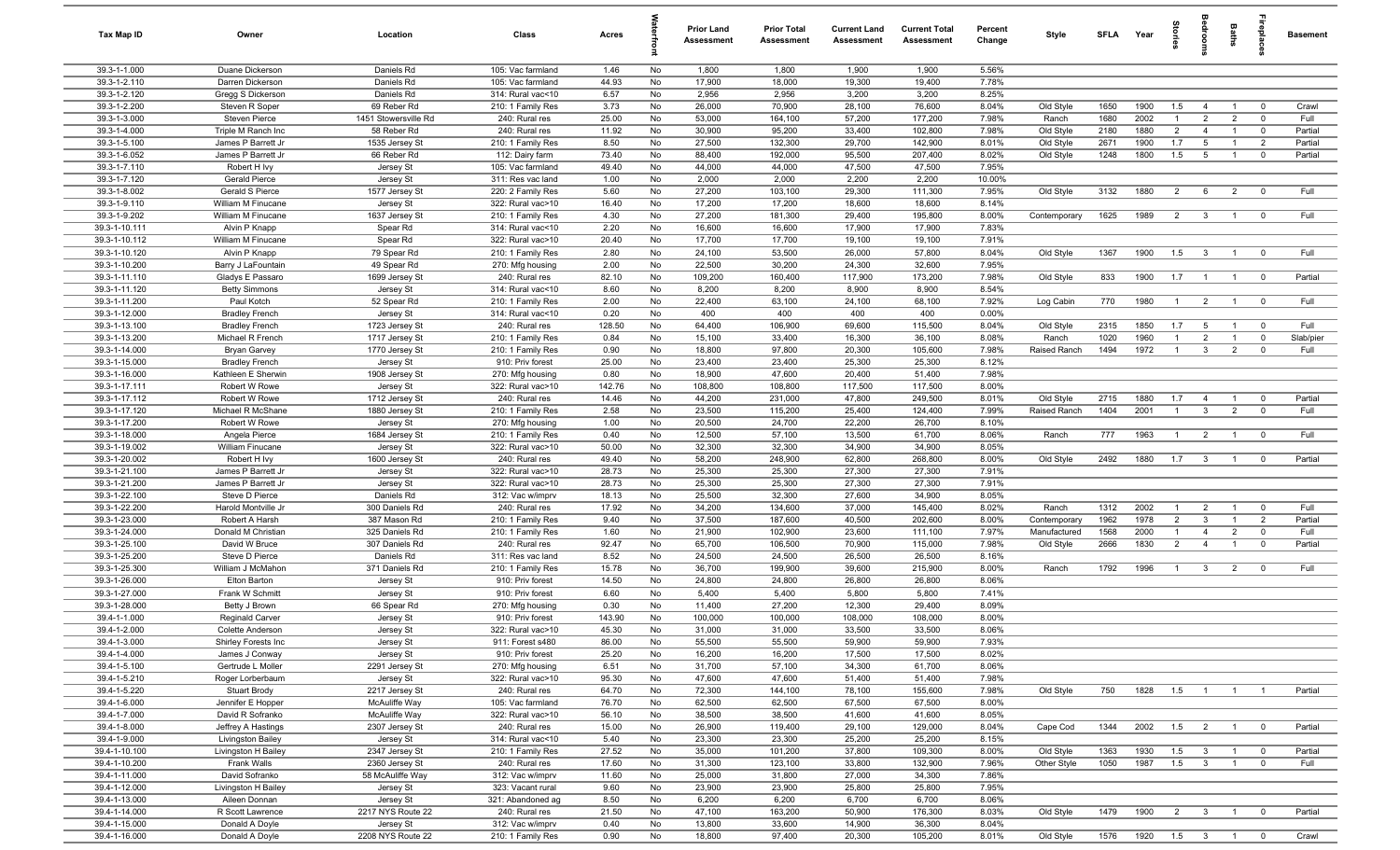| <b>Tax Map ID</b>              | Owner                                 | Location                            | Class                                 | Acres          |          | Prior Land<br><b>Assessment</b> | <b>Prior Total</b><br>Assessment | <b>Current Land</b><br><b>Assessment</b> | <b>Current Total</b><br><b>Assessment</b> | Percent<br>Change | Style                        | SFLA         | Year            | 흞                                | edroo                            | Baths                            | Lebia                         | <b>Basement</b> |
|--------------------------------|---------------------------------------|-------------------------------------|---------------------------------------|----------------|----------|---------------------------------|----------------------------------|------------------------------------------|-------------------------------------------|-------------------|------------------------------|--------------|-----------------|----------------------------------|----------------------------------|----------------------------------|-------------------------------|-----------------|
| 39.3-1-1.000                   | Duane Dickerson                       | Daniels Rd                          | 105: Vac farmland                     | 1.46           | No       | 1,800                           | 1,800                            | 1,900                                    | 1,900                                     | 5.56%             |                              |              |                 |                                  |                                  |                                  |                               |                 |
| 39.3-1-2.110                   | Darren Dickerson                      | Daniels Rd                          | 105: Vac farmland                     | 44.93          | No       | 17,900                          | 18,000                           | 19,300                                   | 19,400                                    | 7.78%             |                              |              |                 |                                  |                                  |                                  |                               |                 |
| 39.3-1-2.120                   | Gregg S Dickerson                     | Daniels Rd                          | 314: Rural vac<10                     | 6.57           | No       | 2,956                           | 2,956                            | 3,200                                    | 3,200                                     | 8.25%             |                              |              |                 |                                  |                                  |                                  |                               |                 |
| 39.3-1-2.200<br>39.3-1-3.000   | Steven R Soper                        | 69 Reber Rd                         | 210: 1 Family Res                     | 3.73<br>25.00  | No<br>No | 26,000<br>53,000                | 70,900<br>164,100                | 28,100<br>57,200                         | 76,600<br>177,200                         | 8.04%<br>7.98%    | Old Style                    | 1650<br>1680 | 1900<br>2002    | 1.5<br>$\mathbf{1}$              | $\overline{4}$<br>$\overline{2}$ | $\overline{1}$<br>$\overline{2}$ | $\mathbf 0$<br>$\overline{0}$ | Crawl<br>Full   |
| 39.3-1-4.000                   | Steven Pierce<br>Triple M Ranch Inc   | 1451 Stowersville Rd<br>58 Reber Rd | 240: Rural res<br>240: Rural res      | 11.92          | No       | 30,900                          | 95,200                           | 33,400                                   | 102,800                                   | 7.98%             | Ranch<br>Old Style           | 2180         | 1880            | $\overline{2}$                   | $\overline{4}$                   | $\overline{1}$                   | $\overline{0}$                | Partial         |
| 39.3-1-5.100                   | James P Barrett Jr                    | 1535 Jersey St                      | 210: 1 Family Res                     | 8.50           | No       | 27,500                          | 132,300                          | 29,700                                   | 142,900                                   | 8.01%             | Old Style                    | 2671         | 1900            | 1.7                              | $5\overline{)}$                  | $\overline{1}$                   | $\overline{2}$                | Partial         |
| 39.3-1-6.052                   | James P Barrett Jr                    | 66 Reber Rd                         | 112: Dairy farm                       | 73.40          | No       | 88,400                          | 192,000                          | 95,500                                   | 207,400                                   | 8.02%             | Old Style                    | 1248         | 1800            | 1.5                              | $5\overline{5}$                  | $\overline{1}$                   | $\mathbf{0}$                  | Partial         |
| 39.3-1-7.110                   | Robert H Ivy                          | Jersey St                           | 105: Vac farmland                     | 49.40          | No       | 44,000                          | 44,000                           | 47,500                                   | 47,500                                    | 7.95%             |                              |              |                 |                                  |                                  |                                  |                               |                 |
| 39.3-1-7.120                   | Gerald Pierce                         | Jersey St                           | 311: Res vac land                     | 1.00           | No       | 2,000                           | 2,000                            | 2,200                                    | 2,200                                     | 10.00%            |                              |              |                 |                                  |                                  |                                  |                               |                 |
| 39.3-1-8.002                   | Gerald S Pierce                       | 1577 Jersey St                      | 220: 2 Family Res                     | 5.60           | No       | 27,200                          | 103,100                          | 29,300                                   | 111,300                                   | 7.95%             | Old Style                    | 3132         | 1880            | 2                                | 6                                | $\overline{2}$                   | $^{\circ}$                    | Full            |
| 39.3-1-9.110                   | William M Finucane                    | Jersey St                           | 322: Rural vac>10                     | 16.40          | No       | 17,200                          | 17,200                           | 18,600                                   | 18,600                                    | 8.14%             |                              |              |                 |                                  |                                  |                                  |                               |                 |
| 39.3-1-9.202                   | William M Finucane                    | 1637 Jersey St                      | 210: 1 Family Res                     | 4.30           | No       | 27,200                          | 181,300                          | 29,400                                   | 195,800                                   | 8.00%             | Contemporary                 | 1625         | 1989            | $\overline{2}$                   | $\overline{\mathbf{3}}$          | $\overline{1}$                   | $\mathbf 0$                   | Full            |
| 39.3-1-10.111                  | Alvin P Knapp                         | Spear Rd                            | 314: Rural vac<10                     | 2.20           | No       | 16,600                          | 16,600                           | 17,900                                   | 17,900                                    | 7.83%             |                              |              |                 |                                  |                                  |                                  |                               |                 |
| 39.3-1-10.112                  | William M Finucane                    | Spear Rd                            | 322: Rural vac>10                     | 20.40          | No       | 17,700                          | 17,700                           | 19,100                                   | 19,100                                    | 7.91%             |                              |              |                 |                                  |                                  |                                  |                               | Full            |
| 39.3-1-10.120<br>39.3-1-10.200 | Alvin P Knapp<br>Barry J LaFountain   | 79 Spear Rd<br>49 Spear Rd          | 210: 1 Family Res<br>270: Mfg housing | 2.80<br>2.00   | No<br>No | 24,100<br>22,500                | 53,500<br>30,200                 | 26,000<br>24,300                         | 57,800<br>32,600                          | 8.04%<br>7.95%    | Old Style                    | 1367         | 1900            | 1.5                              | $\mathbf{3}$                     | $\overline{1}$                   | $\mathbf 0$                   |                 |
| 39.3-1-11.110                  | Gladys E Passaro                      | 1699 Jersey St                      | 240: Rural res                        | 82.10          | No       | 109,200                         | 160,400                          | 117,900                                  | 173,200                                   | 7.98%             | Old Style                    | 833          | 1900            | 1.7                              | $\overline{1}$                   | $\overline{1}$                   | $\overline{\mathbf{0}}$       | Partial         |
| 39.3-1-11.120                  | <b>Betty Simmons</b>                  | Jersey St                           | 314: Rural vac<10                     | 8.60           | No       | 8,200                           | 8,200                            | 8,900                                    | 8,900                                     | 8.54%             |                              |              |                 |                                  |                                  |                                  |                               |                 |
| 39.3-1-11.200                  | Paul Kotch                            | 52 Spear Rd                         | 210: 1 Family Res                     | 2.00           | No       | 22,400                          | 63,100                           | 24,100                                   | 68,100                                    | 7.92%             | Log Cabin                    | 770          | 1980            | $\overline{1}$                   | $\overline{2}$                   | $\overline{1}$                   | $\overline{\mathbf{0}}$       | Full            |
| 39.3-1-12.000                  | <b>Bradley French</b>                 | Jersey St                           | 314: Rural vac<10                     | 0.20           | No       | 400                             | 400                              | 400                                      | 400                                       | 0.00%             |                              |              |                 |                                  |                                  |                                  |                               |                 |
| 39.3-1-13.100                  | <b>Bradley French</b>                 | 1723 Jersey St                      | 240: Rural res                        | 128.50         | No       | 64,400                          | 106,900                          | 69,600                                   | 115,500                                   | 8.04%             | Old Style                    | 2315         | 1850            | 1.7                              | 5                                | $\overline{1}$                   | $\mathbf 0$                   | Full            |
| 39.3-1-13.200                  | Michael R French                      | 1717 Jersey St                      | 210: 1 Family Res                     | 0.84           | No       | 15,100                          | 33,400                           | 16,300                                   | 36,100                                    | 8.08%             | Ranch                        | 1020         | 1960            | $\overline{1}$                   | $\overline{2}$                   | $\overline{1}$                   | $\mathbf 0$                   | Slab/pier       |
| 39.3-1-14.000                  | <b>Bryan Garvey</b>                   | 1770 Jersey St                      | 210: 1 Family Res                     | 0.90           | No       | 18,800                          | 97,800                           | 20,300                                   | 105,600                                   | 7.98%             | Raised Ranch                 | 1494         | 1972            | $\overline{1}$                   | $\mathbf{3}$                     | $\overline{2}$                   | $\mathbf 0$                   | Full            |
| 39.3-1-15.000                  | <b>Bradley French</b>                 | Jersey St                           | 910: Priv forest                      | 25.00          | No       | 23,400                          | 23,400                           | 25,300                                   | 25,300                                    | 8.12%             |                              |              |                 |                                  |                                  |                                  |                               |                 |
| 39.3-1-16.000<br>39.3-1-17.111 | Kathleen E Sherwin<br>Robert W Rowe   | 1908 Jersey St                      | 270: Mfg housing<br>322: Rural vac>10 | 0.80<br>142.76 | No<br>No | 18,900<br>108,800               | 47,600<br>108,800                | 20,400<br>117,500                        | 51,400<br>117,500                         | 7.98%<br>8.00%    |                              |              |                 |                                  |                                  |                                  |                               |                 |
| 39.3-1-17.112                  | Robert W Rowe                         | Jersey St<br>1712 Jersey St         | 240: Rural res                        | 14.46          | No       | 44,200                          | 231,000                          | 47,800                                   | 249,500                                   | 8.01%             | Old Style                    | 2715         | 1880            | 1.7                              | $\overline{4}$                   | $\overline{1}$                   | $^{\circ}$                    | Partial         |
| 39.3-1-17.120                  | Michael R McShane                     | 1880 Jersey St                      | 210: 1 Family Res                     | 2.58           | No       | 23,500                          | 115,200                          | 25,400                                   | 124,400                                   | 7.99%             | Raised Ranch                 | 1404         | 2001            | $\mathbf{1}$                     | $\mathbf{3}$                     | $\overline{2}$                   | $\mathbf 0$                   | Full            |
| 39.3-1-17.200                  | Robert W Rowe                         | Jersey St                           | 270: Mfg housing                      | 1.00           | No       | 20,500                          | 24,700                           | 22,200                                   | 26,700                                    | 8.10%             |                              |              |                 |                                  |                                  |                                  |                               |                 |
| 39.3-1-18.000                  | Angela Pierce                         | 1684 Jersey St                      | 210: 1 Family Res                     | 0.40           | No       | 12,500                          | 57,100                           | 13,500                                   | 61,700                                    | 8.06%             | Ranch                        | 777          | 1963            | $\overline{1}$                   | $\overline{2}$                   | $\overline{1}$                   | $\overline{\mathbf{0}}$       | Full            |
| 39.3-1-19.002                  | William Finucane                      | Jersey St                           | 322: Rural vac>10                     | 50.00          | No       | 32,300                          | 32,300                           | 34,900                                   | 34,900                                    | 8.05%             |                              |              |                 |                                  |                                  |                                  |                               |                 |
| 39.3-1-20.002                  | Robert H Ivy                          | 1600 Jersey St                      | 240: Rural res                        | 49.40          | No       | 58,200                          | 248,900                          | 62,800                                   | 268,800                                   | 8.00%             | Old Style                    | 2492         | 1880            | 1.7                              | $\mathbf{3}$                     | $\overline{1}$                   | $\mathbf 0$                   | Partial         |
| 39.3-1-21.100                  | James P Barrett Jr                    | Jersey St                           | 322: Rural vac>10                     | 28.73          | No       | 25,300                          | 25,300                           | 27,300                                   | 27,300                                    | 7.91%             |                              |              |                 |                                  |                                  |                                  |                               |                 |
| 39.3-1-21.200                  | James P Barrett Jr                    | Jersey St                           | 322: Rural vac>10                     | 28.73          | No       | 25,300                          | 25,300                           | 27,300                                   | 27,300                                    | 7.91%             |                              |              |                 |                                  |                                  |                                  |                               |                 |
| 39.3-1-22.100                  | Steve D Pierce                        | Daniels Rd                          | 312: Vac w/imprv                      | 18.13          | No       | 25,500                          | 32,300                           | 27,600                                   | 34,900                                    | 8.05%             |                              |              |                 |                                  |                                  |                                  |                               |                 |
| 39.3-1-22.200<br>39.3-1-23.000 | Harold Montville Jr<br>Robert A Harsh | 300 Daniels Rd<br>387 Mason Rd      | 240: Rural res<br>210: 1 Family Res   | 17.92          | No       | 34,200<br>37,500                | 134,600<br>187,600               | 37,000<br>40,500                         | 145,400<br>202,600                        | 8.02%<br>8.00%    | Ranch                        | 1312<br>1962 | 2002<br>1978    | $\overline{1}$<br>$\overline{2}$ | $\overline{2}$<br>$\mathbf{3}$   | $\overline{1}$<br>$\overline{1}$ | $\mathbf 0$<br>$\overline{2}$ | Full<br>Partial |
| 39.3-1-24.000                  | Donald M Christian                    | 325 Daniels Rd                      | 210: 1 Family Res                     | 9.40<br>1.60   | No<br>No | 21,900                          | 102,900                          | 23,600                                   | 111,100                                   | 7.97%             | Contemporary<br>Manufactured | 1568         | 2000            | $\overline{1}$                   | $\overline{4}$                   | $\overline{2}$                   | $^{\circ}$                    | Full            |
| 39.3-1-25.100                  | David W Bruce                         | 307 Daniels Rd                      | 240: Rural res                        | 92.47          | No       | 65,700                          | 106,500                          | 70,900                                   | 115,000                                   | 7.98%             | Old Style                    | 2666         | 1830            | $\overline{2}$                   | $\overline{4}$                   | $\overline{1}$                   | $\mathbf 0$                   | Partial         |
| 39.3-1-25.200                  | Steve D Pierce                        | Daniels Rd                          | 311: Res vac land                     | 8.52           | No       | 24,500                          | 24,500                           | 26,500                                   | 26,500                                    | 8.16%             |                              |              |                 |                                  |                                  |                                  |                               |                 |
| 39.3-1-25.300                  | William J McMahon                     | 371 Daniels Rd                      | 210: 1 Family Res                     | 15.78          | No       | 36,700                          | 199,900                          | 39,600                                   | 215,900                                   | 8.00%             | Ranch                        | 1792         | 1996            | $\overline{1}$                   | $\overline{\mathbf{3}}$          | $\overline{2}$                   | $\mathbf{0}$                  | Full            |
| 39.3-1-26.000                  | Elton Barton                          | Jersey St                           | 910: Priv forest                      | 14.50          | No       | 24,800                          | 24,800                           | 26,800                                   | 26,800                                    | 8.06%             |                              |              |                 |                                  |                                  |                                  |                               |                 |
| 39.3-1-27.000                  | Frank W Schmitt                       | Jersey St                           | 910: Priv forest                      | 6.60           | No       | 5,400                           | 5,400                            | 5,800                                    | 5,800                                     | 7.41%             |                              |              |                 |                                  |                                  |                                  |                               |                 |
| 39.3-1-28.000                  | Betty J Brown                         | 66 Spear Rd                         | 270: Mfg housing                      | 0.30           | No       | 11,400                          | 27,200                           | 12,300                                   | 29,400                                    | 8.09%             |                              |              |                 |                                  |                                  |                                  |                               |                 |
| 39.4-1-1.000                   | Reginald Carver                       | Jersey St                           | 910: Priv forest                      | 143.90         | No       | 100,000                         | 100,000                          | 108,000                                  | 108,000                                   | 8.00%             |                              |              |                 |                                  |                                  |                                  |                               |                 |
| 39.4-1-2.000                   | Colette Anderson                      | Jersey St                           | 322: Rural vac>10                     | 45.30          | No.      | 31,000                          | 31,000                           | 33,500                                   | 33,500                                    | 8.06%             |                              |              |                 |                                  |                                  |                                  |                               |                 |
| 39.4-1-3.000<br>39.4-1-4.000   | Shirley Forests Inc<br>James J Conway | Jersey St<br>Jersey St              | 911: Forest s480<br>910: Priv forest  | 86.00<br>25.20 | No<br>No | 55,500<br>16,200                | 55,500<br>16,200                 | 59,900<br>17,500                         | 59,900<br>17,500                          | 7.93%<br>8.02%    |                              |              |                 |                                  |                                  |                                  |                               |                 |
| 39.4-1-5.100                   | Gertrude L Moller                     | 2291 Jersey St                      | 270: Mfg housing                      | 6.51           | No       | 31,700                          | 57,100                           | 34,300                                   | 61,700                                    | 8.06%             |                              |              |                 |                                  |                                  |                                  |                               |                 |
| 39.4-1-5.210                   | Roger Lorberbaum                      | Jersey St                           | 322: Rural vac>10                     | 95.30          | No       | 47,600                          | 47,600                           | 51,400                                   | 51,400                                    | 7.98%             |                              |              |                 |                                  |                                  |                                  |                               |                 |
| 39.4-1-5.220                   | Stuart Brody                          | 2217 Jersey St                      | 240: Rural res                        | 64.70          | No       | 72,300                          | 144,100                          | 78,100                                   | 155,600                                   | 7.98%             | Old Style                    | 750          | 1828            | 1.5                              | $\blacksquare$                   | $\overline{1}$                   | $\overline{1}$                | Partial         |
| 39.4-1-6.000                   | Jennifer E Hopper                     | McAuliffe Way                       | 105: Vac farmland                     | 76.70          | No       | 62,500                          | 62,500                           | 67,500                                   | 67,500                                    | 8.00%             |                              |              |                 |                                  |                                  |                                  |                               |                 |
| 39.4-1-7.000                   | David R Sofranko                      | McAuliffe Way                       | 322: Rural vac>10                     | 56.10          | No       | 38,500                          | 38,500                           | 41,600                                   | 41,600                                    | 8.05%             |                              |              |                 |                                  |                                  |                                  |                               |                 |
| 39.4-1-8.000                   | Jeffrey A Hastings                    | 2307 Jersey St                      | 240: Rural res                        | 15.00          | No       | 26,900                          | 119,400                          | 29,100                                   | 129,000                                   | 8.04%             | Cape Cod                     | 1344         | 2002            | 1.5                              | $\overline{2}$                   | $\overline{1}$                   | $\overline{0}$                | Partial         |
| 39.4-1-9.000                   | Livingston Bailey                     | Jersey St                           | 314: Rural vac<10                     | 5.40           | No       | 23,300                          | 23,300                           | 25,200                                   | 25,200                                    | 8.15%             |                              |              |                 |                                  |                                  |                                  |                               |                 |
| 39.4-1-10.100                  | Livingston H Bailey                   | 2347 Jersey St                      | 210: 1 Family Res                     | 27.52          | No       | 35,000                          | 101,200                          | 37,800                                   | 109,300                                   | 8.00%             | Old Style                    | 1363         | 1930            | 1.5                              | $\mathbf{3}$                     | $\overline{1}$                   | $\overline{\mathbf{0}}$       | Partial         |
| 39.4-1-10.200<br>39.4-1-11.000 | Frank Walls<br>David Sofranko         | 2360 Jersey St<br>58 McAuliffe Way  | 240: Rural res<br>312: Vac w/imprv    | 17.60<br>11.60 | No<br>No | 31,300<br>25,000                | 123,100<br>31,800                | 33,800<br>27,000                         | 132,900<br>34,300                         | 7.96%<br>7.86%    | Other Style                  | 1050         | 1987            | 1.5                              | $\overline{\mathbf{3}}$          | $\overline{1}$                   | $\mathbf 0$                   | Full            |
| 39.4-1-12.000                  | Livingston H Bailey                   | Jersey St                           | 323: Vacant rural                     | 9.60           | No       | 23,900                          | 23,900                           | 25,800                                   | 25,800                                    | 7.95%             |                              |              |                 |                                  |                                  |                                  |                               |                 |
| 39.4-1-13.000                  | Aileen Donnan                         | Jersey St                           | 321: Abandoned ag                     | 8.50           | No       | 6,200                           | 6,200                            | 6,700                                    | 6,700                                     | 8.06%             |                              |              |                 |                                  |                                  |                                  |                               |                 |
| 39.4-1-14.000                  | R Scott Lawrence                      | 2217 NYS Route 22                   | 240: Rural res                        | 21.50          | No       | 47,100                          | 163,200                          | 50,900                                   | 176,300                                   | 8.03%             | Old Style                    | 1479         | 1900            | $\overline{2}$                   | 3 <sup>1</sup>                   | $\overline{1}$                   | $\overline{0}$                | Partial         |
| 39.4-1-15.000                  | Donald A Doyle                        | Jersey St                           | 312: Vac w/imprv                      | 0.40           | No       | 13,800                          | 33,600                           | 14,900                                   | 36,300                                    | 8.04%             |                              |              |                 |                                  |                                  |                                  |                               |                 |
| 39.4-1-16.000                  | Donald A Doyle                        | 2208 NYS Route 22                   | 210: 1 Family Res                     | 0.90           | No       | 18,800                          | 97,400                           | 20,300                                   | 105,200                                   | 8.01%             | Old Style                    | 1576         | 1920  1.5  3  1 |                                  |                                  |                                  | $\overline{\mathbf{0}}$       | Crawl           |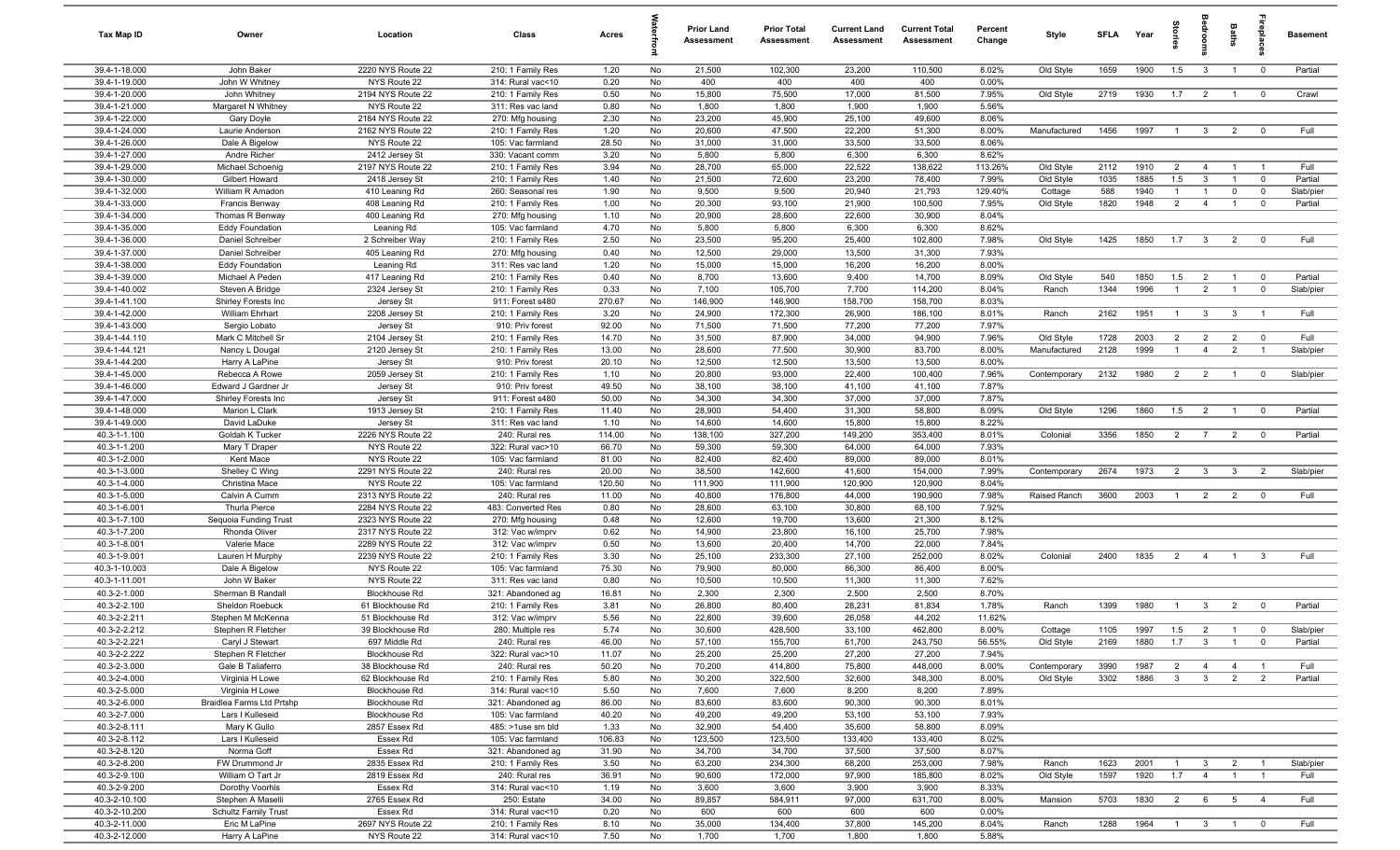| Tax Map ID                     | Owner                                | Location                               | Class                                  | Acres          |          | <b>Prior Land</b><br><b>Assessment</b> | <b>Prior Total</b><br>Assessment | <b>Current Land</b><br>Assessment | <b>Current Total</b><br><b>Assessment</b> | Percent<br>Change | Style                     | <b>SFLA</b>  | Year         | ğ                              | groo                             | Baths                            | eble                             | <b>Basement</b> |
|--------------------------------|--------------------------------------|----------------------------------------|----------------------------------------|----------------|----------|----------------------------------------|----------------------------------|-----------------------------------|-------------------------------------------|-------------------|---------------------------|--------------|--------------|--------------------------------|----------------------------------|----------------------------------|----------------------------------|-----------------|
| 39.4-1-18.000                  | John Baker                           | 2220 NYS Route 22                      | 210: 1 Family Res                      | 1.20           | No       | 21,500                                 | 102,300                          | 23,200                            | 110,500                                   | 8.02%             | Old Style                 | 1659         | 1900         | 1.5                            | $\overline{\mathbf{3}}$          | $\overline{1}$                   | $^{\circ}$                       | Partial         |
| 39.4-1-19.000                  | John W Whitney                       | NYS Route 22                           | 314: Rural vac<10                      | 0.20           | No       | 400                                    | 400                              | 400                               | 400                                       | 0.00%             |                           |              |              |                                |                                  |                                  |                                  |                 |
| 39.4-1-20.000                  | John Whitney                         | 2194 NYS Route 22                      | 210: 1 Family Res                      | 0.50           | No       | 15,800                                 | 75,500                           | 17,000                            | 81,500                                    | 7.95%             | Old Style                 | 2719         | 1930         | 1.7                            | $\overline{2}$                   | $\overline{1}$                   | $\overline{0}$                   | Crawl           |
| 39.4-1-21.000                  | Margaret N Whitney                   | NYS Route 22                           | 311: Res vac land                      | 0.80           | No       | 1,800                                  | 1,800                            | 1,900                             | 1,900                                     | 5.56%             |                           |              |              |                                |                                  |                                  |                                  |                 |
| 39.4-1-22.000                  | Gary Doyle                           | 2184 NYS Route 22                      | 270: Mfg housing                       | 2.30           | No       | 23,200                                 | 45,900                           | 25,100                            | 49,600                                    | 8.06%             |                           |              |              |                                |                                  |                                  |                                  | Full            |
| 39.4-1-24.000<br>39.4-1-26.000 | Laurie Anderson                      | 2162 NYS Route 22<br>NYS Route 22      | 210: 1 Family Res<br>105: Vac farmland | 1.20<br>28.50  | No       | 20,600<br>31,000                       | 47,500<br>31,000                 | 22,200<br>33,500                  | 51,300<br>33,500                          | 8.00%<br>8.06%    | Manufactured              | 1456         | 1997         | $\overline{1}$                 | $\mathbf{3}$                     | 2                                | $\mathbf 0$                      |                 |
| 39.4-1-27.000                  | Dale A Bigelow<br>Andre Richer       | 2412 Jersey St                         | 330: Vacant comm                       | 3.20           | No<br>No | 5,800                                  | 5,800                            | 6,300                             | 6,300                                     | 8.62%             |                           |              |              |                                |                                  |                                  |                                  |                 |
| 39.4-1-29.000                  | Michael Schoenic                     | 2197 NYS Route 22                      | 210: 1 Family Res                      | 3.94           | No       | 28,700                                 | 65,000                           | 22,522                            | 138,622                                   | 113.26%           | Old Style                 | 2112         | 1910         | 2                              | $\overline{4}$                   | $\overline{1}$                   | $\overline{1}$                   | Full            |
| 39.4-1-30.000                  | Gilbert Howard                       | 2418 Jersey St                         | 210: 1 Family Res                      | 1.40           | No       | 21,500                                 | 72,600                           | 23,200                            | 78,400                                    | 7.99%             | Old Style                 | 1035         | 1885         | 1.5                            | $\mathbf{3}$                     | $\overline{1}$                   | $\mathbf{0}$                     | Partial         |
| 39.4-1-32.000                  | William R Amadon                     | 410 Leaning Rd                         | 260: Seasonal res                      | 1.90           | No       | 9,500                                  | 9,500                            | 20,940                            | 21,793                                    | 129.40%           | Cottage                   | 588          | 1940         | $\overline{1}$                 | $\overline{1}$                   | $\mathbf 0$                      | $\mathbf 0$                      | Slab/pier       |
| 39.4-1-33.000                  | Francis Benway                       | 408 Leaning Rd                         | 210: 1 Family Res                      | 1.00           | No       | 20,300                                 | 93,100                           | 21,900                            | 100,500                                   | 7.95%             | Old Style                 | 1820         | 1948         | $\overline{2}$                 | $\overline{4}$                   | $\overline{1}$                   | $\mathbf 0$                      | Partial         |
| 39.4-1-34.000                  | Thomas R Benway                      | 400 Leaning Rd                         | 270: Mfg housing                       | 1.10           | No       | 20,900                                 | 28,600                           | 22,600                            | 30,900                                    | 8.04%             |                           |              |              |                                |                                  |                                  |                                  |                 |
| 39.4-1-35.000                  | <b>Eddy Foundation</b>               | Leaning Rd                             | 105: Vac farmland                      | 4.70           | No       | 5,800                                  | 5,800                            | 6,300                             | 6,300                                     | 8.62%             |                           |              |              |                                |                                  |                                  |                                  |                 |
| 39.4-1-36.000                  | Daniel Schreiber                     | 2 Schreiber Way                        | 210: 1 Family Res                      | 2.50           | No       | 23,500                                 | 95,200                           | 25,400                            | 102,800                                   | 7.98%             | Old Style                 | 1425         | 1850         | 1.7                            | $\overline{\mathbf{3}}$          | $\overline{2}$                   | $^{\circ}$                       | Full            |
| 39.4-1-37.000                  | Daniel Schreiber                     | 405 Leaning Rd                         | 270: Mfg housing                       | 0.40           | No       | 12,500                                 | 29,000                           | 13,500                            | 31,300                                    | 7.93%             |                           |              |              |                                |                                  |                                  |                                  |                 |
| 39.4-1-38.000                  | <b>Eddy Foundation</b>               | Leaning Rd                             | 311: Res vac land                      | 1.20           | No       | 15,000                                 | 15,000                           | 16,200                            | 16,200                                    | 8.00%             |                           |              |              |                                |                                  |                                  |                                  |                 |
| 39.4-1-39.000                  | Michael A Peden                      | 417 Leaning Rd                         | 210: 1 Family Res                      | 0.40           | No       | 8,700                                  | 13,600                           | 9,400                             | 14,700                                    | 8.09%             | Old Style                 | 540          | 1850         | 1.5                            | $\overline{2}$                   | $\overline{1}$                   | $\overline{0}$                   | Partial         |
| 39.4-1-40.002                  | Steven A Bridge                      | 2324 Jersey St                         | 210: 1 Family Res                      | 0.33           | No       | 7,100                                  | 105,700                          | 7,700                             | 114,200                                   | 8.04%             | Ranch                     | 1344         | 1996         | $\overline{1}$                 | $\overline{2}$                   | $\overline{1}$                   | $\mathbf 0$                      | Slab/pier       |
| 39.4-1-41.100                  | Shirley Forests Inc                  | Jersey St                              | 911: Forest s480                       | 270.67         | No       | 146,900                                | 146,900                          | 158,700                           | 158,700                                   | 8.03%             |                           |              |              |                                |                                  |                                  |                                  |                 |
| 39.4-1-42.000<br>39.4-1-43.000 | William Ehrhart                      | 2208 Jersey St                         | 210: 1 Family Res<br>910: Priv forest  | 3.20           | No       | 24,900<br>71,500                       | 172,300<br>71,500                | 26,900<br>77,200                  | 186,100                                   | 8.01%<br>7.97%    | Ranch                     | 2162         | 1951         | $\overline{1}$                 | $\mathbf{3}$                     | $\mathbf{3}$                     | $\overline{1}$                   | Full            |
| 39.4-1-44.110                  | Sergio Lobato<br>Mark C Mitchell Sr  | Jersey St<br>2104 Jersey St            | 210: 1 Family Res                      | 92.00<br>14.70 | No<br>No | 31,500                                 | 87,900                           | 34,000                            | 77,200<br>94,900                          | 7.96%             | Old Style                 | 1728         | 2003         | $\overline{2}$                 | $\overline{2}$                   | $\overline{2}$                   | $\mathbf 0$                      | Full            |
| 39.4-1-44.121                  | Nancy L Dougal                       | 2120 Jersey St                         | 210: 1 Family Res                      | 13.00          | No       | 28,600                                 | 77,500                           | 30,900                            | 83,700                                    | 8.00%             | Manufactured              | 2128         | 1999         | $\overline{1}$                 | $\overline{4}$                   | 2                                | $\overline{1}$                   | Slab/pier       |
| 39.4-1-44.200                  | Harry A LaPine                       | Jersey St                              | 910: Priv forest                       | 20.10          | No       | 12,500                                 | 12,500                           | 13,500                            | 13,500                                    | 8.00%             |                           |              |              |                                |                                  |                                  |                                  |                 |
| 39.4-1-45.000                  | Rebecca A Rowe                       | 2059 Jersey St                         | 210: 1 Family Res                      | 1.10           | No       | 20,800                                 | 93,000                           | 22,400                            | 100,400                                   | 7.96%             | Contemporary              | 2132         | 1980         | 2                              | $\overline{2}$                   | $\overline{1}$                   | $\mathbf 0$                      | Slab/pier       |
| 39.4-1-46.000                  | Edward J Gardner Jr                  | Jersey St                              | 910: Priv forest                       | 49.50          | No       | 38,100                                 | 38,100                           | 41,100                            | 41,100                                    | 7.87%             |                           |              |              |                                |                                  |                                  |                                  |                 |
| 39.4-1-47.000                  | Shirley Forests Inc                  | Jersey St                              | 911: Forest s480                       | 50.00          | No       | 34,300                                 | 34,300                           | 37,000                            | 37,000                                    | 7.87%             |                           |              |              |                                |                                  |                                  |                                  |                 |
| 39.4-1-48.000                  | Marion L Clark                       | 1913 Jersey St                         | 210: 1 Family Res                      | 11.40          | No       | 28,900                                 | 54,400                           | 31,300                            | 58,800                                    | 8.09%             | Old Style                 | 1296         | 1860         | 1.5                            | $\overline{2}$                   | $\overline{1}$                   | $\mathbf 0$                      | Partial         |
| 39.4-1-49.000                  | David LaDuke                         | Jersey St                              | 311: Res vac land                      | 1.10           | No       | 14,600                                 | 14,600                           | 15,800                            | 15,800                                    | 8.22%             |                           |              |              |                                |                                  |                                  |                                  |                 |
| 40.3-1-1.100                   | Goldah K Tucker                      | 2226 NYS Route 22                      | 240: Rural res                         | 114.00         | No       | 138,100                                | 327,200                          | 149,200                           | 353,400                                   | 8.01%             | Colonial                  | 3356         | 1850         | $\overline{2}$                 | $\overline{7}$                   | $\overline{2}$                   | $\mathbf 0$                      | Partial         |
| 40.3-1-1.200                   | Mary T Draper                        | NYS Route 22                           | 322: Rural vac>10                      | 66.70          | No       | 59,300                                 | 59,300                           | 64,000                            | 64,000                                    | 7.93%             |                           |              |              |                                |                                  |                                  |                                  |                 |
| 40.3-1-2.000                   | Kent Mace                            | NYS Route 22                           | 105: Vac farmland                      | 81.00          | No       | 82,400                                 | 82,400                           | 89,000                            | 89,000                                    | 8.01%             |                           |              |              |                                |                                  |                                  |                                  |                 |
| 40.3-1-3.000                   | Shelley C Wing                       | 2291 NYS Route 22                      | 240: Rural res                         | 20.00          | No       | 38,500                                 | 142,600                          | 41,600                            | 154,000                                   | 7.99%             | Contemporary              | 2674         | 1973         | 2                              | $\mathbf{3}$                     | $\overline{3}$                   | 2                                | Slab/pier       |
| 40.3-1-4.000<br>40.3-1-5.000   | Christina Mace                       | NYS Route 22                           | 105: Vac farmland<br>240: Rural res    | 120.50         | No       | 111,900                                | 111,900                          | 120,900                           | 120,900<br>190,900                        | 8.04%<br>7.98%    | Raised Ranch              | 3600         | 2003         |                                |                                  | 2                                | $\mathbf 0$                      | Full            |
| 40.3-1-6.001                   | Calvin A Cumm<br>Thurla Pierce       | 2313 NYS Route 22<br>2284 NYS Route 22 | 483: Converted Res                     | 11.00<br>0.80  | No<br>No | 40,800<br>28,600                       | 176,800<br>63,100                | 44,000<br>30,800                  | 68,100                                    | 7.92%             |                           |              |              | $\overline{1}$                 | $\overline{2}$                   |                                  |                                  |                 |
| 40.3-1-7.100                   | Sequoia Funding Trust                | 2323 NYS Route 22                      | 270: Mfg housing                       | 0.48           | No       | 12,600                                 | 19,700                           | 13,600                            | 21,300                                    | 8.12%             |                           |              |              |                                |                                  |                                  |                                  |                 |
| 40.3-1-7.200                   | Rhonda Oliver                        | 2317 NYS Route 22                      | 312: Vac w/imprv                       | 0.62           | No       | 14,900                                 | 23,800                           | 16,100                            | 25,700                                    | 7.98%             |                           |              |              |                                |                                  |                                  |                                  |                 |
| 40.3-1-8.001                   | Valerie Mace                         | 2289 NYS Route 22                      | 312: Vac w/imprv                       | 0.50           | No       | 13,600                                 | 20,400                           | 14,700                            | 22,000                                    | 7.84%             |                           |              |              |                                |                                  |                                  |                                  |                 |
| 40.3-1-9.001                   | Lauren H Murphy                      | 2239 NYS Route 22                      | 210: 1 Family Res                      | 3.30           | No       | 25,100                                 | 233,300                          | 27,100                            | 252,000                                   | 8.02%             | Colonial                  | 2400         | 1835         | $\overline{2}$                 | $\overline{4}$                   | $\overline{1}$                   | $\mathbf{3}$                     | Full            |
| 40.3-1-10.003                  | Dale A Bigelow                       | NYS Route 22                           | 105: Vac farmland                      | 75.30          | No       | 79,900                                 | 80,000                           | 86,300                            | 86,400                                    | 8.00%             |                           |              |              |                                |                                  |                                  |                                  |                 |
| 40.3-1-11.001                  | John W Baker                         | NYS Route 22                           | 311: Res vac land                      | 0.80           | No       | 10,500                                 | 10,500                           | 11,300                            | 11,300                                    | 7.62%             |                           |              |              |                                |                                  |                                  |                                  |                 |
| 40.3-2-1.000                   | Sherman B Randall                    | <b>Blockhouse Rd</b>                   | 321: Abandoned ag                      | 16.81          | No       | 2,300                                  | 2,300                            | 2,500                             | 2,500                                     | 8.70%             |                           |              |              |                                |                                  |                                  |                                  |                 |
| 40.3-2-2.100                   | Sheldon Roebuck                      | 61 Blockhouse Rd                       | 210: 1 Family Res                      | 3.81           | No       | 26,800                                 | 80,400                           | 28,231                            | 81,834                                    | 1.78%             | Ranch                     | 1399         | 1980         | $\overline{1}$                 | $3^{\circ}$                      | $\overline{2}$                   | $\overline{0}$                   | Partial         |
| 40.3-2-2.211                   | Stephen M McKenna                    | 51 Blockhouse Rd                       | 312: Vac w/imprv                       | 5.56           | No       | 22,800                                 | 39,600                           | 26,058                            | 44,202                                    | 11.62%            |                           |              |              |                                |                                  |                                  |                                  |                 |
| 40.3-2-2.212                   | Stephen R Fletcher                   | 39 Blockhouse Rd                       | 280: Multiple res                      | 5.74           | No       | 30,600                                 | 428,500                          | 33,100                            | 462,800                                   | 8.00%             | Cottage                   | 1105         | 1997         | 1.5                            | 2                                | $\overline{1}$                   |                                  | Slab/pier       |
| 40.3-2-2.221                   | Caryl J Stewart                      | 697 Middle Rd                          | 240: Rural res                         | 46.00          | No       | 57,100                                 | 155,700                          | 61,700                            | 243,750                                   | 56.55%            | Old Style                 | 2169         | 1880         | 1.7                            | $\overline{\mathbf{3}}$          | $\overline{1}$                   | $\overline{\mathbf{0}}$          | Partial         |
| 40.3-2-2.222<br>40.3-2-3.000   | Stephen R Fletcher                   | <b>Blockhouse Rd</b>                   | 322: Rural vac>10                      | 11.07          | No       | 25,200                                 | 25,200                           | 27,200                            | 27,200                                    | 7.94%             |                           |              |              |                                |                                  |                                  |                                  | Full            |
| 40.3-2-4.000                   | Gale B Taliaferro<br>Virginia H Lowe | 38 Blockhouse Rd<br>62 Blockhouse Rd   | 240: Rural res<br>210: 1 Family Res    | 50.20<br>5.80  | No<br>No | 70,200<br>30,200                       | 414,800<br>322,500               | 75,800<br>32,600                  | 448,000<br>348,300                        | 8.00%<br>8.00%    | Contemporary<br>Old Style | 3990<br>3302 | 1987<br>1886 | $\overline{2}$<br>$\mathbf{3}$ | $\overline{4}$<br>3 <sup>3</sup> | $\overline{4}$<br>$\overline{2}$ | $\overline{1}$<br>$\overline{2}$ | Partial         |
| 40.3-2-5.000                   | Virginia H Lowe                      | <b>Blockhouse Rd</b>                   | 314: Rural vac<10                      | 5.50           | No       | 7,600                                  | 7,600                            | 8,200                             | 8,200                                     | 7.89%             |                           |              |              |                                |                                  |                                  |                                  |                 |
| 40.3-2-6.000                   | Braidlea Farms Ltd Prtshp            | <b>Blockhouse Rd</b>                   | 321: Abandoned ag                      | 86.00          | No       | 83,600                                 | 83,600                           | 90,300                            | 90,300                                    | 8.01%             |                           |              |              |                                |                                  |                                  |                                  |                 |
| 40.3-2-7.000                   | Lars I Kulleseid                     | <b>Blockhouse Rd</b>                   | 105: Vac farmland                      | 40.20          | No       | 49,200                                 | 49,200                           | 53,100                            | 53,100                                    | 7.93%             |                           |              |              |                                |                                  |                                  |                                  |                 |
| 40.3-2-8.111                   | Mary K Gullo                         | 2857 Essex Rd                          | 485: >1use sm bld                      | 1.33           | No       | 32,900                                 | 54,400                           | 35,600                            | 58,800                                    | 8.09%             |                           |              |              |                                |                                  |                                  |                                  |                 |
| 40.3-2-8.112                   | Lars I Kulleseid                     | Essex Rd                               | 105: Vac farmland                      | 106.83         | No       | 123,500                                | 123,500                          | 133,400                           | 133,400                                   | 8.02%             |                           |              |              |                                |                                  |                                  |                                  |                 |
| 40.3-2-8.120                   | Norma Goff                           | Essex Rd                               | 321: Abandoned ag                      | 31.90          | No       | 34,700                                 | 34,700                           | 37,500                            | 37,500                                    | 8.07%             |                           |              |              |                                |                                  |                                  |                                  |                 |
| 40.3-2-8.200                   | FW Drummond Jr                       | 2835 Essex Rd                          | 210: 1 Family Res                      | 3.50           | No       | 63,200                                 | 234,300                          | 68,200                            | 253,000                                   | 7.98%             | Ranch                     | 1623         | 2001         | $\overline{1}$                 | $\mathbf{3}$                     | $\overline{2}$                   | $\overline{1}$                   | Slab/pier       |
| 40.3-2-9.100                   | William O Tart Jr                    | 2819 Essex Rd                          | 240: Rural res                         | 36.91          | No       | 90,600                                 | 172,000                          | 97,900                            | 185,800                                   | 8.02%             | Old Style                 | 1597         | 1920         | 1.7                            | $\overline{4}$                   | $\overline{1}$                   | $\overline{1}$                   | Full            |
| 40.3-2-9.200                   | Dorothy Voorhis                      | Essex Rd                               | 314: Rural vac<10                      | 1.19           | No       | 3,600                                  | 3,600                            | 3,900                             | 3,900                                     | 8.33%             |                           |              |              |                                |                                  |                                  |                                  |                 |
| 40.3-2-10.100                  | Stephen A Maselli                    | 2765 Essex Rd                          | 250: Estate                            | 34.00          | No       | 89,857                                 | 584,911                          | 97,000                            | 631,700                                   | 8.00%             | Mansion                   | 5703         | 1830         | $\overline{2}$                 | 6                                | $5\overline{5}$                  | $\overline{4}$                   | Full            |
| 40.3-2-10.200                  | Schultz Family Trust                 | Essex Rd                               | 314: Rural vac<10                      | 0.20           | No       | 600                                    | 600                              | 600                               | 600                                       | 0.00%             |                           |              |              |                                |                                  |                                  |                                  |                 |
| 40.3-2-11.000                  | Eric M LaPine                        | 2697 NYS Route 22                      | 210: 1 Family Res                      | 8.10           | No       | 35,000                                 | 134,400                          | 37,800                            | 145,200                                   | 8.04%             | Ranch                     | 1288         | 1964         | $\overline{1}$                 | $\overline{\mathbf{3}}$          | $\overline{1}$                   | $\mathbf 0$                      | Full            |
| 40.3-2-12.000                  | Harry A LaPine                       | NYS Route 22                           | 314: Rural vac<10                      | 7.50           | No       | 1,700                                  | 1,700                            | 1,800                             | 1,800                                     | 5.88%             |                           |              |              |                                |                                  |                                  |                                  |                 |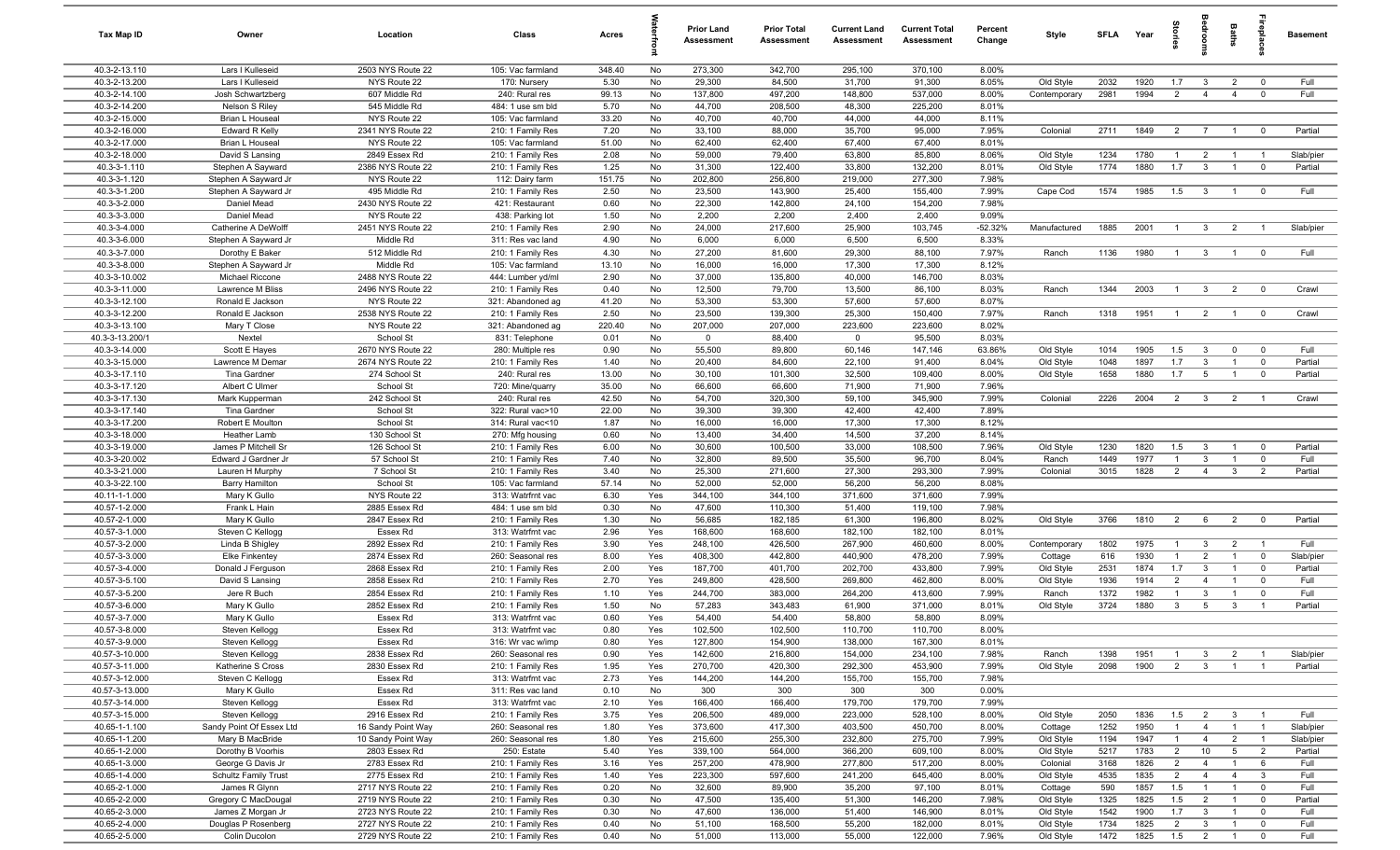| <b>Tax Map ID</b>              | Owner                                     | Location                          | Class                                  | Acres         |            | <b>Prior Land</b><br>Assessment | <b>Prior Total</b><br>Assessment | <b>Current Land</b><br>Assessment | <b>Current Total</b><br><b>Assessment</b> | Percent<br>Change | Style                 | SFLA         | Year         | ā                                |                                | Baths                             |                               | <b>Basement</b> |
|--------------------------------|-------------------------------------------|-----------------------------------|----------------------------------------|---------------|------------|---------------------------------|----------------------------------|-----------------------------------|-------------------------------------------|-------------------|-----------------------|--------------|--------------|----------------------------------|--------------------------------|-----------------------------------|-------------------------------|-----------------|
| 40.3-2-13.110                  | Lars I Kulleseid                          | 2503 NYS Route 22                 | 105: Vac farmland                      | 348.40        | No         | 273,300                         | 342,700                          | 295,100                           | 370,100                                   | 8.00%             |                       |              |              |                                  |                                |                                   |                               |                 |
| 40.3-2-13.200                  | Lars I Kulleseid                          | NYS Route 22                      | 170: Nursery                           | 5.30          | No         | 29,300                          | 84,500                           | 31,700                            | 91,300                                    | 8.05%             | Old Style             | 2032         | 1920         | 1.7                              | $\mathbf{3}$                   | $\overline{2}$                    | $\mathbf 0$                   | Full            |
| 40.3-2-14.100                  | Josh Schwartzberg                         | 607 Middle Rd                     | 240: Rural res                         | 99.13         | No         | 137,800                         | 497,200                          | 148,800                           | 537,000                                   | 8.00%             | Contemporary          | 2981         | 1994         | $\overline{2}$                   | $\overline{4}$                 | $\overline{4}$                    | $\mathbf 0$                   | Full            |
| 40.3-2-14.200                  | Nelson S Riley                            | 545 Middle Rd                     | 484: 1 use sm bld                      | 5.70          | No         | 44,700                          | 208,500                          | 48,300                            | 225,200                                   | 8.01%             |                       |              |              |                                  |                                |                                   |                               |                 |
| 40.3-2-15.000                  | Brian L Houseal                           | NYS Route 22                      | 105: Vac farmland                      | 33.20         | No         | 40,700                          | 40,700                           | 44,000                            | 44,000                                    | 8.11%             |                       |              |              |                                  |                                |                                   |                               |                 |
| 40.3-2-16.000                  | <b>Edward R Kelly</b>                     | 2341 NYS Route 22                 | 210: 1 Family Res                      | 7.20          | No         | 33,100                          | 88,000                           | 35,700                            | 95,000                                    | 7.95%             | Colonial              | 2711         | 1849         | $\overline{2}$                   | $\overline{7}$                 | $\overline{1}$                    | $\mathbf 0$                   | Partial         |
| 40.3-2-17.000<br>40.3-2-18.000 | <b>Brian L Houseal</b><br>David S Lansing | NYS Route 22<br>2849 Essex Rd     | 105: Vac farmland<br>210: 1 Family Res | 51.00<br>2.08 | No<br>No   | 62,400<br>59,000                | 62,400<br>79,400                 | 67,400<br>63,800                  | 67,400<br>85,800                          | 8.01%<br>8.06%    | Old Style             | 1234         | 1780         | $\overline{1}$                   | $\overline{2}$                 | $\overline{1}$                    | $\overline{1}$                | Slab/pier       |
| 40.3-3-1.110                   | Stephen A Sayward                         | 2386 NYS Route 22                 | 210: 1 Family Res                      | 1.25          | No         | 31,300                          | 122,400                          | 33,800                            | 132,200                                   | 8.01%             | Old Style             | 1774         | 1880         | 1.7                              | $\mathbf{3}$                   | $\overline{1}$                    | $\overline{0}$                | Partial         |
| 40.3-3-1.120                   | Stephen A Sayward Jr                      | NYS Route 22                      | 112: Dairy farm                        | 151.75        | No         | 202,800                         | 256,800                          | 219,000                           | 277,300                                   | 7.98%             |                       |              |              |                                  |                                |                                   |                               |                 |
| 40.3-3-1.200                   | Stephen A Sayward Jr                      | 495 Middle Rd                     | 210: 1 Family Res                      | 2.50          | No         | 23,500                          | 143,900                          | 25,400                            | 155,400                                   | 7.99%             | Cape Cod              | 1574         | 1985         | 1.5                              | $\mathbf{3}$                   | $\overline{1}$                    | $^{\circ}$                    | Full            |
| 40.3-3-2.000                   | Daniel Mead                               | 2430 NYS Route 22                 | 421: Restaurant                        | 0.60          | No         | 22,300                          | 142,800                          | 24,100                            | 154,200                                   | 7.98%             |                       |              |              |                                  |                                |                                   |                               |                 |
| 40.3-3-3.000                   | Daniel Mead                               | NYS Route 22                      | 438: Parking lot                       | 1.50          | No         | 2,200                           | 2,200                            | 2,400                             | 2,400                                     | 9.09%             |                       |              |              |                                  |                                |                                   |                               |                 |
| 40.3-3-4.000                   | Catherine A DeWolff                       | 2451 NYS Route 22                 | 210: 1 Family Res                      | 2.90          | No         | 24,000                          | 217,600                          | 25,900                            | 103,745                                   | $-52.32%$         | Manufactured          | 1885         | 2001         | $\overline{1}$                   | $3^{\circ}$                    | $\overline{2}$                    | $\overline{1}$                | Slab/pier       |
| 40.3-3-6.000                   | Stephen A Sayward Jr                      | Middle Rd                         | 311: Res vac land                      | 4.90          | No         | 6,000                           | 6,000                            | 6,500                             | 6,500                                     | 8.33%             |                       |              |              |                                  |                                |                                   |                               |                 |
| 40.3-3-7.000                   | Dorothy E Baker                           | 512 Middle Rd                     | 210: 1 Family Res                      | 4.30          | No         | 27,200                          | 81,600                           | 29,300                            | 88,100                                    | 7.97%             | Ranch                 | 1136         | 1980         | $\overline{1}$                   | $\mathbf{3}$                   | $\overline{1}$                    | $\mathbf 0$                   | Full            |
| 40.3-3-8.000                   | Stephen A Sayward Jr                      | Middle Rd                         | 105: Vac farmland                      | 13.10         | No         | 16,000                          | 16,000                           | 17,300                            | 17,300                                    | 8.12%             |                       |              |              |                                  |                                |                                   |                               |                 |
| 40.3-3-10.002                  | Michael Riccone                           | 2488 NYS Route 22                 | 444: Lumber yd/ml                      | 2.90          | No         | 37,000                          | 135,800                          | 40,000                            | 146,700                                   | 8.03%             |                       |              |              |                                  |                                |                                   |                               |                 |
| 40.3-3-11.000                  | Lawrence M Bliss                          | 2496 NYS Route 22                 | 210: 1 Family Res                      | 0.40          | No         | 12,500                          | 79,700                           | 13,500                            | 86,100                                    | 8.03%             | Ranch                 | 1344         | 2003         | $\overline{1}$                   | $\mathbf{3}$                   | $\overline{2}$                    | $\overline{\mathbf{0}}$       | Crawl           |
| 40.3-3-12.100<br>40.3-3-12.200 | Ronald E Jackson<br>Ronald E Jackson      | NYS Route 22<br>2538 NYS Route 22 | 321: Abandoned ag<br>210: 1 Family Res | 41.20<br>2.50 | No<br>No   | 53,300<br>23,500                | 53,300<br>139,300                | 57,600<br>25,300                  | 57,600<br>150,400                         | 8.07%<br>7.97%    | Ranch                 | 1318         | 1951         | $\overline{1}$                   | $\overline{2}$                 | $\overline{1}$                    | $\overline{0}$                | Crawl           |
| 40.3-3-13.100                  | Mary T Close                              | NYS Route 22                      | 321: Abandoned ag                      | 220.40        | No         | 207,000                         | 207,000                          | 223,600                           | 223,600                                   | 8.02%             |                       |              |              |                                  |                                |                                   |                               |                 |
| 40.3-3-13.200/1                | Nextel                                    | School St                         | 831: Telephone                         | 0.01          | No         | $\mathbf{0}$                    | 88,400                           | $\mathbf 0$                       | 95,500                                    | 8.03%             |                       |              |              |                                  |                                |                                   |                               |                 |
| 40.3-3-14.000                  | Scott E Hayes                             | 2670 NYS Route 22                 | 280: Multiple res                      | 0.90          | No         | 55,500                          | 89,800                           | 60,146                            | 147,146                                   | 63.86%            | Old Style             | 1014         | 1905         | 1.5                              | $\mathbf{3}$                   | $\mathbf 0$                       | $\mathbf{0}$                  | Full            |
| 40.3-3-15.000                  | Lawrence M Demar                          | 2674 NYS Route 22                 | 210: 1 Family Res                      | 1.40          | No         | 20,400                          | 84,600                           | 22,100                            | 91,400                                    | 8.04%             | Old Style             | 1048         | 1897         | 1.7                              | $\mathbf{3}$                   | $\overline{1}$                    | $\mathbf 0$                   | Partial         |
| 40.3-3-17.110                  | Tina Gardner                              | 274 School St                     | 240: Rural res                         | 13.00         | No         | 30,100                          | 101,300                          | 32,500                            | 109,400                                   | 8.00%             | Old Style             | 1658         | 1880         | 1.7                              | 5                              | $\overline{1}$                    | $\mathbf 0$                   | Partial         |
| 40.3-3-17.120                  | Albert C Ulmer                            | School St                         | 720: Mine/quarry                       | 35.00         | No         | 66,600                          | 66,600                           | 71,900                            | 71,900                                    | 7.96%             |                       |              |              |                                  |                                |                                   |                               |                 |
| 40.3-3-17.130                  | Mark Kupperman                            | 242 School St                     | 240: Rural res                         | 42.50         | No         | 54,700                          | 320,300                          | 59,100                            | 345,900                                   | 7.99%             | Colonial              | 2226         | 2004         | $\overline{2}$                   | $\mathbf{3}$                   | $\overline{2}$                    | $\overline{1}$                | Crawl           |
| 40.3-3-17.140                  | Tina Gardner                              | School St                         | 322: Rural vac>10                      | 22.00         | No         | 39,300                          | 39,300                           | 42,400                            | 42,400                                    | 7.89%             |                       |              |              |                                  |                                |                                   |                               |                 |
| 40.3-3-17.200                  | Robert E Moulton                          | School St                         | 314: Rural vac<10                      | 1.87          | No         | 16,000                          | 16,000                           | 17,300                            | 17,300                                    | 8.12%             |                       |              |              |                                  |                                |                                   |                               |                 |
| 40.3-3-18.000                  | Heather Lamb                              | 130 School St                     | 270: Mfg housing                       | 0.60          | No         | 13,400                          | 34,400                           | 14,500                            | 37,200                                    | 8.14%             |                       |              |              |                                  |                                |                                   |                               |                 |
| 40.3-3-19.000                  | James P Mitchell Sr                       | 126 School St                     | 210: 1 Family Res                      | 6.00          | No         | 30,600                          | 100,500                          | 33,000                            | 108,500                                   | 7.96%<br>8.04%    | Old Style             | 1230         | 1820         | 1.5                              | $\mathbf{3}$                   | $\overline{1}$                    | $\mathbf 0$                   | Partial         |
| 40.3-3-20.002<br>40.3-3-21.000 | Edward J Gardner Jr<br>Lauren H Murphy    | 57 School St<br>7 School St       | 210: 1 Family Res<br>210: 1 Family Res | 7.40<br>3.40  | No<br>No   | 32,800<br>25,300                | 89,500<br>271,600                | 35,500<br>27,300                  | 96,700<br>293,300                         | 7.99%             | Ranch<br>Colonial     | 1449<br>3015 | 1977<br>1828 | $\overline{1}$<br>$\overline{2}$ | $\mathbf{3}$<br>$\overline{4}$ | $\overline{1}$<br>$\mathbf{3}$    | $\mathbf 0$<br>$\overline{2}$ | Full<br>Partial |
| 40.3-3-22.100                  | <b>Barry Hamilton</b>                     | School St                         | 105: Vac farmland                      | 57.14         | No         | 52,000                          | 52,000                           | 56,200                            | 56,200                                    | 8.08%             |                       |              |              |                                  |                                |                                   |                               |                 |
| 40.11-1-1.000                  | Mary K Gullo                              | NYS Route 22                      | 313: Watrfrnt vac                      | 6.30          | Yes        | 344,100                         | 344,100                          | 371,600                           | 371,600                                   | 7.99%             |                       |              |              |                                  |                                |                                   |                               |                 |
| 40.57-1-2.000                  | Frank L Hain                              | 2885 Essex Rd                     | 484: 1 use sm bld                      | 0.30          | No         | 47,600                          | 110,300                          | 51,400                            | 119,100                                   | 7.98%             |                       |              |              |                                  |                                |                                   |                               |                 |
| 40.57-2-1.000                  | Mary K Gullo                              | 2847 Essex Rd                     | 210: 1 Family Res                      | 1.30          | No         | 56,685                          | 182,185                          | 61,300                            | 196,800                                   | 8.02%             | Old Style             | 3766         | 1810         | $\overline{2}$                   | 6                              | 2                                 | $\mathbf 0$                   | Partial         |
| 40.57-3-1.000                  | Steven C Kellogg                          | Essex Rd                          | 313: Watrfrnt vac                      | 2.96          | Yes        | 168,600                         | 168,600                          | 182,100                           | 182,100                                   | 8.01%             |                       |              |              |                                  |                                |                                   |                               |                 |
| 40.57-3-2.000                  | Linda B Shigley                           | 2892 Essex Rd                     | 210: 1 Family Res                      | 3.90          | Yes        | 248,100                         | 426,500                          | 267,900                           | 460,600                                   | 8.00%             | Contemporary          | 1802         | 1975         | $\mathbf{1}$                     | $3^{\circ}$                    | $\overline{2}$                    | $\overline{1}$                | Full            |
| 40.57-3-3.000                  | <b>Elke Finkentey</b>                     | 2874 Essex Rd                     | 260: Seasonal res                      | 8.00          | Yes        | 408,300                         | 442,800                          | 440,900                           | 478,200                                   | 7.99%             | Cottage               | 616          | 1930         | $\mathbf{1}$                     | $\overline{2}$                 | $\overline{1}$                    | $\mathbf 0$                   | Slab/pier       |
| 40.57-3-4.000                  | Donald J Ferguson                         | 2868 Essex Rd                     | 210: 1 Family Res                      | 2.00          | Yes        | 187,700                         | 401,700                          | 202,700                           | 433,800                                   | 7.99%             | Old Style             | 2531         | 1874         | 1.7                              | $\mathbf{3}$                   | $\overline{1}$                    | $\mathbf 0$                   | Partial         |
| 40.57-3-5.100                  | David S Lansing                           | 2858 Essex Rd                     | 210: 1 Family Res                      | 2.70          | Yes        | 249,800                         | 428,500                          | 269,800                           | 462,800                                   | 8.00%             | Old Style             | 1936         | 1914         | $\overline{2}$                   | $\overline{4}$                 |                                   | $^{\circ}$                    | Full            |
| 40.57-3-5.200                  | Jere R Buch                               | 2854 Essex Rd                     | 210: 1 Family Res                      | 1.10          | Yes        | 244,700                         | 383,000                          | 264,200                           | 413,600                                   | 7.99%             | Ranch                 | 1372         | 1982<br>1880 | $\mathbf{1}$                     | $\mathbf{3}$                   | $\overline{1}$<br>3               | $\mathbf 0$<br>$\overline{1}$ | Full            |
| 40.57-3-6.000<br>40.57-3-7.000 | Mary K Gullo<br>Mary K Gullo              | 2852 Essex Rd<br>Essex Rd         | 210: 1 Family Res<br>313: Watrfrnt vac | 1.50<br>0.60  | No<br>Yes  | 57,283<br>54,400                | 343,483<br>54,400                | 61,900<br>58,800                  | 371,000<br>58,800                         | 8.01%<br>8.09%    | Old Style             | 3724         |              | $\mathbf{3}$                     | 5                              |                                   |                               | Partial         |
| 40.57-3-8.000                  | Steven Kellogg                            | Essex Rd                          | 313: Watrfrnt vac                      | 0.80          | Yes        | 102,500                         | 102,500                          | 110,700                           | 110,700                                   | 8.00%             |                       |              |              |                                  |                                |                                   |                               |                 |
| 40.57-3-9.000                  | Steven Kellogg                            | Essex Rd                          | 316: Wr vac w/imp                      | 0.80          | Yes        | 127,800                         | 154,900                          | 138,000                           | 167,300                                   | 8.01%             |                       |              |              |                                  |                                |                                   |                               |                 |
| 40.57-3-10.000                 | Steven Kellogg                            | 2838 Essex Rd                     | 260: Seasonal res                      | 0.90          | Yes        | 142,600                         | 216,800                          | 154,000                           | 234,100                                   | 7.98%             | Ranch                 | 1398         | 1951         | $\overline{1}$                   | $\mathbf{3}$                   | $\overline{2}$                    | $\overline{1}$                | Slab/pier       |
| 40.57-3-11.000                 | Katherine S Cross                         | 2830 Essex Rd                     | 210: 1 Family Res                      | 1.95          | Yes        | 270,700                         | 420,300                          | 292,300                           | 453,900                                   | 7.99%             | Old Style             | 2098         | 1900         | $\overline{2}$                   | 3                              | $\overline{1}$                    | $\overline{1}$                | Partial         |
| 40.57-3-12.000                 | Steven C Kellogg                          | Essex Rd                          | 313: Watrfrnt vac                      | 2.73          | Yes        | 144,200                         | 144,200                          | 155,700                           | 155,700                                   | 7.98%             |                       |              |              |                                  |                                |                                   |                               |                 |
| 40.57-3-13.000                 | Mary K Gullo                              | Essex Rd                          | 311: Res vac land                      | 0.10          | No         | 300                             | 300                              | 300                               | 300                                       | 0.00%             |                       |              |              |                                  |                                |                                   |                               |                 |
| 40.57-3-14.000                 | Steven Kellogg                            | Essex Rd                          | 313: Watrfrnt vac                      | 2.10          | Yes        | 166,400                         | 166,400                          | 179,700                           | 179,700                                   | 7.99%             |                       |              |              |                                  |                                |                                   |                               |                 |
| 40.57-3-15.000                 | Steven Kellogg                            | 2916 Essex Rd                     | 210: 1 Family Res                      | 3.75          | Yes        | 206,500                         | 489,000                          | 223,000                           | 528,100                                   | 8.00%             | Old Style             | 2050         | 1836         | 1.5                              | $\overline{2}$                 | $\mathbf{3}$                      | $\overline{1}$                | Full            |
| 40.65-1-1.100                  | Sandy Point Of Essex Ltd                  | 16 Sandy Point Way                | 260: Seasonal res                      | 1.80          | Yes        | 373,600                         | 417,300                          | 403,500                           | 450,700                                   | 8.00%             | Cottage               | 1252         | 1950         | $\mathbf{1}$                     | $\overline{4}$                 | $\overline{1}$                    | $\overline{1}$                | Slab/pier       |
| 40.65-1-1.200                  | Mary B MacBride                           | 10 Sandy Point Way                | 260: Seasonal res                      | 1.80          | Yes        | 215,600                         | 255,300                          | 232,800                           | 275,700                                   | 7.99%             | Old Style             | 1194         | 1947         | $\mathbf{1}$                     | $\overline{4}$                 | $\overline{2}$                    | $\overline{1}$                | Slab/pier       |
| 40.65-1-2.000<br>40.65-1-3.000 | Dorothy B Voorhis<br>George G Davis Jr    | 2803 Essex Rd<br>2783 Essex Rd    | 250: Estate<br>210: 1 Family Res       | 5.40<br>3.16  | Yes<br>Yes | 339,100<br>257,200              | 564,000<br>478,900               | 366,200<br>277,800                | 609,100<br>517,200                        | 8.00%<br>8.00%    | Old Style<br>Colonial | 5217<br>3168 | 1783<br>1826 | $\overline{2}$<br>$\overline{2}$ | 10<br>$\overline{4}$           | $5\overline{)}$<br>$\overline{1}$ | $\overline{2}$<br>6           | Partial<br>Full |
| 40.65-1-4.000                  | Schultz Family Trust                      | 2775 Essex Rd                     | 210: 1 Family Res                      | 1.40          | Yes        | 223,300                         | 597,600                          | 241,200                           | 645,400                                   | 8.00%             | Old Style             | 4535         | 1835         | $\overline{2}$                   | $\overline{4}$                 | $\overline{4}$                    | $\mathbf{3}$                  | Full            |
| 40.65-2-1.000                  | James R Glynn                             | 2717 NYS Route 22                 | 210: 1 Family Res                      | 0.20          | No         | 32,600                          | 89,900                           | 35,200                            | 97,100                                    | 8.01%             | Cottage               | 590          | 1857         | 1.5                              | $\overline{1}$                 | $\overline{1}$                    | $\mathbf 0$                   | Full            |
| 40.65-2-2.000                  | Gregory C MacDougal                       | 2719 NYS Route 22                 | 210: 1 Family Res                      | 0.30          | No         | 47,500                          | 135,400                          | 51,300                            | 146,200                                   | 7.98%             | Old Style             | 1325         | 1825         | 1.5                              | $\overline{2}$                 | $\overline{1}$                    | $\mathbf 0$                   | Partial         |
| 40.65-2-3.000                  | James Z Morgan Jr                         | 2723 NYS Route 22                 | 210: 1 Family Res                      | 0.30          | No         | 47,600                          | 136,000                          | 51,400                            | 146,900                                   | 8.01%             | Old Style             | 1542         | 1900         | 1.7                              | $\mathbf{3}$                   | $\overline{1}$                    | $\overline{0}$                | Full            |
| 40.65-2-4.000                  | Douglas P Rosenberg                       | 2727 NYS Route 22                 | 210: 1 Family Res                      | 0.40          | No         | 51,100                          | 168,500                          | 55,200                            | 182,000                                   | 8.01%             | Old Style             | 1734         | 1825         | $\overline{2}$                   | 3                              | $\overline{1}$                    | $\mathbf 0$                   | Full            |
| 40.65-2-5.000                  | Colin Ducolon                             | 2729 NYS Route 22                 | 210: 1 Family Res                      | 0.40          | No         | 51,000                          | 113,000                          | 55,000                            | 122,000                                   | 7.96%             | Old Style             | 1472         | 1825         | 1.5                              | $\overline{2}$                 | $\overline{1}$                    | $\mathbf 0$                   | Full            |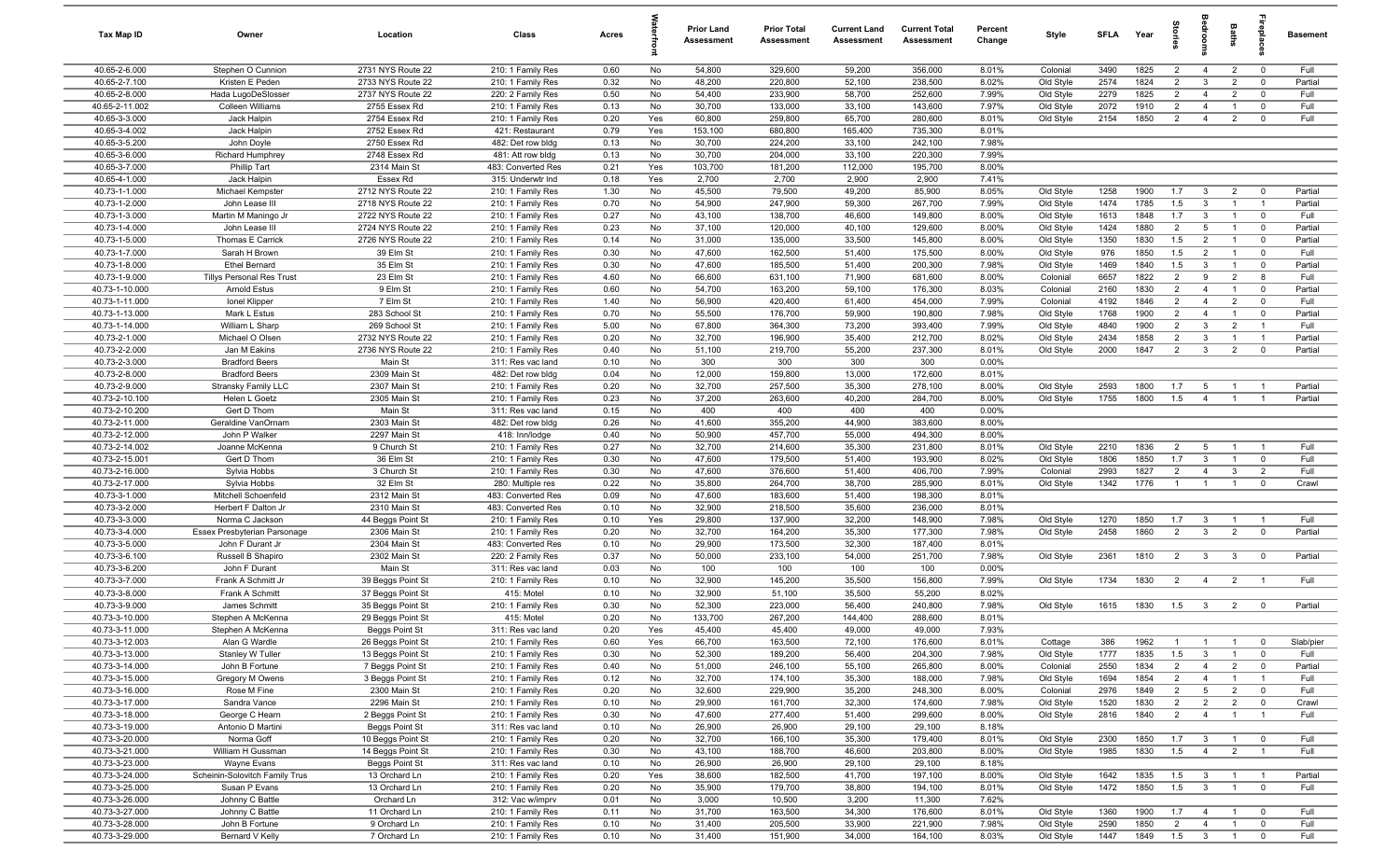| Tax Map ID                       | Owner                                           | Location                               | Class                                  | Acres        |           | <b>Prior Land</b><br>Assessment | <b>Prior Total</b><br>Assessment | <b>Current Land</b><br>Assessment | <b>Current Total</b><br>Assessment | Percent<br>Change | Style                  | SFI A        | Year         | ā                                |                                   | Baths                            | 흠                                | <b>Basement</b>    |
|----------------------------------|-------------------------------------------------|----------------------------------------|----------------------------------------|--------------|-----------|---------------------------------|----------------------------------|-----------------------------------|------------------------------------|-------------------|------------------------|--------------|--------------|----------------------------------|-----------------------------------|----------------------------------|----------------------------------|--------------------|
| 40.65-2-6.000                    | Stephen O Cunnion                               | 2731 NYS Route 22                      | 210: 1 Family Res                      | 0.60         | No        | 54,800                          | 329,600                          | 59,200                            | 356,000                            | 8.01%             | Colonial               | 3490         | 1825         | $\overline{2}$                   | $\overline{4}$                    | $\overline{2}$                   | $\mathbf 0$                      | Full               |
| 40.65-2-7.100                    | Kristen E Peden                                 | 2733 NYS Route 22                      | 210: 1 Family Res                      | 0.32         | No        | 48,200                          | 220,800                          | 52,100                            | 238,500                            | 8.02%             | Old Style              | 2574         | 1824         | $\overline{2}$                   | 3                                 | $\overline{2}$                   | $\mathbf 0$                      | Partial            |
| 40.65-2-8.000                    | Hada LugoDeSlosser                              | 2737 NYS Route 22                      | 220: 2 Family Res                      | 0.50         | No        | 54,400                          | 233,900                          | 58,700                            | 252,600                            | 7.99%             | Old Style              | 2279         | 1825         | $\overline{2}$                   | $\overline{4}$                    | $\overline{2}$                   | $\mathbf 0$                      | Full               |
| 40.65-2-11.002                   | <b>Colleen Williams</b>                         | 2755 Essex Rd                          | 210: 1 Family Res                      | 0.13         | No        | 30,700                          | 133,000                          | 33,100                            | 143,600                            | 7.97%             | Old Style              | 2072         | 1910         | $\overline{2}$                   | $\overline{4}$                    | $\overline{1}$                   | $\mathbf 0$                      | Full               |
| 40.65-3-3.000                    | Jack Halpin                                     | 2754 Essex Rd                          | 210: 1 Family Res                      | 0.20         | Yes       | 60,800                          | 259,800                          | 65,700                            | 280,600                            | 8.01%             | Old Style              | 2154         | 1850         | $\overline{2}$                   | $\overline{4}$                    | $\overline{2}$                   | $\mathbf 0$                      | Full               |
| 40.65-3-4.002                    | Jack Halpin                                     | 2752 Essex Rd                          | 421: Restaurant                        | 0.79         | Yes       | 153,100                         | 680,800                          | 165,400                           | 735,300                            | 8.01%             |                        |              |              |                                  |                                   |                                  |                                  |                    |
| 40.65-3-5.200<br>40.65-3-6.000   | John Doyle<br><b>Richard Humphrey</b>           | 2750 Essex Rd<br>2748 Essex Rd         | 482: Det row bldg<br>481: Att row bldg | 0.13<br>0.13 | No<br>No  | 30,700<br>30,700                | 224,200<br>204,000               | 33,100<br>33,100                  | 242,100<br>220,300                 | 7.98%<br>7.99%    |                        |              |              |                                  |                                   |                                  |                                  |                    |
| 40.65-3-7.000                    | Phillip Tart                                    | 2314 Main St                           | 483: Converted Res                     | 0.21         | Yes       | 103,700                         | 181,200                          | 112,000                           | 195,700                            | 8.00%             |                        |              |              |                                  |                                   |                                  |                                  |                    |
| 40.65-4-1.000                    | Jack Halpin                                     | Essex Rd                               | 315: Underwtr Ind                      | 0.18         | Yes       | 2,700                           | 2,700                            | 2,900                             | 2,900                              | 7.41%             |                        |              |              |                                  |                                   |                                  |                                  |                    |
| 40.73-1-1.000                    | Michael Kempster                                | 2712 NYS Route 22                      | 210: 1 Family Res                      | 1.30         | No        | 45,500                          | 79,500                           | 49,200                            | 85,900                             | 8.05%             | Old Style              | 1258         | 1900         | 1.7                              | $\mathbf{3}$                      | $\overline{2}$                   | $\overline{0}$                   | Partial            |
| 40.73-1-2.000                    | John Lease III                                  | 2718 NYS Route 22                      | 210: 1 Family Res                      | 0.70         | No        | 54,900                          | 247,900                          | 59,300                            | 267,700                            | 7.99%             | Old Style              | 1474         | 1785         | 1.5                              | $\mathbf{3}$                      | $\overline{1}$                   | $\overline{1}$                   | Partial            |
| 40.73-1-3.000                    | Martin M Maningo Jr                             | 2722 NYS Route 22                      | 210: 1 Family Res                      | 0.27         | No        | 43,100                          | 138,700                          | 46,600                            | 149,800                            | 8.00%             | Old Style              | 1613         | 1848         | 1.7                              | $\mathbf{3}$                      | $\mathbf{1}$                     | $\mathbf 0$                      | Full               |
| 40.73-1-4.000                    | John Lease III                                  | 2724 NYS Route 22                      | 210: 1 Family Res                      | 0.23         | No        | 37,100                          | 120,000                          | 40,100                            | 129,600                            | 8.00%             | Old Style              | 1424         | 1880         | $\overline{2}$                   | $5\overline{6}$                   | $\overline{1}$                   | $\mathbf 0$                      | Partial            |
| 40.73-1-5.000                    | Thomas E Carrick                                | 2726 NYS Route 22                      | 210: 1 Family Res                      | 0.14         | No        | 31,000                          | 135,000                          | 33,500                            | 145,800                            | 8.00%             | Old Style              | 1350         | 1830         | 1.5                              | $\overline{2}$                    | $\mathbf{1}$                     | $^{\circ}$                       | Partial            |
| 40.73-1-7.000                    | Sarah H Brown                                   | 39 Elm St                              | 210: 1 Family Res                      | 0.30         | No        | 47,600                          | 162,500                          | 51,400                            | 175,500                            | 8.00%             | Old Style              | 976          | 1850         | 1.5                              | $\overline{2}$                    | $\overline{1}$                   | $\mathbf 0$                      | Full               |
| 40.73-1-8.000                    | <b>Ethel Bernard</b>                            | 35 Elm St                              | 210: 1 Family Res                      | 0.30         | No        | 47,600                          | 185,500                          | 51,400                            | 200,300                            | 7.98%             | Old Style              | 1469         | 1840         | 1.5                              | 3                                 | $\overline{1}$                   | $\mathbf 0$                      | Partial            |
| 40.73-1-9.000                    | Tillys Personal Res Trust                       | 23 Elm St                              | 210: 1 Family Res                      | 4.60         | No        | 66,600                          | 631,100                          | 71,900                            | 681,600                            | 8.00%             | Colonial               | 6657         | 1822         | $\overline{2}$                   | 9                                 | $\overline{2}$                   | 8                                | Full               |
| 40.73-1-10.000                   | <b>Arnold Estus</b>                             | 9 Elm St                               | 210: 1 Family Res                      | 0.60         | No        | 54,700                          | 163,200                          | 59,100                            | 176,300                            | 8.03%             | Colonial               | 2160         | 1830         | $\overline{2}$                   | $\overline{4}$                    | $\overline{1}$                   | $\mathbf 0$                      | Partial            |
| 40.73-1-11.000                   | Ionel Klipper                                   | 7 Elm St                               | 210: 1 Family Res                      | 1.40         | No        | 56,900                          | 420,400                          | 61,400                            | 454,000                            | 7.99%             | Colonial               | 4192         | 1846         | 2                                | $\overline{4}$                    | $\overline{2}$                   | $\overline{0}$                   | Full               |
| 40.73-1-13.000                   | Mark L Estus                                    | 283 School St                          | 210: 1 Family Res                      | 0.70         | No        | 55,500                          | 176,700                          | 59,900                            | 190,800                            | 7.98%             | Old Style              | 1768         | 1900         | $\overline{2}$                   | $\overline{4}$                    | $\overline{1}$                   | $\overline{0}$                   | Partial            |
| 40.73-1-14.000                   | William L Sharp                                 | 269 School St                          | 210: 1 Family Res                      | 5.00         | No        | 67,800                          | 364,300                          | 73,200                            | 393,400                            | 7.99%             | Old Style              | 4840         | 1900<br>1858 | $\overline{2}$                   | $\mathbf{3}$                      | $\overline{2}$<br>$\overline{1}$ | $\overline{1}$                   | Full               |
| 40.73-2-1.000<br>40.73-2-2.000   | Michael O Olsen<br>Jan M Eakins                 | 2732 NYS Route 22<br>2736 NYS Route 22 | 210: 1 Family Res<br>210: 1 Family Res | 0.20<br>0.40 | No<br>No  | 32,700<br>51,100                | 196,900<br>219,700               | 35,400<br>55,200                  | 212,700<br>237,300                 | 8.02%<br>8.01%    | Old Style<br>Old Style | 2434<br>2000 | 1847         | $\overline{2}$<br>$\overline{2}$ | $\mathbf{3}$<br>$\mathbf{3}$      | $\overline{2}$                   | $\overline{1}$<br>$\mathbf 0$    | Partial<br>Partial |
| 40.73-2-3.000                    | <b>Bradford Beers</b>                           | Main St                                | 311: Res vac land                      | 0.10         | No        | 300                             | 300                              | 300                               | 300                                | 0.00%             |                        |              |              |                                  |                                   |                                  |                                  |                    |
| 40.73-2-8.000                    | <b>Bradford Beers</b>                           | 2309 Main St                           | 482: Det row bldg                      | 0.04         | No        | 12,000                          | 159,800                          | 13,000                            | 172,600                            | 8.01%             |                        |              |              |                                  |                                   |                                  |                                  |                    |
| 40.73-2-9.000                    | Stransky Family LLC                             | 2307 Main St                           | 210: 1 Family Res                      | 0.20         | No        | 32,700                          | 257,500                          | 35,300                            | 278,100                            | 8.00%             | Old Style              | 2593         | 1800         | 1.7                              | 5                                 | $\overline{1}$                   | $\overline{1}$                   | Partial            |
| 40.73-2-10.100                   | Helen L Goetz                                   | 2305 Main St                           | 210: 1 Family Res                      | 0.23         | No        | 37,200                          | 263,600                          | 40,200                            | 284,700                            | 8.00%             | Old Style              | 1755         | 1800         | 1.5                              | $\overline{4}$                    | $\overline{1}$                   | $\overline{1}$                   | Partial            |
| 40.73-2-10.200                   | Gert D Thorn                                    | Main St                                | 311: Res vac land                      | 0.15         | No        | 400                             | 400                              | 400                               | 400                                | 0.00%             |                        |              |              |                                  |                                   |                                  |                                  |                    |
| 40.73-2-11.000                   | Geraldine VanOrnam                              | 2303 Main St                           | 482: Det row bldg                      | 0.26         | No        | 41,600                          | 355,200                          | 44,900                            | 383,600                            | 8.00%             |                        |              |              |                                  |                                   |                                  |                                  |                    |
| 40.73-2-12.000                   | John P Walker                                   | 2297 Main St                           | 418: Inn/lodge                         | 0.40         | No        | 50,900                          | 457,700                          | 55,000                            | 494,300                            | 8.00%             |                        |              |              |                                  |                                   |                                  |                                  |                    |
| 40.73-2-14.002                   | Joanne McKenna                                  | 9 Church St                            | 210: 1 Family Res                      | 0.27         | No        | 32,700                          | 214,600                          | 35,300                            | 231,800                            | 8.01%             | Old Style              | 2210         | 1836         | $\overline{2}$                   | $5\overline{5}$                   | $\overline{1}$                   | $\overline{1}$                   | Full               |
| 40.73-2-15.001                   | Gert D Thorn                                    | 36 Elm St                              | 210: 1 Family Res                      | 0.30         | No        | 47,600                          | 179,500                          | 51,400                            | 193,900                            | 8.02%             | Old Style              | 1806         | 1850         | 1.7                              | $\mathbf{3}$                      | $\overline{1}$                   | $^{\circ}$                       | Full               |
| 40.73-2-16.000                   | Sylvia Hobbs                                    | 3 Church St                            | 210: 1 Family Res                      | 0.30         | No        | 47,600                          | 376,600                          | 51,400                            | 406,700                            | 7.99%             | Colonial               | 2993         | 1827         | $\overline{2}$                   | $\overline{4}$                    | $\mathbf{3}$                     | $\overline{2}$                   | Full               |
| 40.73-2-17.000                   | Sylvia Hobbs                                    | 32 Elm St                              | 280: Multiple res                      | 0.22         | No        | 35,800                          | 264,700                          | 38,700                            | 285,900                            | 8.01%             | Old Style              | 1342         | 1776         | $\overline{1}$                   | $\overline{1}$                    | $\overline{1}$                   | $\mathbf 0$                      | Crawl              |
| 40.73-3-1.000                    | Mitchell Schoenfeld                             | 2312 Main St                           | 483: Converted Res                     | 0.09         | No        | 47,600                          | 183,600                          | 51,400                            | 198,300                            | 8.01%             |                        |              |              |                                  |                                   |                                  |                                  |                    |
| 40.73-3-2.000<br>40.73-3-3.000   | Herbert F Dalton Jr                             | 2310 Main St                           | 483: Converted Res                     | 0.10         | No        | 32,900<br>29,800                | 218,500                          | 35,600<br>32,200                  | 236,000                            | 8.01%<br>7.98%    |                        |              | 1850         |                                  | $\mathbf{3}$                      | $\overline{1}$                   |                                  | Full               |
| 40.73-3-4.000                    | Norma C Jackson<br>Essex Presbyterian Parsonage | 44 Beggs Point St<br>2306 Main St      | 210: 1 Family Res<br>210: 1 Family Res | 0.10<br>0.20 | Yes<br>No | 32,700                          | 137,900<br>164,200               | 35,300                            | 148,900<br>177,300                 | 7.98%             | Old Style<br>Old Style | 1270<br>2458 | 1860         | 1.7<br>$\overline{2}$            | $\mathbf{3}$                      | $\overline{2}$                   | $\overline{1}$<br>$\mathbf 0$    | Partial            |
| 40.73-3-5.000                    | John F Durant Jr                                | 2304 Main St                           | 483: Converted Res                     | 0.10         | No        | 29,900                          | 173,500                          | 32,300                            | 187,400                            | 8.01%             |                        |              |              |                                  |                                   |                                  |                                  |                    |
| 40.73-3-6.100                    | Russell B Shapiro                               | 2302 Main St                           | 220: 2 Family Res                      | 0.37         | No        | 50,000                          | 233,100                          | 54,000                            | 251,700                            | 7.98%             | Old Style              | 2361         | 1810         | $\overline{2}$                   | $\mathbf{3}$                      | $\mathbf{3}$                     | $\overline{0}$                   | Partial            |
| 40.73-3-6.200                    | John F Durant                                   | Main St                                | 311: Res vac land                      | 0.03         | No        | 100                             | 100                              | 100                               | 100                                | 0.00%             |                        |              |              |                                  |                                   |                                  |                                  |                    |
| 40.73-3-7.000                    | Frank A Schmitt Jr                              | 39 Beggs Point St                      | 210: 1 Family Res                      | 0.10         | No        | 32,900                          | 145,200                          | 35,500                            | 156,800                            | 7.99%             | Old Style              | 1734         | 1830         | $\overline{2}$                   | $\overline{4}$                    | $\overline{2}$                   | $\overline{1}$                   | Full               |
| 40.73-3-8.000                    | Frank A Schmitt                                 | 37 Beggs Point St                      | 415: Motel                             | 0.10         | No        | 32,900                          | 51,100                           | 35,500                            | 55,200                             | 8.02%             |                        |              |              |                                  |                                   |                                  |                                  |                    |
| 40.73-3-9.000                    | James Schmitt                                   | 35 Beggs Point St                      | 210: 1 Family Res                      | 0.30         | No        | 52,300                          | 223,000                          | 56,400                            | 240,800                            | 7.98%             | Old Style              | 1615         | 1830         | 1.5                              | $\mathbf{3}$                      | $\overline{2}$                   | $\overline{0}$                   | Partial            |
| 40.73-3-10.000                   | Stephen A McKenna                               | 29 Beggs Point St                      | 415: Motel                             | 0.20         | No        | 133,700                         | 267,200                          | 144,400                           | 288,600                            | 8.01%             |                        |              |              |                                  |                                   |                                  |                                  |                    |
| 40.73-3-11.000                   | Stephen A McKenna                               | Beggs Point St                         | 311: Res vac land                      | 0.20         | Yes       | 45.400                          | 45.400                           | 49,000                            | 49,000                             | 7.93%             |                        |              |              |                                  |                                   |                                  |                                  |                    |
| 40.73-3-12.003                   | Alan G Wardle                                   | 26 Beggs Point St                      | 210: 1 Family Res                      | 0.60         | Yes       | 66,700                          | 163,500                          | 72,100                            | 176,600                            | 8.01%             | Cottage                | 386          | 1962         | $\overline{1}$                   | $\overline{1}$                    | $\mathbf{1}$                     | $\mathbf 0$                      | Slab/pier          |
| 40.73-3-13.000                   | Stanley W Tuller                                | 13 Beggs Point St                      | 210: 1 Family Res                      | 0.30         | No        | 52,300                          | 189,200                          | 56,400                            | 204,300                            | 7.98%             | Old Style              | 1777         | 1835         | 1.5                              | $\mathbf{3}$                      | $\overline{1}$                   | $\mathbf 0$                      | Full               |
| 40.73-3-14.000                   | John B Fortune                                  | 7 Beggs Point St                       | 210: 1 Family Res                      | 0.40         | No        | 51,000                          | 246,100                          | 55,100                            | 265,800                            | 8.00%             | Colonial               | 2550         | 1834         | $\overline{2}$                   | $\overline{4}$                    | $\overline{2}$                   | $\overline{0}$                   | Partial            |
| 40.73-3-15.000                   | Gregory M Owens                                 | 3 Beggs Point St                       | 210: 1 Family Res                      | 0.12         | No        | 32,700                          | 174,100                          | 35,300                            | 188,000                            | 7.98%             | Old Style              | 1694         | 1854         | $\overline{2}$                   | $\overline{4}$                    | $\overline{1}$                   | $\overline{1}$                   | Full               |
| 40.73-3-16.000<br>40.73-3-17.000 | Rose M Fine<br>Sandra Vance                     | 2300 Main St<br>2296 Main St           | 210: 1 Family Res<br>210: 1 Family Res | 0.20<br>0.10 | No<br>No  | 32,600<br>29,900                | 229,900<br>161,700               | 35,200<br>32,300                  | 248,300<br>174,600                 | 8.00%<br>7.98%    | Colonial<br>Old Style  | 2976<br>1520 | 1849<br>1830 | $\overline{2}$<br>$\overline{2}$ | $5\overline{)}$<br>$\overline{2}$ | $\overline{2}$<br>$\overline{2}$ | $\overline{0}$<br>$\overline{0}$ | Full<br>Crawl      |
| 40.73-3-18.000                   | George C Hearn                                  | 2 Beggs Point St                       | 210: 1 Family Res                      | 0.30         | No        | 47,600                          | 277,400                          | 51,400                            | 299,600                            | 8.00%             | Old Style              | 2816         | 1840         | $\overline{2}$                   | $\overline{4}$                    | $\overline{1}$                   | $\overline{1}$                   | Full               |
| 40.73-3-19.000                   | Antonio D Martini                               | Beggs Point St                         | 311: Res vac land                      | 0.10         | No        | 26,900                          | 26,900                           | 29,100                            | 29,100                             | 8.18%             |                        |              |              |                                  |                                   |                                  |                                  |                    |
| 40.73-3-20.000                   | Norma Goff                                      | 10 Beggs Point St                      | 210: 1 Family Res                      | 0.20         | No        | 32,700                          | 166,100                          | 35,300                            | 179,400                            | 8.01%             | Old Style              | 2300         | 1850         | 1.7                              | $\mathbf{3}$                      | $\overline{1}$                   | $\overline{\mathbf{0}}$          | Full               |
| 40.73-3-21.000                   | William H Gussman                               | 14 Beggs Point St                      | 210: 1 Family Res                      | 0.30         | No        | 43,100                          | 188,700                          | 46,600                            | 203,800                            | 8.00%             | Old Style              | 1985         | 1830         | 1.5                              | $\overline{4}$                    | $\overline{2}$                   | $\overline{1}$                   | Full               |
| 40.73-3-23.000                   | Wayne Evans                                     | Beggs Point St                         | 311: Res vac land                      | 0.10         | No        | 26,900                          | 26,900                           | 29,100                            | 29,100                             | 8.18%             |                        |              |              |                                  |                                   |                                  |                                  |                    |
| 40.73-3-24.000                   | Scheinin-Solovitch Family Trus                  | 13 Orchard Ln                          | 210: 1 Family Res                      | 0.20         | Yes       | 38,600                          | 182,500                          | 41,700                            | 197,100                            | 8.00%             | Old Style              | 1642         | 1835         | 1.5                              | $\mathbf{3}$                      | $\overline{1}$                   | $\overline{1}$                   | Partial            |
| 40.73-3-25.000                   | Susan P Evans                                   | 13 Orchard Ln                          | 210: 1 Family Res                      | 0.20         | No        | 35,900                          | 179,700                          | 38,800                            | 194,100                            | 8.01%             | Old Style              | 1472         | 1850         | 1.5                              | $\overline{3}$                    | $\overline{1}$                   | $\overline{0}$                   | Full               |
| 40.73-3-26.000                   | Johnny C Battle                                 | Orchard Ln                             | 312: Vac w/imprv                       | 0.01         | No        | 3,000                           | 10,500                           | 3,200                             | 11,300                             | 7.62%             |                        |              |              |                                  |                                   |                                  |                                  |                    |
| 40.73-3-27.000                   | Johnny C Battle                                 | 11 Orchard Ln                          | 210: 1 Family Res                      | 0.11         | No        | 31,700                          | 163,500                          | 34,300                            | 176,600                            | 8.01%             | Old Style              | 1360         | 1900         | 1.7                              | $\overline{4}$                    | $\overline{1}$                   | $\overline{0}$                   | Full               |
| 40.73-3-28.000                   | John B Fortune                                  | 9 Orchard Ln                           | 210: 1 Family Res                      | 0.10         | No        | 31,400                          | 205,500                          | 33,900                            | 221,900                            | 7.98%             | Old Style              | 2590         | 1850         | $\overline{2}$                   | $\overline{4}$                    | $\overline{1}$                   | $\overline{0}$                   | Full               |
| 40.73-3-29.000                   | Bernard V Kelly                                 | 7 Orchard Ln                           | 210: 1 Family Res                      | 0.10         | No        | 31,400                          | 151,900                          | 34,000                            | 164,100                            | 8.03%             | Old Style              | 1447         | 1849         | $1.5$ 3 1                        |                                   |                                  | $\overline{0}$                   | Full               |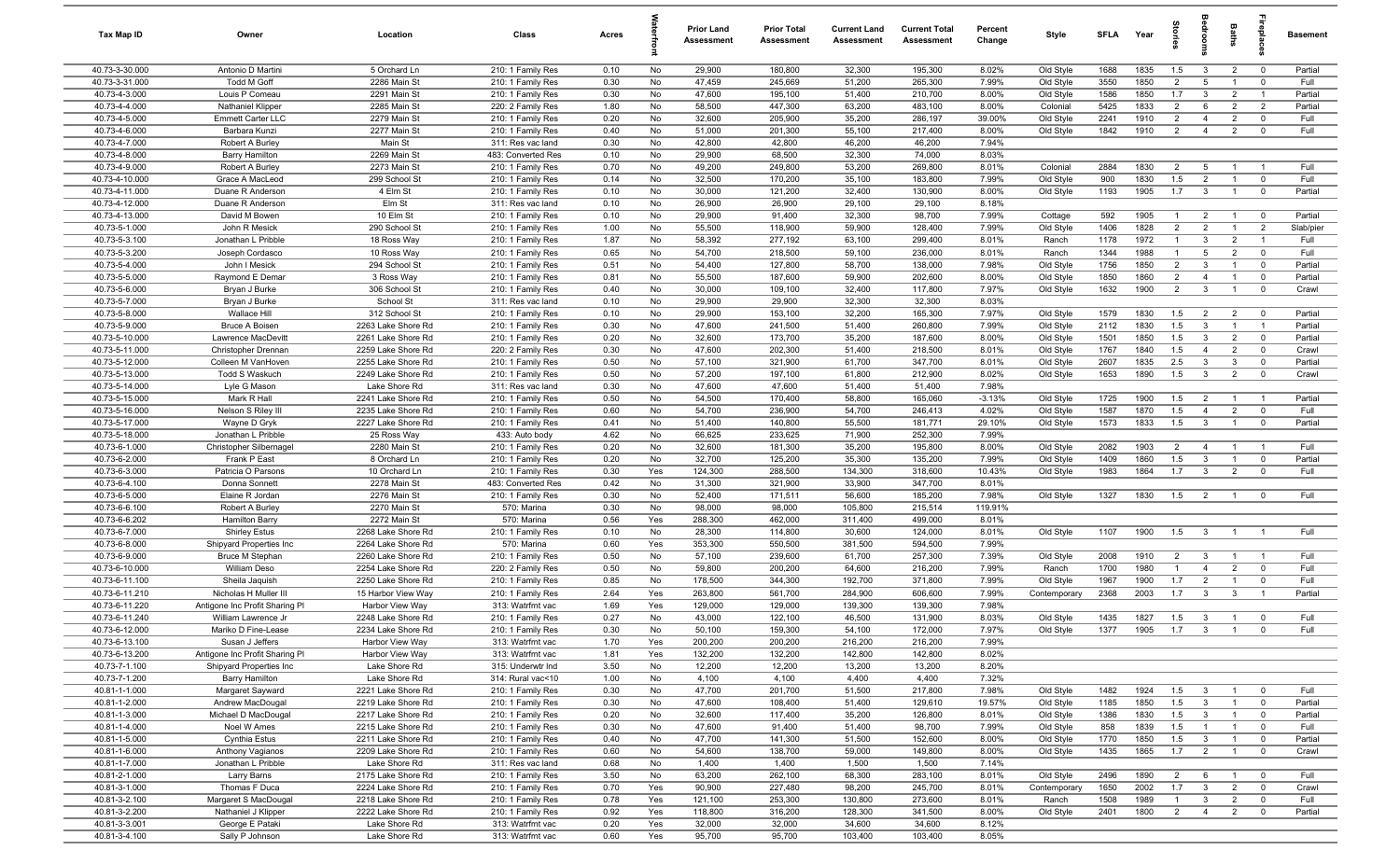| Tax Map ID                       | Owner                                       | Location                                 | Class                                   | Acres        |            | <b>Prior Land</b><br>Assessment | <b>Prior Total</b><br>Assessment | <b>Current Land</b><br>Assessment | <b>Current Total</b><br>Assessment | Percent<br>Change | Style                  | SFLA         | Year         | 흪                                |                                                    | Baths                            | epla                             | <b>Basement</b> |
|----------------------------------|---------------------------------------------|------------------------------------------|-----------------------------------------|--------------|------------|---------------------------------|----------------------------------|-----------------------------------|------------------------------------|-------------------|------------------------|--------------|--------------|----------------------------------|----------------------------------------------------|----------------------------------|----------------------------------|-----------------|
| 40.73-3-30.000                   | Antonio D Martini                           | 5 Orchard Ln                             | 210: 1 Family Res                       | 0.10         | No         | 29,900                          | 180,800                          | 32,300                            | 195,300                            | 8.02%             | Old Style              | 1688         | 1835         | 1.5                              | $\overline{\mathbf{3}}$                            | $\overline{2}$                   | $\overline{0}$                   | Partial         |
| 40.73-3-31.000                   | <b>Todd M Goff</b>                          | 2286 Main St                             | 210: 1 Family Res                       | 0.30         | No         | 47,459                          | 245,669                          | 51,200                            | 265,300                            | 7.99%             | Old Style              | 3550         | 1850         | $\overline{2}$                   | 5                                                  |                                  | $^{\circ}$                       | Full            |
| 40.73-4-3.000                    | Louis P Comeau                              | 2291 Main St                             | 210: 1 Family Res                       | 0.30         | No         | 47,600                          | 195,100                          | 51,400                            | 210,700                            | 8.00%             | Old Style              | 1586         | 1850         | 1.7                              | $\mathbf{3}$                                       | $\overline{2}$                   | $\overline{1}$                   | Partial         |
| 40.73-4-4.000                    | <b>Nathaniel Klipper</b>                    | 2285 Main St                             | 220: 2 Family Res                       | 1.80         | No         | 58,500                          | 447,300                          | 63,200                            | 483,100                            | 8.00%             | Colonial               | 5425         | 1833         | $\overline{2}$                   | 6                                                  | $\overline{2}$                   | 2                                | Partial         |
| 40.73-4-5.000<br>40.73-4-6.000   | <b>Emmett Carter LLC</b>                    | 2279 Main St                             | 210: 1 Family Res                       | 0.20         | No         | 32,600                          | 205,900                          | 35,200                            | 286,197                            | 39.00%            | Old Style              | 2241         | 1910         | $\overline{2}$                   | $\overline{4}$                                     | $\overline{2}$<br>$\overline{2}$ | $\overline{0}$<br>$\mathbf 0$    | Full<br>Full    |
| 40.73-4-7.000                    | Barbara Kunzi<br>Robert A Burley            | 2277 Main St<br>Main St                  | 210: 1 Family Res<br>311: Res vac land  | 0.40<br>0.30 | No<br>No   | 51,000<br>42,800                | 201,300<br>42,800                | 55,100<br>46,200                  | 217,400<br>46,200                  | 8.00%<br>7.94%    | Old Style              | 1842         | 1910         | $\overline{2}$                   | $\overline{4}$                                     |                                  |                                  |                 |
| 40.73-4-8.000                    | <b>Barry Hamilton</b>                       | 2269 Main St                             | 483: Converted Res                      | 0.10         | No         | 29,900                          | 68,500                           | 32,300                            | 74,000                             | 8.03%             |                        |              |              |                                  |                                                    |                                  |                                  |                 |
| 40.73-4-9.000                    | Robert A Burley                             | 2273 Main St                             | 210: 1 Family Res                       | 0.70         | No         | 49,200                          | 249,800                          | 53,200                            | 269,800                            | 8.01%             | Colonial               | 2884         | 1830         | 2                                | -5                                                 |                                  | - 1                              | Full            |
| 40.73-4-10.000                   | Grace A MacLeod                             | 299 School St                            | 210: 1 Family Res                       | 0.14         | No         | 32,500                          | 170,200                          | 35,100                            | 183,800                            | 7.99%             | Old Style              | 900          | 1830         | 1.5                              | $\overline{2}$                                     | $\mathbf{1}$                     | $\mathbf 0$                      | Full            |
| 40.73-4-11.000                   | Duane R Anderson                            | 4 Elm St                                 | 210: 1 Family Res                       | 0.10         | No         | 30,000                          | 121,200                          | 32,400                            | 130,900                            | 8.00%             | Old Style              | 1193         | 1905         | 1.7                              | $\overline{\mathbf{3}}$                            | $\mathbf{1}$                     | $\overline{0}$                   | Partial         |
| 40.73-4-12.000                   | Duane R Anderson                            | Elm St                                   | 311: Res vac land                       | 0.10         | No         | 26,900                          | 26,900                           | 29,100                            | 29,100                             | 8.18%             |                        |              |              |                                  |                                                    |                                  |                                  |                 |
| 40.73-4-13.000                   | David M Bowen                               | 10 Elm St                                | 210: 1 Family Res                       | 0.10         | No         | 29,900                          | 91,400                           | 32,300                            | 98,700                             | 7.99%             | Cottage                | 592          | 1905         | -1                               | $\overline{2}$                                     |                                  | $\mathbf 0$                      | Partial         |
| 40.73-5-1.000                    | John R Mesick                               | 290 School St                            | 210: 1 Family Res                       | 1.00         | No         | 55,500                          | 118,900                          | 59,900                            | 128,400                            | 7.99%             | Old Style              | 1406         | 1828         | $\overline{2}$                   | $\overline{2}$                                     |                                  | $\overline{2}$                   | Slab/pier       |
| 40.73-5-3.100                    | Jonathan L Pribble                          | 18 Ross Way                              | 210: 1 Family Res                       | 1.87         | No         | 58,392                          | 277,192                          | 63,100                            | 299,400                            | 8.01%             | Ranch                  | 1178         | 1972         | $\mathbf{1}$                     | $\mathbf{3}$                                       | $\overline{2}$                   | $\overline{1}$                   | Full            |
| 40.73-5-3.200                    | Joseph Cordasco                             | 10 Ross Way                              | 210: 1 Family Res                       | 0.65         | No         | 54,700                          | 218,500                          | 59,100                            | 236,000                            | 8.01%             | Ranch                  | 1344         | 1988         | -1                               | $5\overline{5}$                                    | $\overline{2}$                   | $\mathbf 0$                      | Full            |
| 40.73-5-4.000                    | John I Mesick                               | 294 School St                            | 210: 1 Family Res                       | 0.51         | No         | 54,400                          | 127,800                          | 58,700                            | 138,000                            | 7.98%             | Old Style              | 1756         | 1850         | $\overline{2}$                   | $\mathbf{3}$                                       |                                  | $\overline{0}$                   | Partial         |
| 40.73-5-5.000                    | Raymond E Demar                             | 3 Ross Way                               | 210: 1 Family Res                       | 0.81         | No         | 55,500                          | 187,600                          | 59,900                            | 202,600                            | 8.00%             | Old Style              | 1850         | 1860         | $\overline{2}$                   | $\overline{4}$                                     | $\overline{1}$                   | $\overline{0}$                   | Partial         |
| 40.73-5-6.000<br>40.73-5-7.000   | Bryan J Burke                               | 306 School St                            | 210: 1 Family Res                       | 0.40         | No         | 30,000                          | 109,100                          | 32,400                            | 117,800                            | 7.97%             | Old Style              | 1632         | 1900         | $\overline{2}$                   | $\mathbf{3}$                                       | $\overline{1}$                   | $\overline{0}$                   | Crawl           |
| 40.73-5-8.000                    | Bryan J Burke<br>Wallace Hill               | School St<br>312 School St               | 311: Res vac land<br>210: 1 Family Res  | 0.10<br>0.10 | No<br>No   | 29,900<br>29,900                | 29,900<br>153,100                | 32,300<br>32,200                  | 32,300<br>165,300                  | 8.03%<br>7.97%    | Old Style              | 1579         | 1830         | 1.5                              | $\overline{2}$                                     | $\overline{2}$                   | $\overline{0}$                   | Partial         |
| 40.73-5-9.000                    | <b>Bruce A Boisen</b>                       | 2263 Lake Shore Rd                       | 210: 1 Family Res                       | 0.30         | No         | 47,600                          | 241,500                          | 51,400                            | 260,800                            | 7.99%             | Old Style              | 2112         | 1830         | 1.5                              | $\mathbf{3}$                                       | $\mathbf{1}$                     | $\overline{1}$                   | Partial         |
| 40.73-5-10.000                   | Lawrence MacDevitt                          | 2261 Lake Shore Rd                       | 210: 1 Family Res                       | 0.20         | No         | 32,600                          | 173,700                          | 35,200                            | 187,600                            | 8.00%             | Old Style              | 1501         | 1850         | 1.5                              | $\mathbf{3}$                                       | $\overline{2}$                   | $\overline{0}$                   | Partial         |
| 40.73-5-11.000                   | Christopher Drennan                         | 2259 Lake Shore Rd                       | 220: 2 Family Res                       | 0.30         | No         | 47,600                          | 202,300                          | 51,400                            | 218,500                            | 8.01%             | Old Style              | 1767         | 1840         | 1.5                              | $\overline{4}$                                     | $\overline{2}$                   | $\mathbf 0$                      | Crawl           |
| 40.73-5-12.000                   | Colleen M VanHoven                          | 2255 Lake Shore Rd                       | 210: 1 Family Res                       | 0.50         | No         | 57,100                          | 321,900                          | 61,700                            | 347,700                            | 8.01%             | Old Style              | 2607         | 1835         | 2.5                              | $\mathbf{3}$                                       | $\mathbf{3}$                     | $\mathbf 0$                      | Partial         |
| 40.73-5-13.000                   | <b>Todd S Waskuch</b>                       | 2249 Lake Shore Rd                       | 210: 1 Family Res                       | 0.50         | No         | 57,200                          | 197,100                          | 61,800                            | 212,900                            | 8.02%             | Old Style              | 1653         | 1890         | 1.5                              | $\overline{\mathbf{3}}$                            | $\overline{2}$                   | $\mathbf 0$                      | Crawl           |
| 40.73-5-14.000                   | Lyle G Mason                                | Lake Shore Rd                            | 311: Res vac land                       | 0.30         | No         | 47,600                          | 47,600                           | 51,400                            | 51,400                             | 7.98%             |                        |              |              |                                  |                                                    |                                  |                                  |                 |
| 40.73-5-15.000                   | Mark R Hall                                 | 2241 Lake Shore Rd                       | 210: 1 Family Res                       | 0.50         | No         | 54,500                          | 170,400                          | 58,800                            | 165,060                            | $-3.13%$          | Old Style              | 1725         | 1900         | 1.5                              | $\overline{2}$                                     |                                  | $\overline{1}$                   | Partial         |
| 40.73-5-16.000                   | Nelson S Riley III                          | 2235 Lake Shore Rd                       | 210: 1 Family Res                       | 0.60         | No         | 54,700                          | 236,900                          | 54,700                            | 246,413                            | 4.02%             | Old Style              | 1587         | 1870         | 1.5                              | $\overline{4}$                                     | $\overline{2}$                   | $\overline{0}$                   | Full            |
| 40.73-5-17.000                   | Wayne D Gryk                                | 2227 Lake Shore Rd                       | 210: 1 Family Res                       | 0.41         | No         | 51,400                          | 140,800                          | 55,500                            | 181,771                            | 29.10%            | Old Style              | 1573         | 1833         | 1.5                              | $\overline{\mathbf{3}}$                            | $\overline{1}$                   | $\overline{0}$                   | Partial         |
| 40.73-5-18.000                   | Jonathan L Pribble                          | 25 Ross Way                              | 433: Auto body                          | 4.62         | No         | 66,625                          | 233,625                          | 71,900                            | 252,300                            | 7.99%             |                        |              |              |                                  |                                                    |                                  |                                  |                 |
| 40.73-6-1.000                    | Christopher Silbernagel                     | 2280 Main St                             | 210: 1 Family Res                       | 0.20         | No         | 32,600                          | 181,300                          | 35,200                            | 195,800                            | 8.00%             | Old Style              | 2082         | 1903         | $\overline{2}$                   | $\overline{4}$                                     | $\overline{1}$                   | $\overline{1}$                   | Full            |
| 40.73-6-2.000                    | Frank P East                                | 8 Orchard Ln                             | 210: 1 Family Res                       | 0.20         | No         | 32,700                          | 125,200                          | 35,300                            | 135,200                            | 7.99%             | Old Style              | 1409         | 1860         | 1.5                              | $\mathbf{3}$                                       | $\overline{1}$                   | $\mathbf{0}$                     | Partial         |
| 40.73-6-3.000<br>40.73-6-4.100   | Patricia O Parsons<br>Donna Sonnett         | 10 Orchard Ln<br>2278 Main St            | 210: 1 Family Res<br>483: Converted Res | 0.30<br>0.42 | Yes<br>No  | 124,300<br>31,300               | 288,500<br>321,900               | 134,300<br>33,900                 | 318,600<br>347,700                 | 10.43%<br>8.01%   | Old Style              | 1983         | 1864         | 1.7                              | $\mathbf{3}$                                       | $\overline{2}$                   | $\mathbf{0}$                     | Full            |
| 40.73-6-5.000                    | Elaine R Jordan                             | 2276 Main St                             | 210: 1 Family Res                       | 0.30         | No         | 52,400                          | 171,511                          | 56,600                            | 185,200                            | 7.98%             | Old Style              | 1327         | 1830         | 1.5                              | $\overline{2}$                                     | $\overline{1}$                   | $\overline{0}$                   | Full            |
| 40.73-6-6.100                    | Robert A Burley                             | 2270 Main St                             | 570: Marina                             | 0.30         | No         | 98,000                          | 98,000                           | 105,800                           | 215,514                            | 119.91%           |                        |              |              |                                  |                                                    |                                  |                                  |                 |
| 40.73-6-6.202                    | <b>Hamilton Barry</b>                       | 2272 Main St                             | 570: Marina                             | 0.56         | Yes        | 288,300                         | 462,000                          | 311,400                           | 499,000                            | 8.01%             |                        |              |              |                                  |                                                    |                                  |                                  |                 |
| 40.73-6-7.000                    | <b>Shirley Estus</b>                        | 2268 Lake Shore Rd                       | 210: 1 Family Res                       | 0.10         | No         | 28,300                          | 114,800                          | 30,600                            | 124,000                            | 8.01%             | Old Style              | 1107         | 1900         | 1.5                              | $\mathbf{3}$                                       |                                  |                                  | Full            |
| 40.73-6-8.000                    | Shipyard Properties Inc                     | 2264 Lake Shore Rd                       | 570: Marina                             | 0.60         | Yes        | 353,300                         | 550,500                          | 381,500                           | 594,500                            | 7.99%             |                        |              |              |                                  |                                                    |                                  |                                  |                 |
| 40.73-6-9.000                    | Bruce M Stephan                             | 2260 Lake Shore Rd                       | 210: 1 Family Res                       | 0.50         | No         | 57,100                          | 239,600                          | 61,700                            | 257,300                            | 7.39%             | Old Style              | 2008         | 1910         | $\overline{2}$                   | $\mathbf{3}$                                       |                                  | $\overline{1}$                   | Full            |
| 40.73-6-10.000                   | William Deso                                | 2254 Lake Shore Rd                       | 220: 2 Family Res                       | 0.50         | No         | 59,800                          | 200,200                          | 64,600                            | 216,200                            | 7.99%             | Ranch                  | 1700         | 1980         | $\overline{1}$                   | $\overline{4}$                                     | $\overline{2}$                   | $\mathbf 0$                      | Full            |
| 40.73-6-11.100                   | Sheila Jaquish                              | 2250 Lake Shore Rd                       | 210: 1 Family Res                       | 0.85         | No         | 178,500                         | 344,300                          | 192,700                           | 371,800                            | 7.99%             | Old Style              | 1967         | 1900         | 1.7                              | $\overline{2}$                                     | $\overline{1}$                   | $\mathbf 0$                      | Full            |
| 40.73-6-11.210                   | Nicholas H Muller III                       | 15 Harbor View Way                       | 210: 1 Family Res                       | 2.64         | Yes        | 263,800                         | 561,700                          | 284,900                           | 606,600                            | 7.99%             | Contemporary           | 2368         | 2003         | 1.7                              | $\mathbf{3}$                                       | $\mathbf{3}$                     | $\overline{1}$                   | Partial         |
| 40.73-6-11.220                   | Antigone Inc Profit Sharing PI              | Harbor View Way                          | 313: Watrfrnt vac                       | 1.69         | Yes        | 129,000                         | 129,000                          | 139,300                           | 139,300                            | 7.98%             |                        |              |              |                                  |                                                    |                                  |                                  |                 |
| 40.73-6-11.240<br>40.73-6-12.000 | William Lawrence Jr<br>Mariko D Fine-Lease  | 2248 Lake Shore Rd<br>2234 Lake Shore Rd | 210: 1 Family Res<br>210: 1 Family Res  | 0.27<br>0.30 | No<br>No   | 43,000<br>50.100                | 122,100<br>159,300               | 46,500<br>54.100                  | 131,900<br>172.000                 | 8.03%<br>7.97%    | Old Style<br>Old Style | 1435<br>1377 | 1827<br>1905 | 1.5<br>1.7                       | $\overline{\mathbf{3}}$<br>$\overline{\mathbf{3}}$ | $\overline{1}$                   | $\mathbf 0$<br>$\Omega$          | Full<br>Full    |
| 40.73-6-13.100                   | Susan J Jeffers                             | Harbor View Way                          | 313: Watrfrnt vac                       | 1.70         | Yes        | 200,200                         | 200,200                          | 216,200                           | 216,200                            | 7.99%             |                        |              |              |                                  |                                                    |                                  |                                  |                 |
| 40.73-6-13.200                   | Antigone Inc Profit Sharing PI              | Harbor View Way                          | 313: Watrfrnt vac                       | 1.81         | Yes        | 132,200                         | 132,200                          | 142,800                           | 142,800                            | 8.02%             |                        |              |              |                                  |                                                    |                                  |                                  |                 |
| 40.73-7-1.100                    | Shipyard Properties Inc                     | Lake Shore Rd                            | 315: Underwtr Ind                       | 3.50         | No         | 12,200                          | 12,200                           | 13,200                            | 13,200                             | 8.20%             |                        |              |              |                                  |                                                    |                                  |                                  |                 |
| 40.73-7-1.200                    | <b>Barry Hamilton</b>                       | Lake Shore Rd                            | 314: Rural vac<10                       | 1.00         | No         | 4,100                           | 4,100                            | 4,400                             | 4,400                              | 7.32%             |                        |              |              |                                  |                                                    |                                  |                                  |                 |
| 40.81-1-1.000                    | Margaret Sayward                            | 2221 Lake Shore Rd                       | 210: 1 Family Res                       | 0.30         | No         | 47,700                          | 201,700                          | 51,500                            | 217,800                            | 7.98%             | Old Style              | 1482         | 1924         | 1.5                              | $\mathbf{3}$                                       | $\overline{1}$                   | $\overline{\mathbf{0}}$          | Full            |
| 40.81-1-2.000                    | Andrew MacDougal                            | 2219 Lake Shore Rd                       | 210: 1 Family Res                       | 0.30         | No         | 47,600                          | 108,400                          | 51,400                            | 129,610                            | 19.57%            | Old Style              | 1185         | 1850         | 1.5                              | $\mathbf{3}$                                       |                                  | $\overline{0}$                   | Partial         |
| 40.81-1-3.000                    | Michael D MacDougal                         | 2217 Lake Shore Rd                       | 210: 1 Family Res                       | 0.20         | No         | 32,600                          | 117,400                          | 35,200                            | 126,800                            | 8.01%             | Old Style              | 1386         | 1830         | 1.5                              | $\mathbf{3}$                                       | $\overline{1}$                   | $\overline{0}$                   | Partial         |
| 40.81-1-4.000                    | Noel W Ames                                 | 2215 Lake Shore Rd                       | 210: 1 Family Res                       | 0.30         | No         | 47,600                          | 91,400                           | 51,400                            | 98,700                             | 7.99%             | Old Style              | 858          | 1839         | 1.5                              | $\overline{1}$                                     | $\overline{1}$                   | $\overline{\mathbf{0}}$          | Full            |
| 40.81-1-5.000                    | Cynthia Estus                               | 2211 Lake Shore Rd                       | 210: 1 Family Res                       | 0.40         | No         | 47,700                          | 141,300                          | 51,500                            | 152,600                            | 8.00%             | Old Style              | 1770         | 1850         | 1.5                              | $\mathbf{3}$                                       | $\overline{1}$                   | $\overline{0}$                   | Partial         |
| 40.81-1-6.000                    | Anthony Vagianos                            | 2209 Lake Shore Rd                       | 210: 1 Family Res                       | 0.60         | No         | 54,600                          | 138,700                          | 59,000                            | 149,800                            | 8.00%             | Old Style              | 1435         | 1865         | 1.7                              | $\overline{2}$                                     | $\overline{1}$                   | $\overline{0}$                   | Crawl           |
| 40.81-1-7.000                    | Jonathan L Pribble                          | Lake Shore Rd                            | 311: Res vac land                       | 0.68         | No         | 1,400                           | 1,400                            | 1,500                             | 1,500                              | 7.14%             |                        |              |              |                                  |                                                    |                                  |                                  |                 |
| 40.81-2-1.000                    | Larry Barns                                 | 2175 Lake Shore Rd                       | 210: 1 Family Res                       | 3.50         | No         | 63,200                          | 262,100                          | 68,300                            | 283,100                            | 8.01%             | Old Style              | 2496         | 1890         | $\overline{2}$                   | 6                                                  | $\overline{1}$                   | $\overline{0}$                   | Full            |
| 40.81-3-1.000                    | Thomas F Duca                               | 2224 Lake Shore Rd                       | 210: 1 Family Res                       | 0.70         | Yes        | 90,900                          | 227,480                          | 98,200                            | 245,700                            | 8.01%             | Contemporary           | 1650         | 2002         | 1.7                              | $\overline{3}$                                     | $\overline{2}$                   | $\overline{0}$                   | Crawl           |
| 40.81-3-2.100<br>40.81-3-2.200   | Margaret S MacDougal<br>Nathaniel J Klipper | 2218 Lake Shore Rd<br>2222 Lake Shore Rd | 210: 1 Family Res<br>210: 1 Family Res  | 0.78<br>0.92 | Yes<br>Yes | 121,100<br>118,800              | 253,300<br>316,200               | 130,800<br>128,300                | 273,600<br>341,500                 | 8.01%<br>8.00%    | Ranch<br>Old Style     | 1508<br>2401 | 1989<br>1800 | $\overline{1}$<br>$\overline{2}$ | $\mathbf{3}$<br>$\overline{4}$                     | $\overline{2}$<br>$\overline{2}$ | $\overline{0}$<br>$\overline{0}$ | Full<br>Partial |
| 40.81-3-3.001                    | George E Pataki                             | Lake Shore Rd                            | 313: Watrfrnt vac                       | 0.20         | Yes        | 32,000                          | 32,000                           | 34,600                            | 34,600                             | 8.12%             |                        |              |              |                                  |                                                    |                                  |                                  |                 |
| 40.81-3-4.100                    | Sally P Johnson                             | Lake Shore Rd                            | 313: Watrfrnt vac                       | 0.60         | Yes        | 95,700                          | 95,700                           | 103,400                           | 103,400                            | 8.05%             |                        |              |              |                                  |                                                    |                                  |                                  |                 |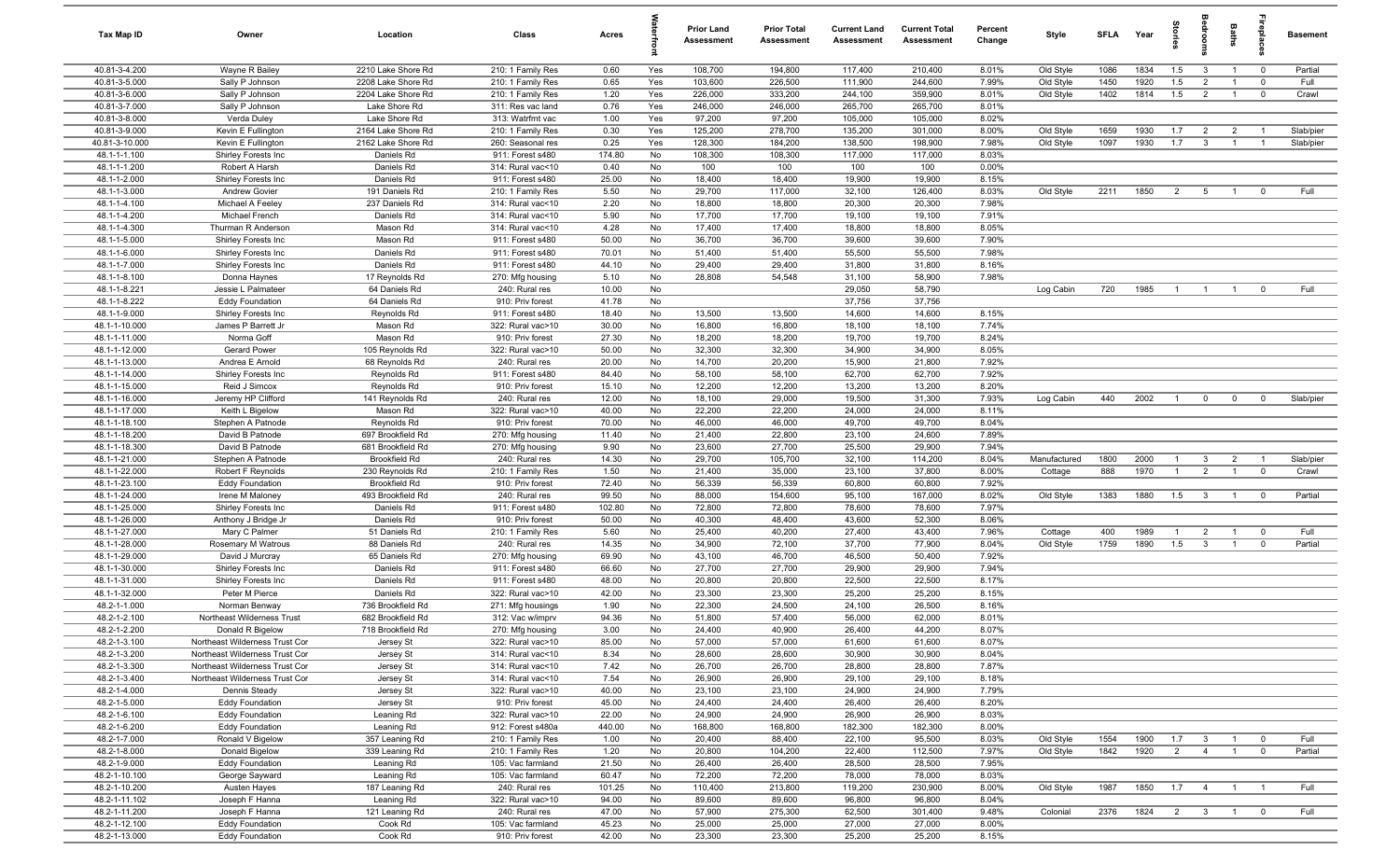| Tax Map ID                     | Owner                                          | Location                                  | Class                                  | Acres           |            | <b>Prior Land</b><br>Assessment | <b>Prior Total</b><br>Assessment | <b>Current Land</b><br>Assessment | <b>Current Total</b><br><b>Assessment</b> | Percent<br>Change | Style        | <b>SFLA</b> | Year | prie           |                         | Baths          |                | <b>Basement</b> |
|--------------------------------|------------------------------------------------|-------------------------------------------|----------------------------------------|-----------------|------------|---------------------------------|----------------------------------|-----------------------------------|-------------------------------------------|-------------------|--------------|-------------|------|----------------|-------------------------|----------------|----------------|-----------------|
| 40.81-3-4.200                  | Wayne R Bailey                                 | 2210 Lake Shore Rd                        | 210: 1 Family Res                      | 0.60            | Yes        | 108,700                         | 194,800                          | 117,400                           | 210,400                                   | 8.01%             | Old Style    | 1086        | 1834 | 1.5            | $\mathbf{3}$            | $\overline{1}$ | $\overline{0}$ | Partial         |
| 40.81-3-5.000                  | Sally P Johnson                                | 2208 Lake Shore Rd                        | 210: 1 Family Res                      | 0.65            | Yes        | 103,600                         | 226,500                          | 111,900                           | 244,600                                   | 7.99%             | Old Style    | 1450        | 1920 | 1.5            | $\overline{2}$          | $\overline{1}$ | $\mathbf 0$    | Full            |
| 40.81-3-6.000                  | Sally P Johnson                                | 2204 Lake Shore Rd                        | 210: 1 Family Res                      | 1.20            | Yes        | 226,000                         | 333,200                          | 244,100                           | 359,900                                   | 8.01%             | Old Style    | 1402        | 1814 | 1.5            | $\overline{2}$          | $\mathbf{1}$   | $\overline{0}$ | Crawl           |
| 40.81-3-7.000                  | Sally P Johnson                                | Lake Shore Rd                             | 311: Res vac land                      | 0.76            | Yes        | 246,000                         | 246,000                          | 265,700                           | 265,700                                   | 8.01%             |              |             |      |                |                         |                |                |                 |
| 40.81-3-8.000<br>40.81-3-9.000 | Verda Duley<br>Kevin E Fullington              | Lake Shore Rd<br>2164 Lake Shore Rd       | 313: Watrfrnt vac<br>210: 1 Family Res | 1.00<br>0.30    | Yes<br>Yes | 97,200<br>125,200               | 97,200<br>278,700                | 105,000<br>135,200                | 105,000<br>301,000                        | 8.02%<br>8.00%    | Old Style    | 1659        | 1930 | 1.7            | $\overline{2}$          | $\overline{2}$ | $\overline{1}$ | Slab/pier       |
| 40.81-3-10.000                 | Kevin E Fullington                             | 2162 Lake Shore Rd                        | 260: Seasonal res                      | 0.25            | Yes        | 128,300                         | 184,200                          | 138,500                           | 198,900                                   | 7.98%             | Old Style    | 1097        | 1930 | 1.7            | $\mathbf{3}$            | $\overline{1}$ | $\overline{1}$ | Slab/pier       |
| 48.1-1-1.100                   | Shirley Forests Inc                            | Daniels Rd                                | 911: Forest s480                       | 174.80          | No         | 108,300                         | 108,300                          | 117,000                           | 117,000                                   | 8.03%             |              |             |      |                |                         |                |                |                 |
| 48.1-1-1.200                   | Robert A Harsh                                 | Daniels Rd                                | 314: Rural vac<10                      | 0.40            | No         | 100                             | 100                              | 100                               | 100                                       | 0.00%             |              |             |      |                |                         |                |                |                 |
| 48.1-1-2.000                   | Shirley Forests Inc                            | Daniels Rd                                | 911: Forest s480                       | 25.00           | No         | 18,400                          | 18,400                           | 19,900                            | 19,900                                    | 8.15%             |              |             |      |                |                         |                |                |                 |
| 48.1-1-3.000                   | <b>Andrew Govier</b>                           | 191 Daniels Rd                            | 210: 1 Family Res                      | 5.50            | No         | 29,700                          | 117,000                          | 32,100                            | 126,400                                   | 8.03%             | Old Style    | 2211        | 1850 | $\overline{2}$ | 5                       | $\overline{1}$ | $\Omega$       | Full            |
| 48.1-1-4.100                   | Michael A Feeley                               | 237 Daniels Rd                            | 314: Rural vac<10                      | 2.20            | No         | 18,800                          | 18,800                           | 20,300                            | 20,300                                    | 7.98%             |              |             |      |                |                         |                |                |                 |
| 48.1-1-4.200                   | Michael French                                 | Daniels Rd                                | 314: Rural vac<10                      | 5.90            | No         | 17,700                          | 17,700                           | 19,100                            | 19,100                                    | 7.91%             |              |             |      |                |                         |                |                |                 |
| 48.1-1-4.300                   | Thurman R Anderson                             | Mason Rd                                  | 314: Rural vac<10                      | 4.28            | No         | 17,400                          | 17,400                           | 18,800                            | 18,800                                    | 8.05%             |              |             |      |                |                         |                |                |                 |
| 48.1-1-5.000                   | Shirley Forests Inc                            | Mason Rd                                  | 911: Forest s480                       | 50.00           | No         | 36,700                          | 36,700                           | 39,600                            | 39,600                                    | 7.90%             |              |             |      |                |                         |                |                |                 |
| 48.1-1-6.000                   | Shirley Forests Inc                            | Daniels Rd                                | 911: Forest s480                       | 70.01           | No         | 51,400                          | 51,400                           | 55,500                            | 55,500                                    | 7.98%             |              |             |      |                |                         |                |                |                 |
| 48.1-1-7.000                   | Shirley Forests Inc                            | Daniels Rd                                | 911: Forest s480                       | 44.10           | No         | 29,400                          | 29,400                           | 31,800                            | 31,800                                    | 8.16%             |              |             |      |                |                         |                |                |                 |
| 48.1-1-8.100<br>48.1-1-8.221   | Donna Haynes<br>Jessie L Palmateer             | 17 Reynolds Rd<br>64 Daniels Rd           | 270: Mfg housing                       | 5.10            | No<br>No   | 28,808                          | 54,548                           | 31,100<br>29,050                  | 58,900<br>58,790                          | 7.98%             |              |             | 1985 | $\overline{1}$ |                         | $\overline{1}$ |                | Full            |
| 48.1-1-8.222                   | <b>Eddy Foundation</b>                         | 64 Daniels Rd                             | 240: Rural res<br>910: Priv forest     | 10.00<br>41.78  | No         |                                 |                                  | 37,756                            | 37,756                                    |                   | Log Cabin    | 720         |      |                | $\overline{1}$          |                | $\overline{0}$ |                 |
| 48.1-1-9.000                   | Shirley Forests Inc                            | Reynolds Rd                               | 911: Forest s480                       | 18.40           | No         | 13,500                          | 13,500                           | 14,600                            | 14,600                                    | 8.15%             |              |             |      |                |                         |                |                |                 |
| 48.1-1-10.000                  | James P Barrett Jr                             | Mason Rd                                  | 322: Rural vac>10                      | 30.00           | No         | 16,800                          | 16,800                           | 18,100                            | 18,100                                    | 7.74%             |              |             |      |                |                         |                |                |                 |
| 48.1-1-11.000                  | Norma Goff                                     | Mason Rd                                  | 910: Priv forest                       | 27.30           | No         | 18,200                          | 18,200                           | 19,700                            | 19,700                                    | 8.24%             |              |             |      |                |                         |                |                |                 |
| 48.1-1-12.000                  | Gerard Power                                   | 105 Reynolds Rd                           | 322: Rural vac>10                      | 50.00           | No         | 32,300                          | 32,300                           | 34,900                            | 34,900                                    | 8.05%             |              |             |      |                |                         |                |                |                 |
| 48.1-1-13.000                  | Andrea E Arnold                                | 68 Reynolds Rd                            | 240: Rural res                         | 20.00           | No         | 14,700                          | 20,200                           | 15,900                            | 21,800                                    | 7.92%             |              |             |      |                |                         |                |                |                 |
| 48.1-1-14.000                  | Shirley Forests Inc                            | Reynolds Rd                               | 911: Forest s480                       | 84.40           | No         | 58,100                          | 58,100                           | 62,700                            | 62,700                                    | 7.92%             |              |             |      |                |                         |                |                |                 |
| 48.1-1-15.000                  | Reid J Simcox                                  | Reynolds Rd                               | 910: Priv forest                       | 15.10           | No         | 12,200                          | 12,200                           | 13,200                            | 13,200                                    | 8.20%             |              |             |      |                |                         |                |                |                 |
| 48.1-1-16.000                  | Jeremy HP Clifford                             | 141 Reynolds Rd                           | 240: Rural res                         | 12.00           | No         | 18,100                          | 29,000                           | 19,500                            | 31,300                                    | 7.93%             | Log Cabin    | 440         | 2002 | $\overline{1}$ | $\mathbf 0$             | $\overline{0}$ | $\overline{0}$ | Slab/pier       |
| 48.1-1-17.000                  | Keith L Bigelow                                | Mason Rd                                  | 322: Rural vac>10                      | 40.00           | No         | 22,200                          | 22,200                           | 24,000                            | 24,000                                    | 8.11%             |              |             |      |                |                         |                |                |                 |
| 48.1-1-18.100                  | Stephen A Patnode                              | Reynolds Rd                               | 910: Priv forest                       | 70.00           | No         | 46,000                          | 46,000                           | 49,700                            | 49,700                                    | 8.04%             |              |             |      |                |                         |                |                |                 |
| 48.1-1-18.200                  | David B Patnode                                | 697 Brookfield Rd                         | 270: Mfg housing                       | 11.40           | No         | 21,400                          | 22,800                           | 23,100                            | 24,600                                    | 7.89%             |              |             |      |                |                         |                |                |                 |
| 48.1-1-18.300<br>48.1-1-21.000 | David B Patnode<br>Stephen A Patnode           | 681 Brookfield Rd<br><b>Brookfield Rd</b> | 270: Mfg housing<br>240: Rural res     | 9.90<br>14.30   | No<br>No   | 23,600<br>29,700                | 27,700<br>105,700                | 25,500<br>32,100                  | 29,900<br>114,200                         | 7.94%<br>8.04%    | Manufactured | 1800        | 2000 | $\overline{1}$ | $\mathbf{3}$            | $\overline{2}$ | $\overline{1}$ | Slab/pier       |
| 48.1-1-22.000                  | Robert F Reynolds                              | 230 Reynolds Rd                           | 210: 1 Family Res                      | 1.50            | No         | 21,400                          | 35,000                           | 23,100                            | 37,800                                    | 8.00%             | Cottage      | 888         | 1970 | $\overline{1}$ | $\overline{2}$          | $\overline{1}$ | $\mathbf 0$    | Crawl           |
| 48.1-1-23.100                  | <b>Eddy Foundation</b>                         | <b>Brookfield Rd</b>                      | 910: Priv forest                       | 72.40           | No         | 56,339                          | 56,339                           | 60,800                            | 60,800                                    | 7.92%             |              |             |      |                |                         |                |                |                 |
| 48.1-1-24.000                  | Irene M Maloney                                | 493 Brookfield Rd                         | 240: Rural res                         | 99.50           | No         | 88,000                          | 154,600                          | 95,100                            | 167,000                                   | 8.02%             | Old Style    | 1383        | 1880 | 1.5            | $\mathbf{3}$            | $\overline{1}$ | $\overline{0}$ | Partial         |
| 48.1-1-25.000                  | Shirley Forests Inc                            | Daniels Rd                                | 911: Forest s480                       | 102.80          | No         | 72,800                          | 72,800                           | 78,600                            | 78,600                                    | 7.97%             |              |             |      |                |                         |                |                |                 |
| 48.1-1-26.000                  | Anthony J Bridge Jr                            | Daniels Rd                                | 910: Priv forest                       | 50.00           | No         | 40,300                          | 48,400                           | 43,600                            | 52,300                                    | 8.06%             |              |             |      |                |                         |                |                |                 |
| 48.1-1-27.000                  | Mary C Palmer                                  | 51 Daniels Rd                             | 210: 1 Family Res                      | 5.60            | No         | 25,400                          | 40,200                           | 27,400                            | 43,400                                    | 7.96%             | Cottage      | 400         | 1989 | $\overline{1}$ | $\overline{2}$          | $\overline{1}$ | $\mathbf 0$    | Full            |
| 48.1-1-28.000                  | Rosemary M Watrous                             | 88 Daniels Rd                             | 240: Rural res                         | 14.35           | No         | 34,900                          | 72,100                           | 37,700                            | 77,900                                    | 8.04%             | Old Style    | 1759        | 1890 | 1.5            | $\mathbf{3}$            | $\overline{1}$ | $\mathbf 0$    | Partial         |
| 48.1-1-29.000                  | David J Murcray                                | 65 Daniels Rd                             | 270: Mfg housing                       | 69.90           | No         | 43,100                          | 46,700                           | 46,500                            | 50,400                                    | 7.92%             |              |             |      |                |                         |                |                |                 |
| 48.1-1-30.000                  | Shirley Forests Inc                            | Daniels Rd                                | 911: Forest s480                       | 66.60           | No         | 27,700                          | 27,700                           | 29,900                            | 29,900                                    | 7.94%             |              |             |      |                |                         |                |                |                 |
| 48.1-1-31.000                  | Shirley Forests Inc                            | Daniels Rd                                | 911: Forest s480                       | 48.00           | No         | 20,800                          | 20,800                           | 22,500                            | 22,500                                    | 8.17%             |              |             |      |                |                         |                |                |                 |
| 48.1-1-32.000                  | Peter M Pierce                                 | Daniels Rd                                | 322: Rural vac>10                      | 42.00           | No         | 23,300                          | 23,300                           | 25,200                            | 25,200                                    | 8.15%             |              |             |      |                |                         |                |                |                 |
| 48.2-1-1.000                   | Norman Benway                                  | 736 Brookfield Rd                         | 271: Mfg housings                      | 1.90<br>94.36   | No<br>No   | 22,300                          | 24,500                           | 24,100<br>56,000                  | 26,500<br>62,000                          | 8.16%<br>8.01%    |              |             |      |                |                         |                |                |                 |
| 48.2-1-2.100<br>48.2-1-2.200   | Northeast Wilderness Trust<br>Donald R Bigelow | 682 Brookfield Rd<br>718 Brookfield Rd    | 312: Vac w/imprv<br>270: Mfg housing   | 3.00            | No         | 51,800<br>24,400                | 57,400<br>40,900                 | 26,400                            | 44,200                                    | 8.07%             |              |             |      |                |                         |                |                |                 |
| 48.2-1-3.100                   | Northeast Wilderness Trust Cor                 | Jersey St                                 | 322: Rural vac>10                      | 85.00           | No         | 57,000                          | 57,000                           | 61,600                            | 61,600                                    | 8.07%             |              |             |      |                |                         |                |                |                 |
| 48.2-1-3.200                   | Northeast Wilderness Trust Cor                 | Jersey St                                 | 314: Rural vac<10                      | 8.34            | No         | 28,600                          | 28,600                           | 30,900                            | 30,900                                    | 8.04%             |              |             |      |                |                         |                |                |                 |
| 48.2-1-3.300                   | Northeast Wilderness Trust Cor                 | Jersey St                                 | 314: Rural vac<10                      | 7.42            | No         | 26,700                          | 26,700                           | 28,800                            | 28,800                                    | 7.87%             |              |             |      |                |                         |                |                |                 |
| 48.2-1-3.400                   | Northeast Wilderness Trust Cor                 | Jersey St                                 | 314: Rural vac<10                      | 7.54            | No         | 26,900                          | 26,900                           | 29,100                            | 29,100                                    | 8.18%             |              |             |      |                |                         |                |                |                 |
| 48.2-1-4.000                   | Dennis Steady                                  | Jersey St                                 | 322: Rural vac>10                      | 40.00           | No         | 23,100                          | 23,100                           | 24,900                            | 24,900                                    | 7.79%             |              |             |      |                |                         |                |                |                 |
| 48.2-1-5.000                   | <b>Eddy Foundation</b>                         | Jersey St                                 | 910: Priv forest                       | 45.00           | No         | 24,400                          | 24,400                           | 26,400                            | 26,400                                    | 8.20%             |              |             |      |                |                         |                |                |                 |
| 48.2-1-6.100                   | <b>Eddy Foundation</b>                         | Leaning Rd                                | 322: Rural vac>10                      | 22.00           | No         | 24,900                          | 24,900                           | 26,900                            | 26,900                                    | 8.03%             |              |             |      |                |                         |                |                |                 |
| 48.2-1-6.200                   | <b>Eddy Foundation</b>                         | Leaning Rd                                | 912: Forest s480a                      | 440.00          | No         | 168,800                         | 168,800                          | 182,300                           | 182,300                                   | 8.00%             |              |             |      |                |                         |                |                |                 |
| 48.2-1-7.000                   | Ronald V Bigelow                               | 357 Leaning Rd                            | 210: 1 Family Res                      | 1.00            | No         | 20,400                          | 88,400                           | 22,100                            | 95,500                                    | 8.03%             | Old Style    | 1554        | 1900 | 1.7            | $\overline{\mathbf{3}}$ | $\overline{1}$ | $\overline{0}$ | Full            |
| 48.2-1-8.000                   | Donald Bigelow                                 | 339 Leaning Rd                            | 210: 1 Family Res                      | 1.20            | No         | 20,800                          | 104,200                          | 22,400                            | 112,500                                   | 7.97%             | Old Style    | 1842        | 1920 | $\overline{2}$ | $\overline{4}$          | $\overline{1}$ | $\overline{0}$ | Partial         |
| 48.2-1-9.000                   | <b>Eddy Foundation</b>                         | Leaning Rd                                | 105: Vac farmland                      | 21.50           | No         | 26,400                          | 26,400                           | 28,500                            | 28,500                                    | 7.95%             |              |             |      |                |                         |                |                |                 |
| 48.2-1-10.100<br>48.2-1-10.200 | George Sayward                                 | Leaning Rd<br>187 Leaning Rd              | 105: Vac farmland<br>240: Rural res    | 60.47<br>101.25 | No<br>No   | 72,200<br>110,400               | 72,200<br>213,800                | 78,000<br>119,200                 | 78,000<br>230,900                         | 8.03%<br>8.00%    | Old Style    | 1987        | 1850 | 1.7            | $\overline{4}$          | $\overline{1}$ | $\overline{1}$ | Full            |
| 48.2-1-11.102                  | Austen Hayes<br>Joseph F Hanna                 | Leaning Rd                                | 322: Rural vac>10                      | 94.00           | No         | 89,600                          | 89,600                           | 96,800                            | 96,800                                    | 8.04%             |              |             |      |                |                         |                |                |                 |
| 48.2-1-11.200                  | Joseph F Hanna                                 | 121 Leaning Rd                            | 240: Rural res                         | 47.00           | No         | 57,900                          | 275,300                          | 62,500                            | 301,400                                   | 9.48%             | Colonial     | 2376        | 1824 |                | 2 3                     | $\overline{1}$ | $\overline{0}$ | Full            |
| 48.2-1-12.100                  | <b>Eddy Foundation</b>                         | Cook Rd                                   | 105: Vac farmland                      | 45.23           | No         | 25,000                          | 25,000                           | 27,000                            | 27,000                                    | 8.00%             |              |             |      |                |                         |                |                |                 |
| 48.2-1-13.000                  | <b>Eddy Foundation</b>                         | Cook Rd                                   | 910: Priv forest                       | 42.00           | No         | 23,300                          | 23,300                           | 25,200                            | 25,200                                    | 8.15%             |              |             |      |                |                         |                |                |                 |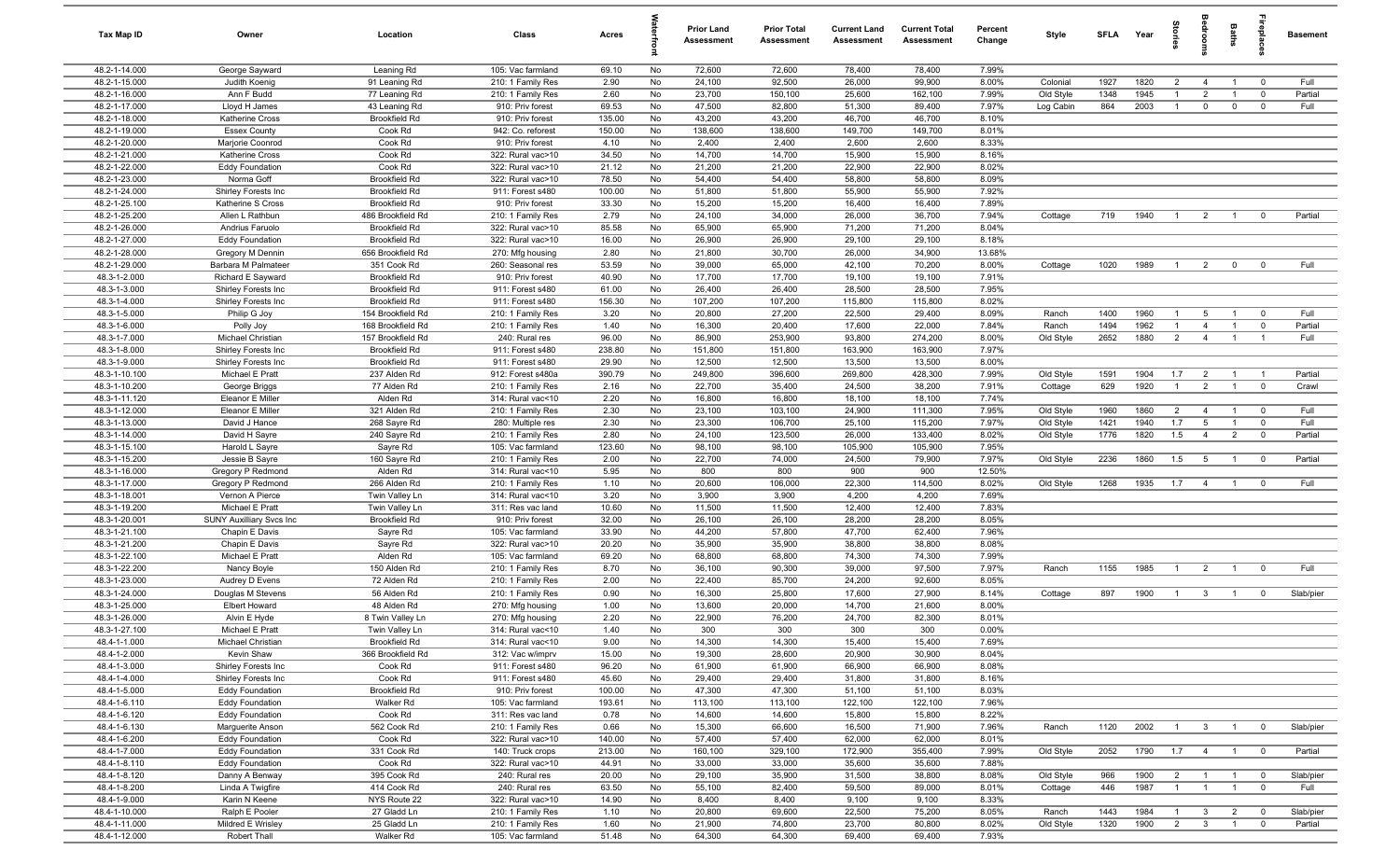| Tax Map ID                     | Owner                                    | Location                              | Class                                  | Acres            |          | <b>Prior Land</b><br>Assessment | <b>Prior Total</b><br>Assessment | <b>Current Land</b><br>Assessment | <b>Current Total</b><br><b>Assessment</b> | Percent<br>Change | Style     | <b>SFLA</b> | Year         | tories                           |                 | <b>Baths</b>                     | repia          | <b>Basement</b>   |
|--------------------------------|------------------------------------------|---------------------------------------|----------------------------------------|------------------|----------|---------------------------------|----------------------------------|-----------------------------------|-------------------------------------------|-------------------|-----------|-------------|--------------|----------------------------------|-----------------|----------------------------------|----------------|-------------------|
| 48.2-1-14.000                  | George Sayward                           | Leaning Rd                            | 105: Vac farmland                      | 69.10            | No       | 72,600                          | 72,600                           | 78,400                            | 78,400                                    | 7.99%             |           |             |              |                                  |                 |                                  |                |                   |
| 48.2-1-15.000                  | Judith Koenig                            | 91 Leaning Rd                         | 210: 1 Family Res                      | 2.90             | No       | 24,100                          | 92,500                           | 26,000                            | 99,900                                    | 8.00%             | Colonial  | 1927        | 1820         | $\overline{2}$                   | $\overline{4}$  | $\overline{1}$                   | $\overline{0}$ | Full              |
| 48.2-1-16.000                  | Ann F Budd                               | 77 Leaning Rd                         | 210: 1 Family Res                      | 2.60             | No       | 23,700                          | 150,100                          | 25,600                            | 162,100                                   | 7.99%             | Old Style | 1348        | 1945         |                                  | $\overline{2}$  |                                  | $\mathbf 0$    | Partial           |
| 48.2-1-17.000                  | Lloyd H James                            | 43 Leaning Rd                         | 910: Priv forest                       | 69.53            | No       | 47,500                          | 82,800                           | 51,300                            | 89,400                                    | 7.97%             | Log Cabin | 864         | 2003         |                                  | $\mathbf 0$     | $\mathbf 0$                      | $\mathbf 0$    | Full              |
| 48.2-1-18.000<br>48.2-1-19.000 | Katherine Cross<br><b>Essex County</b>   | <b>Brookfield Rd</b><br>Cook Rd       | 910: Priv forest<br>942: Co. reforest  | 135.00<br>150.00 | No<br>No | 43,200<br>138,600               | 43,200<br>138,600                | 46,700<br>149,700                 | 46,700<br>149,700                         | 8.10%<br>8.01%    |           |             |              |                                  |                 |                                  |                |                   |
| 48.2-1-20.000                  | Marjorie Coonrod                         | Cook Rd                               | 910: Priv forest                       | 4.10             | No       | 2,400                           | 2,400                            | 2,600                             | 2,600                                     | 8.33%             |           |             |              |                                  |                 |                                  |                |                   |
| 48.2-1-21.000                  | Katherine Cross                          | Cook Rd                               | 322: Rural vac>10                      | 34.50            | No       | 14,700                          | 14,700                           | 15,900                            | 15,900                                    | 8.16%             |           |             |              |                                  |                 |                                  |                |                   |
| 48.2-1-22.000                  | <b>Eddy Foundation</b>                   | Cook Rd                               | 322: Rural vac>10                      | 21.12            | No       | 21,200                          | 21,200                           | 22,900                            | 22,900                                    | 8.02%             |           |             |              |                                  |                 |                                  |                |                   |
| 48.2-1-23.000                  | Norma Goff                               | <b>Brookfield Rd</b>                  | 322: Rural vac>10                      | 78.50            | No       | 54,400                          | 54,400                           | 58,800                            | 58,800                                    | 8.09%             |           |             |              |                                  |                 |                                  |                |                   |
| 48.2-1-24.000                  | Shirley Forests Inc                      | <b>Brookfield Rd</b>                  | 911: Forest s480                       | 100.00           | No       | 51,800                          | 51,800                           | 55,900                            | 55,900                                    | 7.92%             |           |             |              |                                  |                 |                                  |                |                   |
| 48.2-1-25.100                  | Katherine S Cross                        | <b>Brookfield Rd</b>                  | 910: Priv forest                       | 33.30            | No       | 15,200                          | 15,200                           | 16,400                            | 16,400                                    | 7.89%             |           |             |              |                                  |                 |                                  |                |                   |
| 48.2-1-25.200                  | Allen L Rathbun                          | 486 Brookfield Rd                     | 210: 1 Family Res                      | 2.79             | No       | 24,100                          | 34,000                           | 26,000                            | 36,700                                    | 7.94%             | Cottage   | 719         | 1940         | $\overline{1}$                   | $\overline{2}$  | $\overline{1}$                   | $\mathbf{0}$   | Partial           |
| 48.2-1-26.000                  | Andrius Faruolo                          | <b>Brookfield Rd</b>                  | 322: Rural vac>10                      | 85.58            | No       | 65,900                          | 65,900                           | 71,200                            | 71,200                                    | 8.04%             |           |             |              |                                  |                 |                                  |                |                   |
| 48.2-1-27.000                  | <b>Eddy Foundation</b>                   | <b>Brookfield Rd</b>                  | 322: Rural vac>10                      | 16.00            | No       | 26,900                          | 26,900                           | 29,100                            | 29,100                                    | 8.18%             |           |             |              |                                  |                 |                                  |                |                   |
| 48.2-1-28.000                  | Gregory M Dennin                         | 656 Brookfield Rd                     | 270: Mfg housing                       | 2.80             | No       | 21,800                          | 30,700                           | 26,000                            | 34,900                                    | 13.68%            |           |             |              |                                  |                 |                                  |                |                   |
| 48.2-1-29.000                  | Barbara M Palmateer                      | 351 Cook Rd                           | 260: Seasonal res                      | 53.59            | No       | 39,000                          | 65,000                           | 42,100                            | 70,200                                    | 8.00%             | Cottage   | 1020        | 1989         |                                  | $\overline{2}$  | $\mathbf{0}$                     | $\overline{0}$ | Full              |
| 48.3-1-2.000<br>48.3-1-3.000   | Richard E Sayward<br>Shirley Forests Inc | <b>Brookfield Rd</b><br>Brookfield Rd | 910: Priv forest<br>911: Forest s480   | 40.90<br>61.00   | No<br>No | 17,700<br>26,400                | 17,700<br>26,400                 | 19,100<br>28,500                  | 19,100<br>28,500                          | 7.91%<br>7.95%    |           |             |              |                                  |                 |                                  |                |                   |
| 48.3-1-4.000                   | Shirley Forests Inc                      | Brookfield Rd                         | 911: Forest s480                       | 156.30           | No       | 107,200                         | 107,200                          | 115,800                           | 115,800                                   | 8.02%             |           |             |              |                                  |                 |                                  |                |                   |
| 48.3-1-5.000                   | Philip G Joy                             | 154 Brookfield Rd                     | 210: 1 Family Res                      | 3.20             | No       | 20,800                          | 27,200                           | 22,500                            | 29,400                                    | 8.09%             | Ranch     | 1400        | 1960         | $\overline{1}$                   | 5               | $\overline{1}$                   | $\overline{0}$ | Full              |
| 48.3-1-6.000                   | Polly Joy                                | 168 Brookfield Rd                     | 210: 1 Family Res                      | 1.40             | No       | 16,300                          | 20,400                           | 17,600                            | 22,000                                    | 7.84%             | Ranch     | 1494        | 1962         | $\overline{1}$                   | $\overline{4}$  | $\overline{1}$                   | $\overline{0}$ | Partial           |
| 48.3-1-7.000                   | Michael Christian                        | 157 Brookfield Rd                     | 240: Rural res                         | 96.00            | No       | 86,900                          | 253,900                          | 93,800                            | 274,200                                   | 8.00%             | Old Style | 2652        | 1880         | $\overline{2}$                   | $\overline{4}$  | $\overline{1}$                   | $\overline{1}$ | Full              |
| 48.3-1-8.000                   | Shirley Forests Inc                      | <b>Brookfield Rd</b>                  | 911: Forest s480                       | 238.80           | No       | 151,800                         | 151,800                          | 163,900                           | 163,900                                   | 7.97%             |           |             |              |                                  |                 |                                  |                |                   |
| 48.3-1-9.000                   | Shirley Forests Inc                      | <b>Brookfield Rd</b>                  | 911: Forest s480                       | 29.90            | No       | 12,500                          | 12,500                           | 13,500                            | 13,500                                    | 8.00%             |           |             |              |                                  |                 |                                  |                |                   |
| 48.3-1-10.100                  | Michael E Pratt                          | 237 Alden Rd                          | 912: Forest s480a                      | 390.79           | No       | 249,800                         | 396,600                          | 269,800                           | 428,300                                   | 7.99%             | Old Style | 1591        | 1904         | 1.7                              | $\overline{2}$  | $\overline{1}$                   | $\overline{1}$ | Partial           |
| 48.3-1-10.200                  | George Briggs                            | 77 Alden Rd                           | 210: 1 Family Res                      | 2.16             | No       | 22,700                          | 35,400                           | 24,500                            | 38,200                                    | 7.91%             | Cottage   | 629         | 1920         | $\overline{1}$                   | $\overline{2}$  | $\overline{1}$                   | $\overline{0}$ | Crawl             |
| 48.3-1-11.120                  | Eleanor E Miller                         | Alden Rd                              | 314: Rural vac<10                      | 2.20             | No       | 16,800                          | 16,800                           | 18,100                            | 18,100                                    | 7.74%             |           |             |              |                                  |                 |                                  |                |                   |
| 48.3-1-12.000                  | Eleanor E Miller                         | 321 Alden Rd                          | 210: 1 Family Res                      | 2.30             | No       | 23,100                          | 103,100                          | 24,900                            | 111,300                                   | 7.95%             | Old Style | 1960        | 1860         | $\overline{2}$                   | $\overline{4}$  | $\overline{1}$                   | $\overline{0}$ | Full              |
| 48.3-1-13.000                  | David J Hance                            | 268 Sayre Rd                          | 280: Multiple res                      | 2.30             | No       | 23,300                          | 106,700                          | 25,100                            | 115,200                                   | 7.97%             | Old Style | 1421        | 1940         | 1.7                              | 5               |                                  | $\overline{0}$ | Full              |
| 48.3-1-14.000                  | David H Sayre                            | 240 Sayre Rd                          | 210: 1 Family Res                      | 2.80             | No       | 24,100                          | 123,500                          | 26,000                            | 133,400                                   | 8.02%             | Old Style | 1776        | 1820         | 1.5                              | $\overline{4}$  | $\overline{2}$                   | $\overline{0}$ | Partial           |
| 48.3-1-15.100<br>48.3-1-15.200 | Harold L Sayre<br>Jessie B Sayre         | Sayre Rd<br>160 Sayre Rd              | 105: Vac farmland<br>210: 1 Family Res | 123.60<br>2.00   | No<br>No | 98,100<br>22,700                | 98,100<br>74,000                 | 105,900<br>24,500                 | 105,900<br>79,900                         | 7.95%<br>7.97%    | Old Style | 2236        | 1860         | 1.5                              | $5\overline{5}$ | $\overline{1}$                   | $\overline{0}$ | Partial           |
| 48.3-1-16.000                  | Gregory P Redmond                        | Alden Rd                              | 314: Rural vac<10                      | 5.95             | No       | 800                             | 800                              | 900                               | 900                                       | 12.50%            |           |             |              |                                  |                 |                                  |                |                   |
| 48.3-1-17.000                  | Gregory P Redmond                        | 266 Alden Rd                          | 210: 1 Family Res                      | 1.10             | No       | 20,600                          | 106,000                          | 22,300                            | 114,500                                   | 8.02%             | Old Style | 1268        | 1935         | 1.7                              | $\overline{4}$  | $\overline{1}$                   | $^{\circ}$     | Full              |
| 48.3-1-18.001                  | Vernon A Pierce                          | Twin Valley Ln                        | 314: Rural vac<10                      | 3.20             | No       | 3,900                           | 3,900                            | 4,200                             | 4,200                                     | 7.69%             |           |             |              |                                  |                 |                                  |                |                   |
| 48.3-1-19.200                  | Michael E Pratt                          | Twin Valley Ln                        | 311: Res vac land                      | 10.60            | No       | 11,500                          | 11,500                           | 12,400                            | 12,400                                    | 7.83%             |           |             |              |                                  |                 |                                  |                |                   |
| 48.3-1-20.001                  | <b>SUNY Auxilliary Svcs Inc</b>          | <b>Brookfield Rd</b>                  | 910: Priv forest                       | 32.00            | No       | 26,100                          | 26,100                           | 28,200                            | 28,200                                    | 8.05%             |           |             |              |                                  |                 |                                  |                |                   |
| 48.3-1-21.100                  | Chapin E Davis                           | Sayre Rd                              | 105: Vac farmland                      | 33.90            | No       | 44,200                          | 57,800                           | 47,700                            | 62,400                                    | 7.96%             |           |             |              |                                  |                 |                                  |                |                   |
| 48.3-1-21.200                  | Chapin E Davis                           | Sayre Rd                              | 322: Rural vac>10                      | 20.20            | No       | 35,900                          | 35,900                           | 38,800                            | 38,800                                    | 8.08%             |           |             |              |                                  |                 |                                  |                |                   |
| 48.3-1-22.100                  | Michael E Pratt                          | Alden Rd                              | 105: Vac farmland                      | 69.20            | No       | 68,800                          | 68,800                           | 74,300                            | 74,300                                    | 7.99%             |           |             |              |                                  |                 |                                  |                |                   |
| 48.3-1-22.200                  | Nancy Boyle                              | 150 Alden Rd                          | 210: 1 Family Res                      | 8.70             | No       | 36,100                          | 90,300                           | 39,000                            | 97,500                                    | 7.97%             | Ranch     | 1155        | 1985         |                                  | $\overline{2}$  |                                  | $\mathbf 0$    | Full              |
| 48.3-1-23.000                  | Audrey D Evens                           | 72 Alden Rd                           | 210: 1 Family Res                      | 2.00             | No       | 22,400                          | 85,700                           | 24,200                            | 92,600                                    | 8.05%             |           |             |              |                                  |                 |                                  |                |                   |
| 48.3-1-24.000                  | Douglas M Stevens                        | 56 Alden Rd                           | 210: 1 Family Res                      | 0.90             | No       | 16,300                          | 25,800                           | 17,600                            | 27,900                                    | 8.14%             | Cottage   | 897         | 1900         |                                  | $\mathbf{3}$    |                                  | $\mathbf 0$    | Slab/pier         |
| 48.3-1-25.000<br>48.3-1-26.000 | <b>Elbert Howard</b><br>Alvin E Hyde     | 48 Alden Rd<br>8 Twin Valley Ln       | 270: Mfg housing                       | 1.00<br>2.20     | No<br>No | 13,600<br>22,900                | 20,000<br>76,200                 | 14,700<br>24,700                  | 21,600<br>82,300                          | 8.00%<br>8.01%    |           |             |              |                                  |                 |                                  |                |                   |
| 48.3-1-27.100                  | Michael E Pratt                          | Twin Valley Ln                        | 270: Mfg housing<br>314: Rural vac<10  | 1.40             | No       | 300                             | 300                              | 300                               | 300                                       | $0.00\%$          |           |             |              |                                  |                 |                                  |                |                   |
| 48.4-1-1.000                   | Michael Christian                        | <b>Brookfield Rd</b>                  | 314: Rural vac<10                      | 9.00             | No       | 14,300                          | 14,300                           | 15,400                            | 15,400                                    | 7.69%             |           |             |              |                                  |                 |                                  |                |                   |
| 48.4-1-2.000                   | Kevin Shaw                               | 366 Brookfield Rd                     | 312: Vac w/imprv                       | 15.00            | No       | 19,300                          | 28,600                           | 20,900                            | 30,900                                    | 8.04%             |           |             |              |                                  |                 |                                  |                |                   |
| 48.4-1-3.000                   | Shirley Forests Inc                      | Cook Rd                               | 911: Forest s480                       | 96.20            | No       | 61,900                          | 61,900                           | 66,900                            | 66,900                                    | 8.08%             |           |             |              |                                  |                 |                                  |                |                   |
| 48.4-1-4.000                   | Shirley Forests Inc                      | Cook Rd                               | 911: Forest s480                       | 45.60            | No       | 29,400                          | 29,400                           | 31,800                            | 31,800                                    | 8.16%             |           |             |              |                                  |                 |                                  |                |                   |
| 48.4-1-5.000                   | <b>Eddy Foundation</b>                   | <b>Brookfield Rd</b>                  | 910: Priv forest                       | 100.00           | No       | 47,300                          | 47,300                           | 51,100                            | 51,100                                    | 8.03%             |           |             |              |                                  |                 |                                  |                |                   |
| 48.4-1-6.110                   | <b>Eddy Foundation</b>                   | Walker Rd                             | 105: Vac farmland                      | 193.61           | No       | 113,100                         | 113,100                          | 122,100                           | 122,100                                   | 7.96%             |           |             |              |                                  |                 |                                  |                |                   |
| 48.4-1-6.120                   | <b>Eddy Foundation</b>                   | Cook Rd                               | 311: Res vac land                      | 0.78             | No       | 14,600                          | 14,600                           | 15,800                            | 15,800                                    | 8.22%             |           |             |              |                                  |                 |                                  |                |                   |
| 48.4-1-6.130                   | Marguerite Anson                         | 562 Cook Rd                           | 210: 1 Family Res                      | 0.66             | No       | 15,300                          | 66,600                           | 16,500                            | 71,900                                    | 7.96%             | Ranch     | 1120        | 2002         | $\overline{1}$                   | $\mathbf{3}$    | $\overline{1}$                   | $\overline{0}$ | Slab/pier         |
| 48.4-1-6.200                   | <b>Eddy Foundation</b>                   | Cook Rd                               | 322: Rural vac>10                      | 140.00           | No       | 57,400                          | 57,400                           | 62,000                            | 62,000                                    | 8.01%             |           |             |              |                                  |                 |                                  |                |                   |
| 48.4-1-7.000                   | <b>Eddy Foundation</b>                   | 331 Cook Rd                           | 140: Truck crops                       | 213.00           | No       | 160,100                         | 329,100                          | 172,900                           | 355,400                                   | 7.99%             | Old Style | 2052        | 1790         | $1.7 \t 4$                       |                 | $-1$                             | $\overline{0}$ | Partial           |
| 48.4-1-8.110                   | <b>Eddy Foundation</b>                   | Cook Rd                               | 322: Rural vac>10                      | 44.91            | No       | 33,000                          | 33,000                           | 35,600                            | 35,600                                    | 7.88%             |           |             |              |                                  |                 |                                  |                |                   |
| 48.4-1-8.120                   | Danny A Benway                           | 395 Cook Rd                           | 240: Rural res                         | 20.00            | No       | 29,100                          | 35,900                           | 31,500                            | 38,800                                    | 8.08%             | Old Style | 966<br>446  | 1900<br>1987 | $\overline{2}$<br>$\overline{1}$ | $\overline{1}$  | $\overline{1}$<br>$\overline{1}$ | $\overline{0}$ | Slab/pier<br>Full |
| 48.4-1-8.200<br>48.4-1-9.000   | Linda A Twigfire<br>Karin N Keene        | 414 Cook Rd<br>NYS Route 22           | 240: Rural res<br>322: Rural vac>10    | 63.50<br>14.90   | No<br>No | 55,100<br>8,400                 | 82,400<br>8,400                  | 59,500<br>9,100                   | 89,000<br>9,100                           | 8.01%<br>8.33%    | Cottage   |             |              |                                  | $\overline{1}$  |                                  | $\overline{0}$ |                   |
| 48.4-1-10.000                  | Ralph E Pooler                           | 27 Gladd Ln                           | 210: 1 Family Res                      | 1.10             | No       | 20,800                          | 69,600                           | 22,500                            | 75,200                                    | 8.05%             | Ranch     | 1443        | 1984         | $\overline{1}$                   | $\mathbf{3}$    | $\overline{2}$                   | $\overline{0}$ | Slab/pier         |
| 48.4-1-11.000                  | Mildred E Wrisley                        | 25 Gladd Ln                           | 210: 1 Family Res                      | 1.60             | No       | 21,900                          | 74,800                           | 23,700                            | 80,800                                    | 8.02%             | Old Style | 1320        | 1900         | $\overline{2}$                   | $\mathbf{3}$    | $\overline{1}$                   | $\overline{0}$ | Partial           |
| 48.4-1-12.000                  | Robert Thall                             | Walker Rd                             | 105: Vac farmland                      | 51.48            | No       | 64,300                          | 64,300                           | 69,400                            | 69,400                                    | 7.93%             |           |             |              |                                  |                 |                                  |                |                   |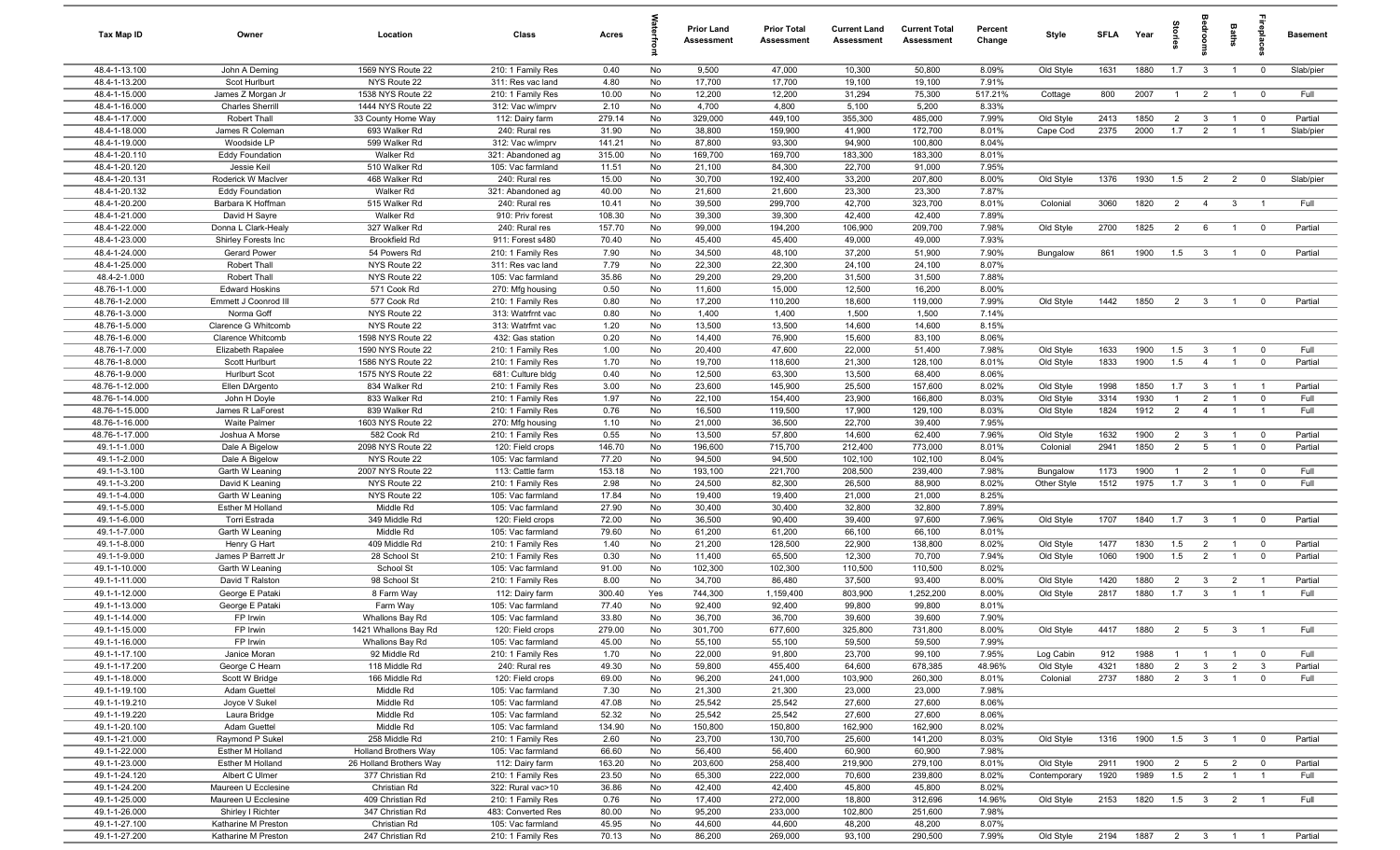| Tax Map ID                       | Owner                                        | Location                                | Class                                  | Acres           |          | <b>Prior Land</b><br>Assessment | <b>Prior Total</b><br>Assessment | <b>Current Land</b><br>Assessment | <b>Current Total</b><br><b>Assessment</b> | Percent<br>Change | Style        | <b>SFLA</b> | Year       | ă              | å                       | Baths          | epla                    | <b>Basement</b> |
|----------------------------------|----------------------------------------------|-----------------------------------------|----------------------------------------|-----------------|----------|---------------------------------|----------------------------------|-----------------------------------|-------------------------------------------|-------------------|--------------|-------------|------------|----------------|-------------------------|----------------|-------------------------|-----------------|
| 48.4-1-13.100                    | John A Deming                                | 1569 NYS Route 22                       | 210: 1 Family Res                      | 0.40            | No       | 9,500                           | 47,000                           | 10,300                            | 50,800                                    | 8.09%             | Old Style    | 1631        | 1880       | 1.7            | $\mathbf{3}$            | $\overline{1}$ | $\mathbf 0$             | Slab/pier       |
| 48.4-1-13.200                    | Scot Hurlburt                                | NYS Route 22<br>1538 NYS Route 22       | 311: Res vac land<br>210: 1 Family Res | 4.80            | No       | 17,700                          | 17,700                           | 19,100                            | 19,100                                    | 7.91%             |              |             |            |                |                         |                |                         |                 |
| 48.4-1-15.000<br>48.4-1-16.000   | James Z Morgan Jr<br><b>Charles Sherrill</b> | 1444 NYS Route 22                       | 312: Vac w/imprv                       | 10.00<br>2.10   | No<br>No | 12,200<br>4,700                 | 12,200<br>4,800                  | 31,294<br>5,100                   | 75,300<br>5,200                           | 517.21%<br>8.33%  | Cottage      | 800         | 2007       | - 1            | $\overline{2}$          | $\overline{1}$ | $\overline{0}$          | Full            |
| 48.4-1-17.000                    | Robert Thall                                 | 33 County Home Way                      | 112: Dairy farm                        | 279.14          | No       | 329,000                         | 449,100                          | 355,300                           | 485,000                                   | 7.99%             | Old Style    | 2413        | 1850       | 2              | $\mathbf{3}$            | $\overline{1}$ | $\overline{0}$          | Partial         |
| 48.4-1-18.000                    | James R Coleman                              | 693 Walker Rd                           | 240: Rural res                         | 31.90           | No       | 38,800                          | 159,900                          | 41,900                            | 172,700                                   | 8.01%             | Cape Cod     | 2375        | 2000       | 1.7            | $\overline{2}$          | $\overline{1}$ | $\overline{1}$          | Slab/pier       |
| 48.4-1-19.000                    | Woodside LP                                  | 599 Walker Rd                           | 312: Vac w/imprv                       | 141.21          | No       | 87,800                          | 93,300                           | 94,900                            | 100,800                                   | 8.04%             |              |             |            |                |                         |                |                         |                 |
| 48.4-1-20.110                    | <b>Eddy Foundation</b>                       | Walker Rd                               | 321: Abandoned ag                      | 315.00          | No       | 169,700                         | 169,700                          | 183,300                           | 183,300                                   | 8.01%             |              |             |            |                |                         |                |                         |                 |
| 48.4-1-20.120                    | Jessie Keil                                  | 510 Walker Rd                           | 105: Vac farmland                      | 11.51           | No       | 21,100                          | 84,300                           | 22,700                            | 91,000                                    | 7.95%             |              |             |            |                |                         |                |                         |                 |
| 48.4-1-20.131                    | Roderick W MacIver                           | 468 Walker Rd                           | 240: Rural res                         | 15.00           | No       | 30,700                          | 192,400                          | 33,200                            | 207,800                                   | 8.00%             | Old Style    | 1376        | 1930       | 1.5            | $\overline{2}$          | $\overline{2}$ | $\mathbf 0$             | Slab/pier       |
| 48.4-1-20.132                    | <b>Eddy Foundation</b>                       | Walker Rd                               | 321: Abandoned ag                      | 40.00           | No       | 21,600                          | 21,600                           | 23,300                            | 23,300                                    | 7.87%             |              |             |            |                |                         |                |                         |                 |
| 48.4-1-20.200<br>48.4-1-21.000   | Barbara K Hoffman<br>David H Sayre           | 515 Walker Rd<br>Walker Rd              | 240: Rural res<br>910: Priv forest     | 10.41<br>108.30 | No<br>No | 39,500<br>39,300                | 299,700<br>39,300                | 42,700<br>42,400                  | 323,700<br>42,400                         | 8.01%<br>7.89%    | Colonial     | 3060        | 1820       | $\overline{2}$ | $\overline{4}$          | $\mathbf{3}$   | $\overline{1}$          | Full            |
| 48.4-1-22.000                    | Donna L Clark-Healy                          | 327 Walker Rd                           | 240: Rural res                         | 157.70          | No       | 99,000                          | 194,200                          | 106,900                           | 209,700                                   | 7.98%             | Old Style    | 2700        | 1825       | $\overline{2}$ | 6                       | $\overline{1}$ | $\overline{\mathbf{0}}$ | Partial         |
| 48.4-1-23.000                    | Shirley Forests Inc                          | <b>Brookfield Rd</b>                    | 911: Forest s480                       | 70.40           | No       | 45,400                          | 45,400                           | 49,000                            | 49,000                                    | 7.93%             |              |             |            |                |                         |                |                         |                 |
| 48.4-1-24.000                    | Gerard Power                                 | 54 Powers Rd                            | 210: 1 Family Res                      | 7.90            | No       | 34,500                          | 48,100                           | 37,200                            | 51,900                                    | 7.90%             | Bungalow     | 861         | 1900       | 1.5            | $\mathbf{3}$            | $\overline{1}$ | $\overline{0}$          | Partial         |
| 48.4-1-25.000                    | Robert Thall                                 | NYS Route 22                            | 311: Res vac land                      | 7.79            | No       | 22,300                          | 22,300                           | 24,100                            | 24,100                                    | 8.07%             |              |             |            |                |                         |                |                         |                 |
| 48.4-2-1.000                     | Robert Thall                                 | NYS Route 22                            | 105: Vac farmland                      | 35.86           | No       | 29,200                          | 29,200                           | 31,500                            | 31,500                                    | 7.88%             |              |             |            |                |                         |                |                         |                 |
| 48.76-1-1.000                    | <b>Edward Hoskins</b>                        | 571 Cook Rd                             | 270: Mfg housing                       | 0.50            | No       | 11,600                          | 15,000                           | 12,500                            | 16,200                                    | 8.00%             |              |             |            |                |                         |                |                         |                 |
| 48.76-1-2.000                    | Emmett J Coonrod III                         | 577 Cook Rd                             | 210: 1 Family Res                      | 0.80            | No       | 17,200                          | 110,200                          | 18,600                            | 119,000                                   | 7.99%             | Old Style    | 1442        | 1850       | 2              | $\mathbf{3}$            | $\overline{1}$ | $^{\circ}$              | Partial         |
| 48.76-1-3.000<br>48.76-1-5.000   | Norma Goff<br>Clarence G Whitcomb            | NYS Route 22<br>NYS Route 22            | 313: Watrfrnt vac<br>313: Watrfrnt vac | 0.80<br>1.20    | No<br>No | 1,400<br>13,500                 | 1,400<br>13,500                  | 1,500<br>14,600                   | 1,500<br>14,600                           | 7.14%<br>8.15%    |              |             |            |                |                         |                |                         |                 |
| 48.76-1-6.000                    | <b>Clarence Whitcomb</b>                     | 1598 NYS Route 22                       | 432: Gas station                       | 0.20            | No       | 14,400                          | 76,900                           | 15,600                            | 83,100                                    | 8.06%             |              |             |            |                |                         |                |                         |                 |
| 48.76-1-7.000                    | Elizabeth Rapalee                            | 1590 NYS Route 22                       | 210: 1 Family Res                      | 1.00            | No       | 20,400                          | 47,600                           | 22,000                            | 51,400                                    | 7.98%             | Old Style    | 1633        | 1900       | 1.5            | $\mathbf{3}$            | $\overline{1}$ | $\overline{0}$          | Full            |
| 48.76-1-8.000                    | Scott Hurlburt                               | 1586 NYS Route 22                       | 210: 1 Family Res                      | 1.70            | No       | 19,700                          | 118,600                          | 21,300                            | 128,100                                   | 8.01%             | Old Style    | 1833        | 1900       | 1.5            | $\overline{4}$          | $\overline{1}$ | $\overline{0}$          | Partial         |
| 48.76-1-9.000                    | Hurlburt Scot                                | 1575 NYS Route 22                       | 681: Culture bldg                      | 0.40            | No       | 12,500                          | 63,300                           | 13,500                            | 68,400                                    | 8.06%             |              |             |            |                |                         |                |                         |                 |
| 48.76-1-12.000                   | Ellen DArgento                               | 834 Walker Rd                           | 210: 1 Family Res                      | 3.00            | No       | 23,600                          | 145,900                          | 25,500                            | 157,600                                   | 8.02%             | Old Style    | 1998        | 1850       | 1.7            | $\mathbf{3}$            | $\overline{1}$ | $\overline{1}$          | Partial         |
| 48.76-1-14.000                   | John H Doyle                                 | 833 Walker Rd                           | 210: 1 Family Res                      | 1.97            | No       | 22,100                          | 154,400                          | 23,900                            | 166,800                                   | 8.03%             | Old Style    | 3314        | 1930       |                | $\overline{2}$          | $\overline{1}$ | $\mathbf 0$             | Full            |
| 48.76-1-15.000                   | James R LaForest                             | 839 Walker Rd                           | 210: 1 Family Res                      | 0.76            | No       | 16,500                          | 119,500                          | 17,900                            | 129,100                                   | 8.03%             | Old Style    | 1824        | 1912       | $\overline{2}$ | $\overline{4}$          | $\overline{1}$ | $\overline{1}$          | Full            |
| 48.76-1-16.000<br>48.76-1-17.000 | Waite Palmer<br>Joshua A Morse               | 1603 NYS Route 22<br>582 Cook Rd        | 270: Mfg housing<br>210: 1 Family Res  | 1.10<br>0.55    | No<br>No | 21,000<br>13,500                | 36,500<br>57,800                 | 22,700<br>14,600                  | 39,400<br>62,400                          | 7.95%<br>7.96%    | Old Style    | 1632        | 1900       | 2              | 3                       | $\overline{1}$ | $\overline{0}$          | Partial         |
| 49.1-1-1.000                     | Dale A Bigelow                               | 2098 NYS Route 22                       | 120: Field crops                       | 146.70          | No       | 196,600                         | 715,700                          | 212,400                           | 773,000                                   | 8.01%             | Colonial     | 2941        | 1850       | 2              | $5\overline{)}$         | $\overline{1}$ | $\overline{0}$          | Partial         |
| 49.1-1-2.000                     | Dale A Bigelow                               | NYS Route 22                            | 105: Vac farmland                      | 77.20           | No       | 94,500                          | 94,500                           | 102,100                           | 102,100                                   | 8.04%             |              |             |            |                |                         |                |                         |                 |
| 49.1-1-3.100                     | Garth W Leaning                              | 2007 NYS Route 22                       | 113: Cattle farm                       | 153.18          | No       | 193,100                         | 221,700                          | 208,500                           | 239,400                                   | 7.98%             | Bungalow     | 1173        | 1900       | $\overline{1}$ | $\overline{2}$          | $\overline{1}$ | $\overline{0}$          | Full            |
| 49.1-1-3.200                     | David K Leaning                              | NYS Route 22                            | 210: 1 Family Res                      | 2.98            | No       | 24,500                          | 82,300                           | 26,500                            | 88,900                                    | 8.02%             | Other Style  | 1512        | 1975       | 1.7            | $\mathbf{3}$            | $\overline{1}$ | $\mathbf 0$             | Full            |
| 49.1-1-4.000                     | Garth W Leaning                              | NYS Route 22                            | 105: Vac farmland                      | 17.84           | No       | 19,400                          | 19,400                           | 21,000                            | 21,000                                    | 8.25%             |              |             |            |                |                         |                |                         |                 |
| 49.1-1-5.000                     | Esther M Holland                             | Middle Rd                               | 105: Vac farmland                      | 27.90           | No       | 30,400                          | 30,400                           | 32,800                            | 32,800                                    | 7.89%             |              |             |            |                |                         |                |                         |                 |
| 49.1-1-6.000<br>49.1-1-7.000     | Torri Estrada<br>Garth W Leaning             | 349 Middle Rd<br>Middle Rd              | 120: Field crops<br>105: Vac farmland  | 72.00<br>79.60  | No<br>No | 36,500<br>61,200                | 90,400<br>61,200                 | 39,400<br>66,100                  | 97,600<br>66,100                          | 7.96%<br>8.01%    | Old Style    | 1707        | 1840       | 1.7            | $\overline{\mathbf{3}}$ | $\overline{1}$ | $\overline{0}$          | Partial         |
| 49.1-1-8.000                     | Henry G Hart                                 | 409 Middle Rd                           | 210: 1 Family Res                      | 1.40            | No       | 21,200                          | 128,500                          | 22,900                            | 138,800                                   | 8.02%             | Old Style    | 1477        | 1830       | 1.5            | $\overline{2}$          | $\overline{1}$ | $\overline{0}$          | Partial         |
| 49.1-1-9.000                     | James P Barrett Jr                           | 28 School St                            | 210: 1 Family Res                      | 0.30            | No       | 11,400                          | 65,500                           | 12,300                            | 70,700                                    | 7.94%             | Old Style    | 1060        | 1900       | 1.5            | $\overline{2}$          | $\overline{1}$ | $\mathbf 0$             | Partial         |
| 49.1-1-10.000                    | Garth W Leaning                              | School St                               | 105: Vac farmland                      | 91.00           | No       | 102,300                         | 102,300                          | 110,500                           | 110,500                                   | 8.02%             |              |             |            |                |                         |                |                         |                 |
| 49.1-1-11.000                    | David T Ralston                              | 98 School St                            | 210: 1 Family Res                      | 8.00            | No       | 34,700                          | 86,480                           | 37,500                            | 93,400                                    | 8.00%             | Old Style    | 1420        | 1880       | $\overline{2}$ | $\mathbf{3}$            | $\overline{2}$ | $\overline{1}$          | Partial         |
| 49.1-1-12.000                    | George E Pataki                              | 8 Farm Way                              | 112: Dairy farm                        | 300.40          | Yes      | 744,300                         | 1,159,400                        | 803,900                           | 1,252,200                                 | 8.00%             | Old Style    | 2817        | 1880       | 1.7            | $\mathbf{3}$            | $\overline{1}$ | $\overline{1}$          | Full            |
| 49.1-1-13.000                    | George E Pataki                              | Farm Way                                | 105: Vac farmland                      | 77.40           | No       | 92,400                          | 92,400                           | 99,800                            | 99,800                                    | 8.01%             |              |             |            |                |                         |                |                         |                 |
| 49.1-1-14.000<br>49.1-1-15.000   | FP Irwin<br>FP Irwin                         | Whallons Bay Rd<br>1421 Whallons Bay Rd | 105: Vac farmland<br>120: Field crops  | 33.80<br>279.00 | No<br>No | 36,700<br>301.700               | 36,700<br>677,600                | 39,600<br>325,800                 | 39,600<br>731.800                         | 7.90%<br>8.00%    | Old Style    | 4417        | 1880       | 2              | 5                       | $\mathbf{3}$   |                         | Full            |
| 49.1-1-16.000                    | FP Irwin                                     | Whallons Bay Rd                         | 105: Vac farmland                      | 45.00           | No       | 55,100                          | 55,100                           | 59,500                            | 59,500                                    | 7.99%             |              |             |            |                |                         |                |                         |                 |
| 49.1-1-17.100                    | Janice Moran                                 | 92 Middle Rd                            | 210: 1 Family Res                      | 1.70            | No       | 22,000                          | 91,800                           | 23,700                            | 99,100                                    | 7.95%             | Log Cabin    | 912         | 1988       |                | $\overline{1}$          | $\overline{1}$ | $\overline{0}$          | Full            |
| 49.1-1-17.200                    | George C Hearn                               | 118 Middle Rd                           | 240: Rural res                         | 49.30           | No       | 59,800                          | 455,400                          | 64,600                            | 678,385                                   | 48.96%            | Old Style    | 4321        | 1880       | $\overline{2}$ | $\mathbf{3}$            | $\overline{2}$ | $\mathbf{3}$            | Partial         |
| 49.1-1-18.000                    | Scott W Bridge                               | 166 Middle Rd                           | 120: Field crops                       | 69.00           | No       | 96,200                          | 241,000                          | 103,900                           | 260,300                                   | 8.01%             | Colonial     | 2737        | 1880       | $\overline{2}$ | 3 <sup>3</sup>          | $\overline{1}$ | $\mathbf 0$             | Full            |
| 49.1-1-19.100                    | Adam Guettel                                 | Middle Rd                               | 105: Vac farmland                      | 7.30            | No       | 21,300                          | 21,300                           | 23,000                            | 23,000                                    | 7.98%             |              |             |            |                |                         |                |                         |                 |
| 49.1-1-19.210                    | Joyce V Sukel                                | Middle Rd                               | 105: Vac farmland                      | 47.08           | No       | 25,542                          | 25,542                           | 27,600                            | 27,600                                    | 8.06%             |              |             |            |                |                         |                |                         |                 |
| 49.1-1-19.220<br>49.1-1-20.100   | Laura Bridge<br>Adam Guettel                 | Middle Rd<br>Middle Rd                  | 105: Vac farmland<br>105: Vac farmland | 52.32<br>134.90 | No<br>No | 25,542<br>150,800               | 25,542<br>150,800                | 27,600<br>162,900                 | 27,600<br>162,900                         | 8.06%<br>8.02%    |              |             |            |                |                         |                |                         |                 |
| 49.1-1-21.000                    | Raymond P Sukel                              | 258 Middle Rd                           | 210: 1 Family Res                      | 2.60            | No       | 23,700                          | 130,700                          | 25,600                            | 141,200                                   | 8.03%             | Old Style    | 1316        | 1900       | 1.5            | $\mathbf{3}$            | $\overline{1}$ | $\overline{0}$          | Partial         |
| 49.1-1-22.000                    | Esther M Holland                             | <b>Holland Brothers Way</b>             | 105: Vac farmland                      | 66.60           | No       | 56,400                          | 56,400                           | 60,900                            | 60,900                                    | 7.98%             |              |             |            |                |                         |                |                         |                 |
| 49.1-1-23.000                    | Esther M Holland                             | 26 Holland Brothers Way                 | 112: Dairy farm                        | 163.20          | No       | 203,600                         | 258,400                          | 219,900                           | 279,100                                   | 8.01%             | Old Style    | 2911        | 1900       | $\overline{2}$ | 5 <sub>5</sub>          | $\overline{2}$ | $\overline{0}$          | Partial         |
| 49.1-1-24.120                    | Albert C Ulmer                               | 377 Christian Rd                        | 210: 1 Family Res                      | 23.50           | No       | 65,300                          | 222,000                          | 70,600                            | 239,800                                   | 8.02%             | Contemporary | 1920        | 1989       | 1.5            | $\overline{2}$          | $\overline{1}$ | $\overline{1}$          | Full            |
| 49.1-1-24.200                    | Maureen U Ecclesine                          | Christian Rd                            | 322: Rural vac>10                      | 36.86           | No       | 42,400                          | 42,400                           | 45,800                            | 45,800                                    | 8.02%             |              |             |            |                |                         |                |                         |                 |
| 49.1-1-25.000                    | Maureen U Ecclesine                          | 409 Christian Rd                        | 210: 1 Family Res                      | 0.76            | No       | 17,400                          | 272,000                          | 18,800                            | 312,696                                   | 14.96%            | Old Style    | 2153        | 1820       | 1.5            | $\overline{\mathbf{3}}$ | $\overline{2}$ | $\overline{1}$          | Full            |
| 49.1-1-26.000                    | Shirley I Richter                            | 347 Christian Rd                        | 483: Converted Res                     | 80.00           | No       | 95,200                          | 233,000                          | 102,800                           | 251,600                                   | 7.98%             |              |             |            |                |                         |                |                         |                 |
| 49.1-1-27.100<br>49.1-1-27.200   | Katharine M Preston<br>Katharine M Preston   | Christian Rd<br>247 Christian Rd        | 105: Vac farmland<br>210: 1 Family Res | 45.95<br>70.13  | No<br>No | 44,600<br>86,200                | 44,600<br>269,000                | 48,200<br>93,100                  | 48,200<br>290,500                         | 8.07%<br>7.99%    | Old Style    | 2194        | 1887 2 3 1 |                |                         |                | $\overline{1}$          | Partial         |
|                                  |                                              |                                         |                                        |                 |          |                                 |                                  |                                   |                                           |                   |              |             |            |                |                         |                |                         |                 |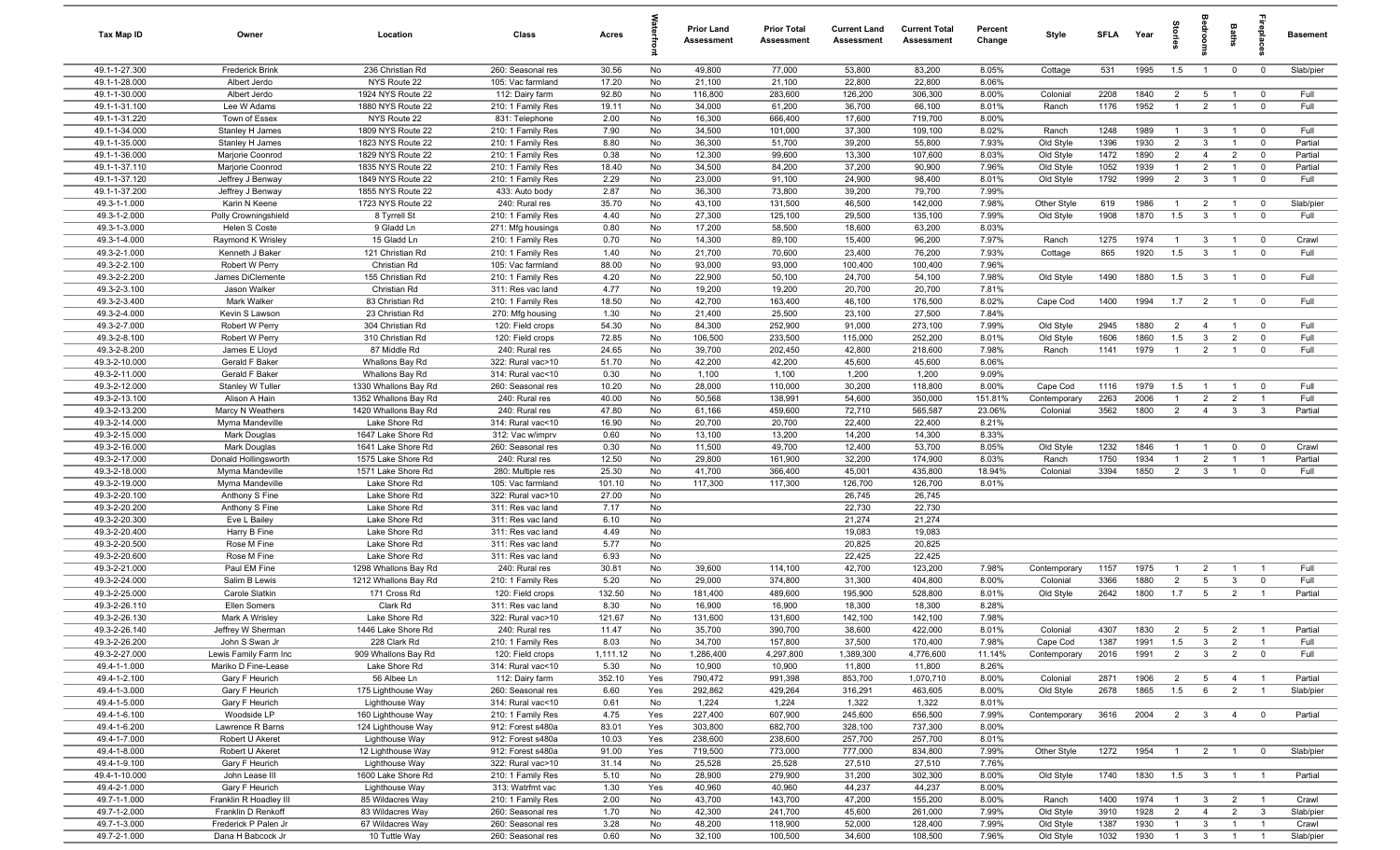| Tax Map ID                     | Owner                             | Location                                 | Class                                  | Acres          |           | Prior Land<br><b>Assessment</b> | <b>Prior Total</b><br>Assessment | <b>Current Land</b><br><b>Assessment</b> | <b>Current Total</b><br><b>Assessment</b> | Percent<br>Change | Style        | <b>SFLA</b> | Year | $\frac{1}{2}$         |                         | Baths                          |                         | <b>Basement</b> |
|--------------------------------|-----------------------------------|------------------------------------------|----------------------------------------|----------------|-----------|---------------------------------|----------------------------------|------------------------------------------|-------------------------------------------|-------------------|--------------|-------------|------|-----------------------|-------------------------|--------------------------------|-------------------------|-----------------|
| 49.1-1-27.300                  | Frederick Brink                   | 236 Christian Rd                         | 260: Seasonal res                      | 30.56          | No        | 49,800                          | 77,000                           | 53,800                                   | 83,200                                    | 8.05%             | Cottage      | 531         | 1995 | 1.5                   | $\overline{1}$          | $\mathbf{0}$                   | $\overline{\mathbf{0}}$ | Slab/pier       |
| 49.1-1-28.000                  | Albert Jerdo                      | NYS Route 22                             | 105: Vac farmland                      | 17.20          | No        | 21,100                          | 21,100                           | 22,800                                   | 22,800                                    | 8.06%             |              |             |      |                       |                         |                                |                         |                 |
| 49.1-1-30.000                  | Albert Jerdo                      | 1924 NYS Route 22                        | 112: Dairy farm                        | 92.80          | No        | 116,800                         | 283,600                          | 126,200                                  | 306,300                                   | 8.00%             | Colonial     | 2208        | 1840 | $\overline{2}$        | $5^{\circ}$             | $\mathbf{1}$                   | $\overline{\mathbf{0}}$ | Full            |
| 49.1-1-31.100                  | Lee W Adams                       | 1880 NYS Route 22                        | 210: 1 Family Res                      | 19.11          | No        | 34,000                          | 61,200                           | 36,700                                   | 66,100                                    | 8.01%<br>8.00%    | Ranch        | 1176        | 1952 | $\overline{1}$        | $\overline{2}$          | $\overline{1}$                 | $\mathbf 0$             | Full            |
| 49.1-1-31.220<br>49.1-1-34.000 | Town of Essex<br>Stanley H James  | NYS Route 22<br>1809 NYS Route 22        | 831: Telephone<br>210: 1 Family Res    | 2.00<br>7.90   | No<br>No  | 16,300<br>34,500                | 666,400<br>101,000               | 17,600<br>37,300                         | 719,700<br>109,100                        | 8.02%             | Ranch        | 1248        | 1989 | $\overline{1}$        | $\mathbf{3}$            | $\overline{1}$                 | $\overline{0}$          | Full            |
| 49.1-1-35.000                  | Stanley H James                   | 1823 NYS Route 22                        | 210: 1 Family Res                      | 8.80           | No        | 36,300                          | 51,700                           | 39,200                                   | 55,800                                    | 7.93%             | Old Style    | 1396        | 1930 | $\overline{2}$        | $\mathbf{3}$            | $\overline{1}$                 | $\overline{0}$          | Partial         |
| 49.1-1-36.000                  | Marjorie Coonrod                  | 1829 NYS Route 22                        | 210: 1 Family Res                      | 0.38           | No        | 12,300                          | 99,600                           | 13,300                                   | 107,600                                   | 8.03%             | Old Style    | 1472        | 1890 | $\overline{2}$        | $\overline{4}$          | $\overline{2}$                 | $\mathbf 0$             | Partial         |
| 49.1-1-37.110                  | Marjorie Coonrod                  | 1835 NYS Route 22                        | 210: 1 Family Res                      | 18.40          | No        | 34,500                          | 84,200                           | 37,200                                   | 90,900                                    | 7.96%             | Old Style    | 1052        | 1939 | $\overline{1}$        | $\overline{2}$          | $\overline{1}$                 | $\overline{0}$          | Partial         |
| 49.1-1-37.120                  | Jeffrey J Benway                  | 1849 NYS Route 22                        | 210: 1 Family Res                      | 2.29           | No        | 23,000                          | 91,100                           | 24,900                                   | 98,400                                    | 8.01%             | Old Style    | 1792        | 1999 | $\overline{2}$        | $\mathbf{3}$            | $\overline{1}$                 | $\mathbf 0$             | Full            |
| 49.1-1-37.200                  | Jeffrey J Benway                  | 1855 NYS Route 22                        | 433: Auto body                         | 2.87           | No        | 36,300                          | 73,800                           | 39,200                                   | 79,700                                    | 7.99%             |              |             |      |                       |                         |                                |                         |                 |
| 49.3-1-1.000                   | Karin N Keene                     | 1723 NYS Route 22                        | 240: Rural res                         | 35.70          | No        | 43,100                          | 131,500                          | 46,500                                   | 142,000                                   | 7.98%             | Other Style  | 619         | 1986 | $\overline{1}$        | $\overline{2}$          | $\overline{1}$                 | $\overline{0}$          | Slab/pier       |
| 49.3-1-2.000                   | Polly Crowningshield              | 8 Tyrrell St                             | 210: 1 Family Res                      | 4.40           | No        | 27,300                          | 125,100                          | 29,500                                   | 135,100                                   | 7.99%             | Old Style    | 1908        | 1870 | 1.5                   | $\mathbf{3}$            | $\overline{1}$                 | $\mathbf 0$             | Full            |
| 49.3-1-3.000                   | Helen S Coste                     | 9 Gladd Ln                               | 271: Mfg housings                      | 0.80           | No        | 17,200                          | 58,500                           | 18,600                                   | 63,200                                    | 8.03%             |              |             |      |                       |                         |                                |                         |                 |
| 49.3-1-4.000                   | Raymond K Wrisley                 | 15 Gladd Ln                              | 210: 1 Family Res                      | 0.70           | No        | 14,300                          | 89,100                           | 15,400                                   | 96,200                                    | 7.97%             | Ranch        | 1275        | 1974 | $\overline{1}$        | -3                      |                                | $\overline{0}$          | Crawl           |
| 49.3-2-1.000                   | Kenneth J Baker                   | 121 Christian Rd                         | 210: 1 Family Res                      | 1.40           | No        | 21,700                          | 70,600                           | 23,400                                   | 76,200                                    | 7.93%             | Cottage      | 865         | 1920 | 1.5                   | $\mathbf{3}$            | $\overline{1}$                 | $\overline{0}$          | Full            |
| 49.3-2-2.100<br>49.3-2-2.200   | Robert W Perry                    | Christian Rd                             | 105: Vac farmland                      | 88.00          | No<br>No  | 93,000<br>22,900                | 93,000<br>50,100                 | 100,400                                  | 100,400                                   | 7.96%<br>7.98%    |              | 1490        | 1880 |                       | $\mathbf{3}$            |                                | $\overline{0}$          | Full            |
| 49.3-2-3.100                   | James DiClemente<br>Jason Walker  | 155 Christian Rd<br>Christian Rd         | 210: 1 Family Res<br>311: Res vac land | 4.20<br>4.77   | No        | 19,200                          | 19,200                           | 24,700<br>20,700                         | 54,100<br>20,700                          | 7.81%             | Old Style    |             |      | 1.5                   |                         | $\overline{1}$                 |                         |                 |
| 49.3-2-3.400                   | Mark Walker                       | 83 Christian Rd                          | 210: 1 Family Res                      | 18.50          | No        | 42,700                          | 163,400                          | 46,100                                   | 176,500                                   | 8.02%             | Cape Cod     | 1400        | 1994 | 1.7                   | $\overline{2}$          | $\overline{1}$                 | $\overline{0}$          | Full            |
| 49.3-2-4.000                   | Kevin S Lawson                    | 23 Christian Rd                          | 270: Mfg housing                       | 1.30           | No        | 21,400                          | 25,500                           | 23,100                                   | 27,500                                    | 7.84%             |              |             |      |                       |                         |                                |                         |                 |
| 49.3-2-7.000                   | Robert W Perry                    | 304 Christian Rd                         | 120: Field crops                       | 54.30          | No        | 84,300                          | 252,900                          | 91,000                                   | 273,100                                   | 7.99%             | Old Style    | 2945        | 1880 | $\overline{2}$        | $\overline{4}$          | $\overline{1}$                 | $^{\circ}$              | Full            |
| 49.3-2-8.100                   | Robert W Perry                    | 310 Christian Rd                         | 120: Field crops                       | 72.85          | No        | 106,500                         | 233,500                          | 115,000                                  | 252,200                                   | 8.01%             | Old Style    | 1606        | 1860 | 1.5                   | $\mathbf{3}$            | $\overline{2}$                 | $\mathbf 0$             | Full            |
| 49.3-2-8.200                   | James E Lloyd                     | 87 Middle Rd                             | 240: Rural res                         | 24.65          | No        | 39,700                          | 202,450                          | 42,800                                   | 218,600                                   | 7.98%             | Ranch        | 1141        | 1979 | $\overline{1}$        | 2                       | $\overline{1}$                 | $\mathbf 0$             | Full            |
| 49.3-2-10.000                  | Gerald F Baker                    | Whallons Bay Rd                          | 322: Rural vac>10                      | 51.70          | No        | 42,200                          | 42,200                           | 45,600                                   | 45,600                                    | 8.06%             |              |             |      |                       |                         |                                |                         |                 |
| 49.3-2-11.000                  | Gerald F Baker                    | Whallons Bay Rd                          | 314: Rural vac<10                      | 0.30           | No        | 1,100                           | 1,100                            | 1,200                                    | 1,200                                     | 9.09%             |              |             |      |                       |                         |                                |                         |                 |
| 49.3-2-12.000                  | Stanley W Tuller                  | 1330 Whallons Bay Rd                     | 260: Seasonal res                      | 10.20          | No        | 28,000                          | 110,000                          | 30,200                                   | 118,800                                   | 8.00%             | Cape Cod     | 1116        | 1979 | 1.5                   | $\overline{1}$          | $\overline{1}$                 | $\mathbf 0$             | Full            |
| 49.3-2-13.100                  | Alison A Hain                     | 1352 Whallons Bay Rd                     | 240: Rural res                         | 40.00          | No        | 50,568                          | 138,991                          | 54,600                                   | 350,000                                   | 151.81%           | Contemporary | 2263        | 2006 | $\mathbf{1}$          | $\overline{2}$          | $\overline{2}$                 | $\overline{1}$          | Full            |
| 49.3-2-13.200                  | Marcy N Weathers                  | 1420 Whallons Bay Rd                     | 240: Rural res                         | 47.80          | No        | 61,166                          | 459,600                          | 72,710                                   | 565,587                                   | 23.06%            | Colonial     | 3562        | 1800 | $\overline{2}$        | $\overline{4}$          | $\mathbf{3}$                   | $\overline{\mathbf{3}}$ | Partial         |
| 49.3-2-14.000                  | Myrna Mandeville                  | Lake Shore Rd                            | 314: Rural vac<10                      | 16.90          | No        | 20,700                          | 20,700                           | 22,400                                   | 22,400                                    | 8.21%             |              |             |      |                       |                         |                                |                         |                 |
| 49.3-2-15.000<br>49.3-2-16.000 | Mark Douglas<br>Mark Douglas      | 1647 Lake Shore Rd<br>1641 Lake Shore Rd | 312: Vac w/imprv<br>260: Seasonal res  | 0.60<br>0.30   | No<br>No  | 13,100<br>11,500                | 13,200<br>49,700                 | 14,200<br>12,400                         | 14,300<br>53,700                          | 8.33%<br>8.05%    | Old Style    | 1232        | 1846 | $\overline{1}$        | $\overline{1}$          | $\mathbf 0$                    | $\mathbf 0$             | Crawl           |
| 49.3-2-17.000                  | Donald Hollingsworth              | 1575 Lake Shore Rd                       | 240: Rural res                         | 12.50          | No        | 29,800                          | 161,900                          | 32,200                                   | 174,900                                   | 8.03%             | Ranch        | 1750        | 1934 | $\overline{1}$        | $\overline{2}$          | $\overline{1}$                 | $\overline{1}$          | Partial         |
| 49.3-2-18.000                  | Myrna Mandeville                  | 1571 Lake Shore Rd                       | 280: Multiple res                      | 25.30          | No        | 41,700                          | 366,400                          | 45,001                                   | 435,800                                   | 18.94%            | Colonial     | 3394        | 1850 | $\overline{2}$        | $\mathbf{3}$            | $\overline{1}$                 | $\mathbf 0$             | Full            |
| 49.3-2-19.000                  | Myrna Mandeville                  | Lake Shore Rd                            | 105: Vac farmland                      | 101.10         | No        | 117,300                         | 117,300                          | 126,700                                  | 126,700                                   | 8.01%             |              |             |      |                       |                         |                                |                         |                 |
| 49.3-2-20.100                  | Anthony S Fine                    | Lake Shore Rd                            | 322: Rural vac>10                      | 27.00          | No        |                                 |                                  | 26,745                                   | 26,745                                    |                   |              |             |      |                       |                         |                                |                         |                 |
| 49.3-2-20.200                  | Anthony S Fine                    | Lake Shore Rd                            | 311: Res vac land                      | 7.17           | No        |                                 |                                  | 22,730                                   | 22,730                                    |                   |              |             |      |                       |                         |                                |                         |                 |
| 49.3-2-20.300                  | Eve L Bailey                      | Lake Shore Rd                            | 311: Res vac land                      | 6.10           | No        |                                 |                                  | 21,274                                   | 21,274                                    |                   |              |             |      |                       |                         |                                |                         |                 |
| 49.3-2-20.400                  | Harry B Fine                      | Lake Shore Rd                            | 311: Res vac land                      | 4.49           | No        |                                 |                                  | 19,083                                   | 19,083                                    |                   |              |             |      |                       |                         |                                |                         |                 |
| 49.3-2-20.500                  | Rose M Fine                       | Lake Shore Rd                            | 311: Res vac land                      | 5.77           | No        |                                 |                                  | 20,825                                   | 20,825                                    |                   |              |             |      |                       |                         |                                |                         |                 |
| 49.3-2-20.600                  | Rose M Fine                       | Lake Shore Rd                            | 311: Res vac land                      | 6.93           | No        |                                 |                                  | 22,425                                   | 22,425                                    |                   |              |             |      |                       |                         |                                |                         |                 |
| 49.3-2-21.000                  | Paul EM Fine                      | 1298 Whallons Bay Rd                     | 240: Rural res                         | 30.81          | No        | 39,600                          | 114,100                          | 42,700                                   | 123,200                                   | 7.98%             | Contemporary | 1157        | 1975 | $\overline{1}$        | $\overline{2}$          | $\overline{1}$                 | $\overline{1}$          | Full            |
| 49.3-2-24.000                  | Salim B Lewis                     | 1212 Whallons Bay Rd                     | 210: 1 Family Res                      | 5.20           | No<br>No  | 29,000                          | 374,800                          | 31,300                                   | 404,800                                   | 8.00%             | Colonial     | 3366        | 1880 | $\overline{2}$<br>1.7 | $5\phantom{.0}$         | $\mathbf{3}$<br>$\overline{2}$ | $\mathbf 0$             | Full<br>Partial |
| 49.3-2-25.000<br>49.3-2-26.110 | Carole Slatkin<br>Ellen Somers    | 171 Cross Rd<br>Clark Rd                 | 120: Field crops<br>311: Res vac land  | 132.50<br>8.30 | No        | 181,400<br>16,900               | 489,600<br>16,900                | 195,900<br>18,300                        | 528,800<br>18,300                         | 8.01%<br>8.28%    | Old Style    | 2642        | 1800 |                       | $5\overline{5}$         |                                | $\overline{1}$          |                 |
| 49.3-2-26.130                  | Mark A Wrisley                    | Lake Shore Rd                            | 322: Rural vac>10                      | 121.67         | No        | 131,600                         | 131,600                          | 142,100                                  | 142,100                                   | 7.98%             |              |             |      |                       |                         |                                |                         |                 |
| 49.3-2-26.140                  | Jeffrey W Sherman                 | 1446 Lake Shore Rd                       | 240: Rural res                         | 11.47          | No.       | 35,700                          | 390,700                          | 38,600                                   | 422,000                                   | 8.01%             | Colonial     | 4307        | 1830 | $\overline{2}$        |                         | $\mathcal{P}$                  |                         | Partial         |
| 49.3-2-26.200                  | John S Swan Jr                    | 228 Clark Rd                             | 210: 1 Family Res                      | 8.03           | No        | 34,700                          | 157,800                          | 37,500                                   | 170,400                                   | 7.98%             | Cape Cod     | 1387        | 1991 | 1.5                   | $\overline{\mathbf{3}}$ | $\overline{2}$                 | $\overline{1}$          | Full            |
| 49.3-2-27.000                  | Lewis Family Farm Inc             | 909 Whallons Bay Rd                      | 120: Field crops                       | 1,111.12       | No        | 1,286,400                       | 4,297,800                        | 1,389,300                                | 4,776,600                                 | 11.14%            | Contemporary | 2016        | 1991 | $\overline{2}$        | $\mathbf{3}$            | 2                              | $\mathbf 0$             | Full            |
| 49.4-1-1.000                   | Mariko D Fine-Lease               | Lake Shore Rd                            | 314: Rural vac<10                      | 5.30           | No        | 10,900                          | 10,900                           | 11,800                                   | 11,800                                    | 8.26%             |              |             |      |                       |                         |                                |                         |                 |
| 49.4-1-2.100                   | Gary F Heurich                    | 56 Albee Ln                              | 112: Dairy farm                        | 352.10         | Yes       | 790,472                         | 991,398                          | 853,700                                  | 1,070,710                                 | 8.00%             | Colonial     | 2871        | 1906 | $\overline{2}$        | $5\overline{)}$         | $\overline{4}$                 | $\overline{1}$          | Partial         |
| 49.4-1-3.000                   | Gary F Heurich                    | 175 Lighthouse Way                       | 260: Seasonal res                      | 6.60           | Yes       | 292,862                         | 429,264                          | 316,291                                  | 463,605                                   | 8.00%             | Old Style    | 2678        | 1865 | 1.5                   | 6                       | $\overline{2}$                 | $\overline{1}$          | Slab/pier       |
| 49.4-1-5.000                   | Gary F Heurich                    | Lighthouse Way                           | 314: Rural vac<10                      | 0.61           | No        | 1,224                           | 1,224                            | 1,322                                    | 1,322                                     | 8.01%             |              |             |      |                       |                         |                                |                         |                 |
| 49.4-1-6.100                   | Woodside LP                       | 160 Lighthouse Way                       | 210: 1 Family Res                      | 4.75           | Yes       | 227,400                         | 607,900                          | 245,600                                  | 656,500                                   | 7.99%             | Contemporary | 3616        | 2004 | $\overline{2}$        | $\mathbf{3}$            | $\overline{4}$                 | $\overline{0}$          | Partial         |
| 49.4-1-6.200                   | Lawrence R Barns                  | 124 Lighthouse Way                       | 912: Forest s480a                      | 83.01          | Yes       | 303,800                         | 682,700                          | 328,100                                  | 737,300                                   | 8.00%             |              |             |      |                       |                         |                                |                         |                 |
| 49.4-1-7.000                   | Robert U Akeret                   | Lighthouse Way                           | 912: Forest s480a                      | 10.03          | Yes       | 238,600                         | 238,600                          | 257,700                                  | 257,700                                   | 8.01%             |              |             |      |                       |                         |                                |                         |                 |
| 49.4-1-8.000<br>49.4-1-9.100   | Robert U Akeret<br>Gary F Heurich | 12 Lighthouse Way<br>Lighthouse Way      | 912: Forest s480a<br>322: Rural vac>10 | 91.00<br>31.14 | Yes<br>No | 719,500<br>25,528               | 773,000<br>25,528                | 777,000<br>27,510                        | 834,800<br>27,510                         | 7.99%<br>7.76%    | Other Style  | 1272        | 1954 | $\overline{1}$        | $\overline{2}$          | $\overline{1}$                 | $\overline{0}$          | Slab/pier       |
| 49.4-1-10.000                  | John Lease III                    | 1600 Lake Shore Rd                       | 210: 1 Family Res                      | 5.10           | No        | 28,900                          | 279,900                          | 31,200                                   | 302,300                                   | 8.00%             | Old Style    | 1740        | 1830 | 1.5                   | $\mathbf{3}$            | $\overline{1}$                 | $\overline{1}$          | Partial         |
| 49.4-2-1.000                   | Gary F Heurich                    | Lighthouse Way                           | 313: Watrfrnt vac                      | 1.30           | Yes       | 40,960                          | 40,960                           | 44,237                                   | 44,237                                    | 8.00%             |              |             |      |                       |                         |                                |                         |                 |
| 49.7-1-1.000                   | Franklin R Hoadley III            | 85 Wildacres Way                         | 210: 1 Family Res                      | 2.00           | No        | 43,700                          | 143,700                          | 47,200                                   | 155,200                                   | 8.00%             | Ranch        | 1400        | 1974 | $\overline{1}$        | $\mathbf{3}$            | $\overline{2}$                 | $\overline{1}$          | Crawl           |
| 49.7-1-2.000                   | Franklin D Renkoff                | 83 Wildacres Way                         | 260: Seasonal res                      | 1.70           | No        | 42,300                          | 241,700                          | 45,600                                   | 261,000                                   | 7.99%             | Old Style    | 3910        | 1928 | $\overline{2}$        | $\overline{4}$          | $\overline{2}$                 | $\overline{3}$          | Slab/pier       |
| 49.7-1-3.000                   | Frederick P Palen Jr              | 67 Wildacres Way                         | 260: Seasonal res                      | 3.28           | No        | 48,200                          | 118,900                          | 52,000                                   | 128,400                                   | 7.99%             | Old Style    | 1387        | 1930 | $\overline{1}$        | $\overline{3}$          | $\overline{1}$                 | $\overline{1}$          | Crawl           |
| 49.7-2-1.000                   | Dana H Babcock Jr                 | 10 Tuttle Way                            | 260: Seasonal res                      | 0.60           | No        | 32,100                          | 100,500                          | 34,600                                   | 108,500                                   | 7.96%             | Old Style    | 1032        | 1930 | $\overline{1}$        | $\overline{\mathbf{3}}$ | $\overline{1}$                 | $\overline{1}$          | Slab/pier       |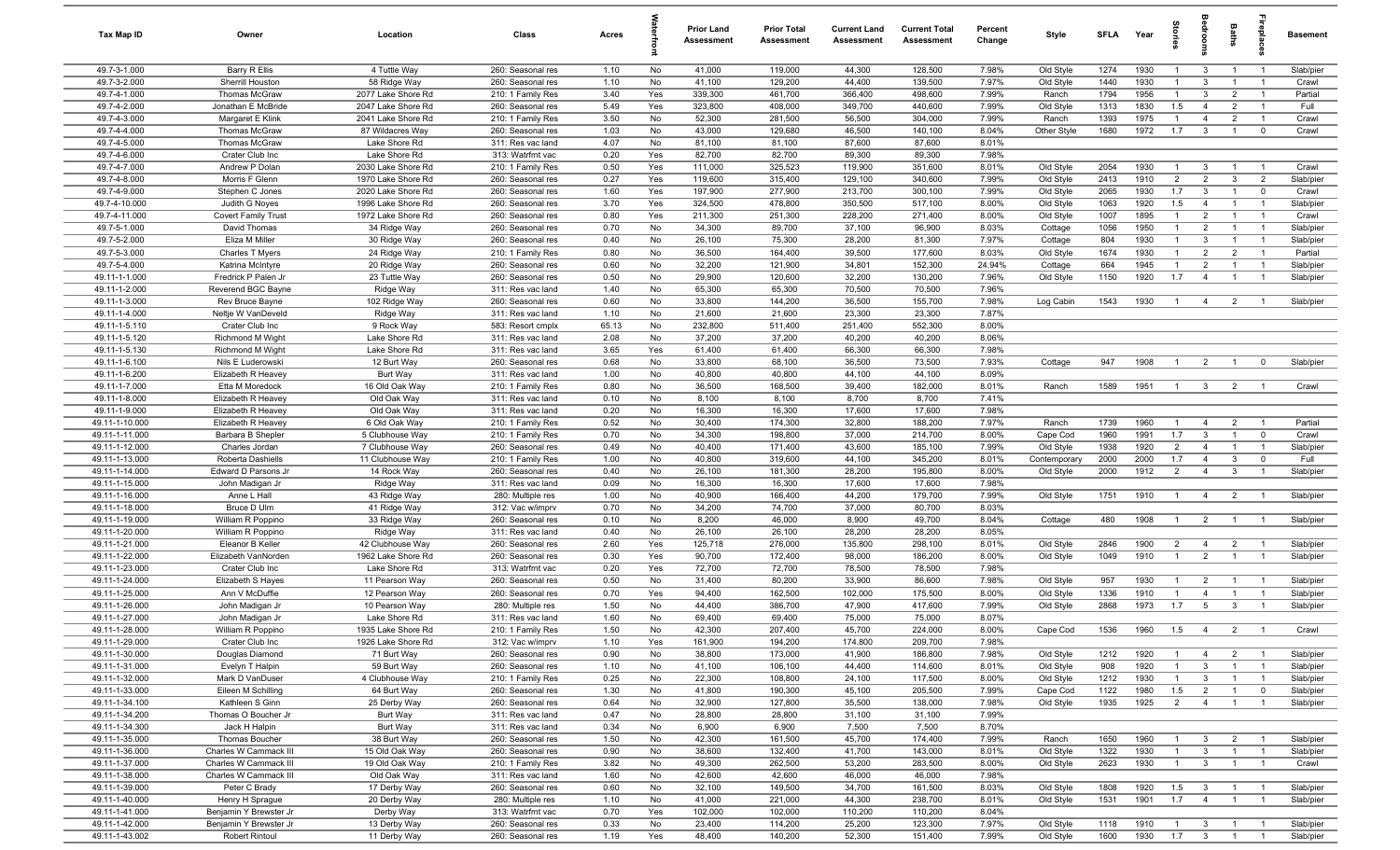| <b>Tax Map ID</b>                | Owner                                    | Location                                 | Class                                  | Acres        |            | Prior Land<br>Assessment | <b>Prior Total</b><br>Assessment | <b>Current Land</b><br>Assessment | <b>Current Total</b><br><b>Assessment</b> | Percent<br>Change | Style                  | <b>SFLA</b>  | Year         | ğ                            | ā                                | Baths                            | epla                          | <b>Basement</b>        |
|----------------------------------|------------------------------------------|------------------------------------------|----------------------------------------|--------------|------------|--------------------------|----------------------------------|-----------------------------------|-------------------------------------------|-------------------|------------------------|--------------|--------------|------------------------------|----------------------------------|----------------------------------|-------------------------------|------------------------|
| 49.7-3-1.000                     | Barry R Ellis                            | 4 Tuttle Way                             | 260: Seasonal res                      | 1.10         | No         | 41,000                   | 119,000                          | 44,300                            | 128,500                                   | 7.98%             | Old Style              | 1274         | 1930         | $\overline{1}$               | $\mathbf{3}$                     | $\overline{1}$                   | $\overline{1}$                | Slab/pier              |
| 49.7-3-2.000                     | Sherrill Houston                         | 58 Ridge Way                             | 260: Seasonal res                      | 1.10         | No         | 41,100                   | 129,200                          | 44,400                            | 139,500                                   | 7.97%             | Old Style              | 1440         | 1930         | $\mathbf{1}$                 | $\mathbf{3}$                     | $\overline{1}$                   |                               | Crawl                  |
| 49.7-4-1.000                     | <b>Thomas McGraw</b>                     | 2077 Lake Shore Rd                       | 210: 1 Family Res                      | 3.40         | Yes        | 339,300                  | 461,700                          | 366,400                           | 498,600                                   | 7.99%             | Ranch                  | 1794         | 1956         | $\overline{1}$               | $\mathbf{3}$                     | $\overline{2}$                   | $\overline{1}$                | Partial                |
| 49.7-4-2.000<br>49.7-4-3.000     | Jonathan E McBride<br>Margaret E Klink   | 2047 Lake Shore Rd<br>2041 Lake Shore Rd | 260: Seasonal res<br>210: 1 Family Res | 5.49<br>3.50 | Yes<br>No  | 323,800<br>52,300        | 408,000<br>281,500               | 349,700<br>56,500                 | 440,600<br>304,000                        | 7.99%<br>7.99%    | Old Style<br>Ranch     | 1313<br>1393 | 1830<br>1975 | 1.5<br>$\mathbf{1}$          | $\overline{4}$<br>$\overline{4}$ | $\overline{2}$<br>$\overline{2}$ | $\overline{1}$                | Full<br>Crawl          |
| 49.7-4-4.000                     | Thomas McGraw                            | 87 Wildacres Way                         | 260: Seasonal res                      | 1.03         | No         | 43,000                   | 129,680                          | 46,500                            | 140,100                                   | 8.04%             | Other Style            | 1680         | 1972         | 1.7                          | $\mathbf{3}$                     | $\overline{1}$                   | $\mathbf 0$                   | Crawl                  |
| 49.7-4-5.000                     | Thomas McGraw                            | Lake Shore Rd                            | 311: Res vac land                      | 4.07         | No         | 81,100                   | 81,100                           | 87,600                            | 87,600                                    | 8.01%             |                        |              |              |                              |                                  |                                  |                               |                        |
| 49.7-4-6.000                     | Crater Club Inc                          | Lake Shore Rd                            | 313: Watrfrnt vac                      | 0.20         | Yes        | 82,700                   | 82,700                           | 89,300                            | 89,300                                    | 7.98%             |                        |              |              |                              |                                  |                                  |                               |                        |
| 49.7-4-7.000                     | Andrew P Dolan                           | 2030 Lake Shore Rd                       | 210: 1 Family Res                      | 0.50         | Yes        | 111,000                  | 325,523                          | 119,900                           | 351,600                                   | 8.01%             | Old Style              | 2054         | 1930         | $\overline{1}$               | 3                                | $\overline{1}$                   | $\overline{1}$                | Crawl                  |
| 49.7-4-8.000                     | Morris F Glenn                           | 1970 Lake Shore Rd                       | 260: Seasonal res                      | 0.27         | Yes        | 119,600                  | 315,400                          | 129,100                           | 340,600                                   | 7.99%             | Old Style              | 2413         | 1910         | $\overline{2}$               | $\overline{2}$                   | $\mathbf{3}$                     | $\overline{2}$                | Slab/pier              |
| 49.7-4-9.000                     | Stephen C Jones                          | 2020 Lake Shore Rd                       | 260: Seasonal res                      | 1.60         | Yes        | 197,900                  | 277,900                          | 213,700                           | 300,100                                   | 7.99%             | Old Style              | 2065         | 1930         | 1.7                          | $\mathbf{3}$                     | $\overline{1}$                   | $\mathbf{0}$                  | Crawl                  |
| 49.7-4-10.000                    | Judith G Noyes                           | 1996 Lake Shore Rd                       | 260: Seasonal res                      | 3.70         | Yes        | 324,500                  | 478,800                          | 350,500                           | 517,100                                   | 8.00%             | Old Style              | 1063         | 1920         | 1.5                          | $\overline{4}$                   | $\overline{1}$                   | $\overline{1}$                | Slab/pier              |
| 49.7-4-11.000                    | <b>Covert Family Trust</b>               | 1972 Lake Shore Rd                       | 260: Seasonal res                      | 0.80         | Yes        | 211,300                  | 251,300                          | 228,200                           | 271,400                                   | 8.00%             | Old Style              | 1007         | 1895         | $\overline{1}$               | $\overline{2}$                   | $\overline{1}$                   | $\overline{1}$                | Crawl                  |
| 49.7-5-1.000                     | David Thomas                             | 34 Ridge Way                             | 260: Seasonal res                      | 0.70         | No         | 34,300                   | 89,700                           | 37,100                            | 96,900                                    | 8.03%             | Cottage                | 1056         | 1950         | $\overline{1}$               | $\overline{2}$                   | $\overline{1}$                   | $\overline{1}$                | Slab/pier              |
| 49.7-5-2.000                     | Eliza M Miller                           | 30 Ridge Way                             | 260: Seasonal res                      | 0.40         | No         | 26,100                   | 75,300                           | 28,200                            | 81,300                                    | 7.97%             | Cottage                | 804          | 1930         | $\overline{1}$               | $\mathbf{3}$                     | $\overline{1}$                   |                               | Slab/pier              |
| 49.7-5-3.000<br>49.7-5-4.000     | Charles T Myers<br>Katrina McIntyre      | 24 Ridge Way<br>20 Ridge Way             | 210: 1 Family Res<br>260: Seasonal res | 0.80<br>0.60 | No<br>No   | 36,500<br>32,200         | 164,400<br>121,900               | 39,500<br>34,801                  | 177,600<br>152,300                        | 8.03%<br>24.94%   | Old Style<br>Cottage   | 1674<br>664  | 1930<br>1945 | $\mathbf{1}$<br>$\mathbf{1}$ | $\overline{2}$<br>$\overline{2}$ | $\overline{2}$<br>$\mathbf{1}$   |                               | Partial<br>Slab/pier   |
| 49.11-1-1.000                    | Fredrick P Palen Jr                      | 23 Tuttle Way                            | 260: Seasonal res                      | 0.50         | No         | 29,900                   | 120,600                          | 32,200                            | 130,200                                   | 7.96%             | Old Style              | 1150         | 1920         | 1.7                          | $\overline{4}$                   | $\overline{1}$                   | $\overline{1}$                | Slab/pier              |
| 49.11-1-2.000                    | Reverend BGC Bayne                       | Ridge Way                                | 311: Res vac land                      | 1.40         | No         | 65,300                   | 65,300                           | 70,500                            | 70,500                                    | 7.96%             |                        |              |              |                              |                                  |                                  |                               |                        |
| 49.11-1-3.000                    | Rev Bruce Bayne                          | 102 Ridge Way                            | 260: Seasonal res                      | 0.60         | No         | 33,800                   | 144,200                          | 36,500                            | 155,700                                   | 7.98%             | Log Cabin              | 1543         | 1930         | $\overline{1}$               | $\overline{4}$                   | $\overline{2}$                   |                               | Slab/pier              |
| 49.11-1-4.000                    | Neltje W VanDeveld                       | Ridge Way                                | 311: Res vac land                      | 1.10         | No         | 21,600                   | 21,600                           | 23,300                            | 23,300                                    | 7.87%             |                        |              |              |                              |                                  |                                  |                               |                        |
| 49.11-1-5.110                    | Crater Club Inc                          | 9 Rock Way                               | 583: Resort cmplx                      | 65.13        | No         | 232,800                  | 511,400                          | 251,400                           | 552,300                                   | 8.00%             |                        |              |              |                              |                                  |                                  |                               |                        |
| 49.11-1-5.120                    | <b>Richmond M Wight</b>                  | Lake Shore Rd                            | 311: Res vac land                      | 2.08         | No         | 37,200                   | 37,200                           | 40,200                            | 40,200                                    | 8.06%             |                        |              |              |                              |                                  |                                  |                               |                        |
| 49.11-1-5.130                    | <b>Richmond M Wight</b>                  | Lake Shore Rd                            | 311: Res vac land                      | 3.65         | Yes        | 61,400                   | 61,400                           | 66,300                            | 66,300                                    | 7.98%             |                        |              |              |                              |                                  |                                  |                               |                        |
| 49.11-1-6.100                    | Nils E Luderowski                        | 12 Burt Way                              | 260: Seasonal res                      | 0.68         | No         | 33,800                   | 68,100                           | 36,500                            | 73,500                                    | 7.93%             | Cottage                | 947          | 1908         | $\overline{1}$               | $\overline{2}$                   | $\overline{1}$                   | $\mathbf 0$                   | Slab/pier              |
| 49.11-1-6.200                    | Elizabeth R Heavey                       | Burt Way                                 | 311: Res vac land                      | 1.00         | No         | 40,800                   | 40,800                           | 44,100                            | 44,100                                    | 8.09%             |                        |              |              |                              |                                  |                                  |                               |                        |
| 49.11-1-7.000                    | Etta M Moredock                          | 16 Old Oak Way                           | 210: 1 Family Res                      | 0.80         | No         | 36,500                   | 168,500                          | 39,400                            | 182,000                                   | 8.01%             | Ranch                  | 1589         | 1951         | $\overline{1}$               | 3 <sup>1</sup>                   | $\overline{2}$                   |                               | Crawl                  |
| 49.11-1-8.000                    | Elizabeth R Heavey                       | Old Oak Way                              | 311: Res vac land                      | 0.10         | No         | 8,100                    | 8,100                            | 8,700                             | 8,700                                     | 7.41%             |                        |              |              |                              |                                  |                                  |                               |                        |
| 49.11-1-9.000<br>49.11-1-10.000  | Elizabeth R Heavey<br>Elizabeth R Heavey | Old Oak Way<br>6 Old Oak Way             | 311: Res vac land<br>210: 1 Family Res | 0.20<br>0.52 | No<br>No   | 16,300<br>30,400         | 16,300<br>174,300                | 17,600<br>32,800                  | 17,600<br>188,200                         | 7.98%<br>7.97%    | Ranch                  | 1739         | 1960         | $\overline{1}$               | $\overline{4}$                   | $\overline{2}$                   | $\overline{1}$                | Partial                |
| 49.11-1-11.000                   | Barbara B Shepler                        | 5 Clubhouse Way                          | 210: 1 Family Res                      | 0.70         | No         | 34,300                   | 198,800                          | 37,000                            | 214,700                                   | 8.00%             | Cape Cod               | 1960         | 1991         | 1.7                          | $\mathbf{3}$                     | $\overline{1}$                   | $\mathbf 0$                   | Crawl                  |
| 49.11-1-12.000                   | Charles Jordan                           | 7 Clubhouse Way                          | 260: Seasonal res                      | 0.49         | No         | 40,400                   | 171,400                          | 43,600                            | 185,100                                   | 7.99%             | Old Style              | 1938         | 1920         | $\overline{2}$               | $\overline{4}$                   | $\overline{1}$                   | $\overline{1}$                | Slab/pier              |
| 49.11-1-13.000                   | Roberta Dashiells                        | 11 Clubhouse Way                         | 210: 1 Family Res                      | 1.00         | No         | 40,800                   | 319,600                          | 44,100                            | 345,200                                   | 8.01%             | Contemporary           | 2000         | 2000         | 1.7                          | $\overline{4}$                   | $\overline{3}$                   | $\mathbf 0$                   | Full                   |
| 49.11-1-14.000                   | Edward D Parsons Jr                      | 14 Rock Way                              | 260: Seasonal res                      | 0.40         | No         | 26,100                   | 181,300                          | 28,200                            | 195,800                                   | 8.00%             | Old Style              | 2000         | 1912         | $\overline{2}$               | $\overline{4}$                   | $\mathbf{3}$                     |                               | Slab/pier              |
| 49.11-1-15.000                   | John Madigan Jr                          | Ridge Way                                | 311: Res vac land                      | 0.09         | No         | 16,300                   | 16,300                           | 17,600                            | 17,600                                    | 7.98%             |                        |              |              |                              |                                  |                                  |                               |                        |
| 49.11-1-16.000                   | Anne L Hall                              | 43 Ridge Way                             | 280: Multiple res                      | 1.00         | No         | 40,900                   | 166,400                          | 44,200                            | 179,700                                   | 7.99%             | Old Style              | 1751         | 1910         | $\overline{1}$               | $\overline{4}$                   | $\overline{2}$                   | $\overline{1}$                | Slab/pier              |
| 49.11-1-18.000                   | Bruce D Ulm                              | 41 Ridge Way                             | 312: Vac w/imprv                       | 0.70         | No         | 34,200                   | 74,700                           | 37,000                            | 80,700                                    | 8.03%             |                        |              |              |                              |                                  |                                  |                               |                        |
| 49.11-1-19.000                   | William R Poppino                        | 33 Ridge Way                             | 260: Seasonal res                      | 0.10         | No         | 8,200                    | 46,000                           | 8,900                             | 49,700                                    | 8.04%             | Cottage                | 480          | 1908         | $\overline{1}$               | $\overline{2}$                   | $\overline{1}$                   | $\overline{1}$                | Slab/pier              |
| 49.11-1-20.000                   | William R Poppino                        | Ridge Way                                | 311: Res vac land                      | 0.40         | No         | 26,100                   | 26,100                           | 28,200                            | 28,200                                    | 8.05%             |                        |              |              |                              |                                  |                                  |                               |                        |
| 49.11-1-21.000                   | Eleanor B Keller                         | 42 Clubhouse Way                         | 260: Seasonal res                      | 2.60         | Yes        | 125,718                  | 276,000                          | 135,800                           | 298,100                                   | 8.01%             | Old Style              | 2846         | 1900         | $\overline{2}$               | $\overline{4}$                   | $\overline{2}$<br>$\overline{1}$ | $\overline{1}$                | Slab/pier              |
| 49.11-1-22.000<br>49.11-1-23.000 | Elizabeth VanNorden<br>Crater Club Inc   | 1962 Lake Shore Rd<br>Lake Shore Rd      | 260: Seasonal res<br>313: Watrfrnt vac | 0.30<br>0.20 | Yes<br>Yes | 90,700<br>72,700         | 172,400<br>72,700                | 98,000<br>78,500                  | 186,200<br>78,500                         | 8.00%<br>7.98%    | Old Style              | 1049         | 1910         | $\overline{1}$               | $\overline{2}$                   |                                  |                               | Slab/pier              |
| 49.11-1-24.000                   | Elizabeth S Hayes                        | 11 Pearson Way                           | 260: Seasonal res                      | 0.50         | No         | 31,400                   | 80,200                           | 33,900                            | 86,600                                    | 7.98%             | Old Style              | 957          | 1930         | $\mathbf{1}$                 | $\overline{2}$                   | $\overline{1}$                   | $\overline{1}$                | Slab/pier              |
| 49.11-1-25.000                   | Ann V McDuffie                           | 12 Pearson Way                           | 260: Seasonal res                      | 0.70         | Yes        | 94,400                   | 162,500                          | 102,000                           | 175,500                                   | 8.00%             | Old Style              | 1336         | 1910         | $\overline{1}$               | $\overline{4}$                   | $\overline{1}$                   | $\overline{1}$                | Slab/pier              |
| 49.11-1-26.000                   | John Madigan Jr                          | 10 Pearson Way                           | 280: Multiple res                      | 1.50         | No         | 44,400                   | 386,700                          | 47,900                            | 417,600                                   | 7.99%             | Old Style              | 2868         | 1973         | 1.7                          | $5\overline{)}$                  | $\mathbf{3}$                     |                               | Slab/pier              |
| 49.11-1-27.000                   | John Madigan Jr                          | Lake Shore Rd                            | 311: Res vac land                      | 1.60         | No         | 69,400                   | 69,400                           | 75,000                            | 75,000                                    | 8.07%             |                        |              |              |                              |                                  |                                  |                               |                        |
| 49.11-1-28.000                   | William R Poppino                        | 1935 Lake Shore Rd                       | 210: 1 Family Res                      | 1.50         | No         | 42,300                   | 207,400                          | 45,700                            | 224,000                                   | 8.00%             | Cape Cod               | 1536         | 1960         | 1.5                          | $\overline{4}$                   | 2                                |                               | Crawl                  |
| 49.11-1-29.000                   | Crater Club Inc                          | 1926 Lake Shore Rd                       | 312: Vac w/imprv                       | 1.10         | Yes        | 161,900                  | 194,200                          | 174,800                           | 209,700                                   | 7.98%             |                        |              |              |                              |                                  |                                  |                               |                        |
| 49.11-1-30.000                   | Douglas Diamond                          | 71 Burt Way                              | 260: Seasonal res                      | 0.90         | No         | 38,800                   | 173,000                          | 41,900                            | 186,800                                   | 7.98%             | Old Style              | 1212         | 1920         | $\overline{1}$               | $\overline{4}$                   | $\overline{2}$                   | $\overline{1}$                | Slab/pier              |
| 49.11-1-31.000                   | Evelyn T Halpin                          | 59 Burt Way                              | 260: Seasonal res                      | 1.10         | No         | 41,100                   | 106,100                          | 44,400                            | 114,600                                   | 8.01%             | Old Style              | 908          | 1920         | $\overline{1}$               | $\mathbf{3}$                     | $\overline{1}$                   | $\overline{1}$                | Slab/pier              |
| 49.11-1-32.000                   | Mark D VanDuser                          | 4 Clubhouse Way                          | 210: 1 Family Res                      | 0.25         | No         | 22,300                   | 108,800                          | 24,100                            | 117,500                                   | 8.00%             | Old Style              | 1212         | 1930         | $\mathbf{1}$                 | $\mathbf{3}$                     | $\overline{1}$                   | $\overline{1}$                | Slab/pier              |
| 49.11-1-33.000<br>49.11-1-34.100 | Eileen M Schilling<br>Kathleen S Ginn    | 64 Burt Way<br>25 Derby Way              | 260: Seasonal res<br>260: Seasonal res | 1.30<br>0.64 | No<br>No   | 41,800<br>32,900         | 190,300<br>127,800               | 45,100<br>35,500                  | 205,500<br>138,000                        | 7.99%<br>7.98%    | Cape Cod<br>Old Style  | 1122<br>1935 | 1980<br>1925 | 1.5<br>$2 \quad 4$           | $\overline{2}$                   | $\overline{1}$<br>$\overline{1}$ | $\mathbf 0$<br>$\overline{1}$ | Slab/pier<br>Slab/pier |
| 49.11-1-34.200                   | Thomas O Boucher Jr                      | Burt Way                                 | 311: Res vac land                      | 0.47         | No         | 28,800                   | 28,800                           | 31,100                            | 31,100                                    | 7.99%             |                        |              |              |                              |                                  |                                  |                               |                        |
| 49.11-1-34.300                   | Jack H Halpin                            | Burt Way                                 | 311: Res vac land                      | 0.34         | No         | 6,900                    | 6,900                            | 7,500                             | 7,500                                     | 8.70%             |                        |              |              |                              |                                  |                                  |                               |                        |
| 49.11-1-35.000                   | Thomas Boucher                           | 38 Burt Way                              | 260: Seasonal res                      | 1.50         | No         | 42,300                   | 161,500                          | 45,700                            | 174,400                                   | 7.99%             | Ranch                  | 1650         | 1960         | $\overline{1}$               | $\mathbf{3}$                     | $\overline{2}$                   | $\overline{1}$                | Slab/pier              |
| 49.11-1-36.000                   | Charles W Cammack III                    | 15 Old Oak Way                           | 260: Seasonal res                      | 0.90         | No         | 38,600                   | 132,400                          | 41,700                            | 143,000                                   | 8.01%             | Old Style              | 1322         | 1930         | $\mathbf{1}$                 | 3                                | $\overline{1}$                   | $\overline{1}$                | Slab/pier              |
| 49.11-1-37.000                   | Charles W Cammack III                    | 19 Old Oak Way                           | 210: 1 Family Res                      | 3.82         | No         | 49,300                   | 262,500                          | 53,200                            | 283,500                                   | 8.00%             | Old Style              | 2623         | 1930         | $\mathbf{1}$                 | $\mathbf{3}$                     | $\overline{1}$                   | $\overline{1}$                | Crawl                  |
| 49.11-1-38.000                   | Charles W Cammack III                    | Old Oak Way                              | 311: Res vac land                      | 1.60         | No         | 42,600                   | 42,600                           | 46,000                            | 46,000                                    | 7.98%             |                        |              |              |                              |                                  |                                  |                               |                        |
| 49.11-1-39.000                   | Peter C Brady                            | 17 Derby Way                             | 260: Seasonal res                      | 0.60         | No         | 32,100                   | 149,500                          | 34,700                            | 161,500                                   | 8.03%             | Old Style              | 1808         | 1920         | 1.5                          | 3                                | $\overline{1}$                   | $\overline{1}$                | Slab/pier              |
| 49.11-1-40.000                   | Henry H Sprague                          | 20 Derby Way                             | 280: Multiple res                      | 1.10         | No         | 41,000                   | 221,000                          | 44,300                            | 238,700                                   | 8.01%             | Old Style              | 1531         | 1901         | 1.7                          | $\overline{4}$                   | $\overline{1}$                   | $\overline{1}$                | Slab/pier              |
| 49.11-1-41.000                   | Benjamin Y Brewster Jr                   | Derby Way                                | 313: Watrfrnt vac                      | 0.70         | Yes        | 102,000                  | 102,000                          | 110,200                           | 110,200                                   | 8.04%             |                        |              |              |                              |                                  |                                  |                               |                        |
| 49.11-1-42.000<br>49.11-1-43.002 | Benjamin Y Brewster Jr<br>Robert Rintoul | 13 Derby Way<br>11 Derby Way             | 260: Seasonal res<br>260: Seasonal res | 0.33<br>1.19 | No<br>Yes  | 23,400<br>48,400         | 114,200<br>140,200               | 25,200<br>52,300                  | 123,300<br>151,400                        | 7.97%<br>7.99%    | Old Style<br>Old Style | 1118<br>1600 | 1910<br>1930 | $\overline{1}$<br>$1.7 \t3$  | $\overline{\mathbf{3}}$          | $\overline{1}$<br>$\blacksquare$ | $\overline{1}$                | Slab/pier<br>Slab/pier |
|                                  |                                          |                                          |                                        |              |            |                          |                                  |                                   |                                           |                   |                        |              |              |                              |                                  |                                  |                               |                        |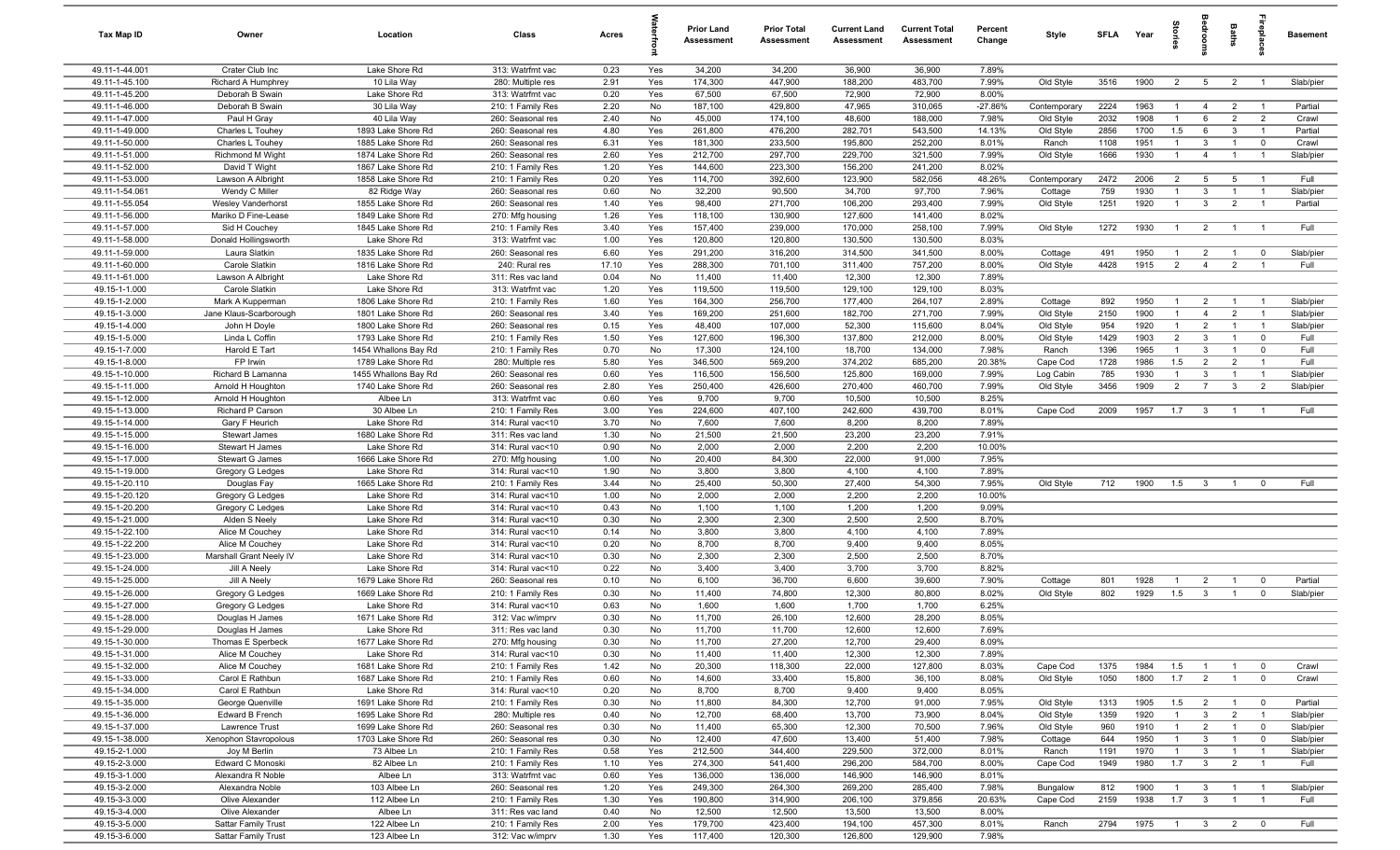| Tax Map ID                       | Owner                                | Location                                 | Class                                  | Acres        |            | Prior Land<br>Assessment | <b>Prior Total</b><br>Assessment | <b>Current Land</b><br>Assessment | <b>Current Total</b><br>Assessment | Percent<br>Change | Style              | <b>SFLA</b>  | Year         | tories                           | jedrooms                       | Baths                            | epla                             | <b>Basement</b>    |
|----------------------------------|--------------------------------------|------------------------------------------|----------------------------------------|--------------|------------|--------------------------|----------------------------------|-----------------------------------|------------------------------------|-------------------|--------------------|--------------|--------------|----------------------------------|--------------------------------|----------------------------------|----------------------------------|--------------------|
| 49.11-1-44.001                   | Crater Club Inc                      | Lake Shore Rd                            | 313: Watrfrnt vac                      | 0.23         | Yes        | 34,200                   | 34,200                           | 36,900                            | 36,900                             | 7.89%             |                    |              |              |                                  |                                |                                  |                                  |                    |
| 49.11-1-45.100                   | Richard A Humphrey                   | 10 Lila Way                              | 280: Multiple res                      | 2.91         | Yes        | 174,300                  | 447,900                          | 188,200                           | 483,700                            | 7.99%             | Old Style          | 3516         | 1900         | 2                                | 5 <sup>5</sup>                 | $\overline{2}$                   | $\overline{1}$                   | Slab/pier          |
| 49.11-1-45.200                   | Deborah B Swain                      | Lake Shore Rd                            | 313: Watrfrnt vac                      | 0.20         | Yes        | 67,500                   | 67,500                           | 72,900                            | 72,900                             | 8.00%             |                    |              |              |                                  |                                |                                  |                                  |                    |
| 49.11-1-46.000                   | Deborah B Swain                      | 30 Lila Way                              | 210: 1 Family Res                      | 2.20         | No         | 187,100                  | 429,800                          | 47,965                            | 310,065                            | $-27.86%$         | Contemporary       | 2224         | 1963         | $\overline{1}$                   | $\overline{4}$                 | $\overline{2}$                   | $\overline{1}$                   | Partial            |
| 49.11-1-47.000                   | Paul H Gray                          | 40 Lila Way                              | 260: Seasonal res                      | 2.40         | No         | 45,000                   | 174,100                          | 48,600                            | 188,000                            | 7.98%             | Old Style          | 2032         | 1908         | $\overline{1}$                   | 6                              | $\overline{2}$                   | $\overline{2}$                   | Crawl              |
| 49.11-1-49.000                   | Charles L Touhey                     | 1893 Lake Shore Rd<br>1885 Lake Shore Rd | 260: Seasonal res                      | 4.80         | Yes        | 261,800                  | 476,200                          | 282,701                           | 543,500                            | 14.13%            | Old Style          | 2856         | 1700         | 1.5                              | 6                              | $\mathbf{3}$                     |                                  | Partial            |
| 49.11-1-50.000<br>49.11-1-51.000 | Charles L Touhey<br>Richmond M Wight | 1874 Lake Shore Rd                       | 260: Seasonal res<br>260: Seasonal res | 6.31<br>2.60 | Yes<br>Yes | 181,300<br>212,700       | 233,500<br>297,700               | 195,800<br>229,700                | 252,200<br>321,500                 | 8.01%<br>7.99%    | Ranch<br>Old Style | 1108<br>1666 | 1951<br>1930 | $\overline{1}$<br>$\overline{1}$ | $\mathbf{3}$<br>$\overline{4}$ | $\overline{1}$<br>$\overline{1}$ | $\overline{0}$<br>$\overline{1}$ | Crawl<br>Slab/pier |
| 49.11-1-52.000                   | David T Wight                        | 1867 Lake Shore Rd                       | 210: 1 Family Res                      | 1.20         | Yes        | 144,600                  | 223,300                          | 156,200                           | 241,200                            | 8.02%             |                    |              |              |                                  |                                |                                  |                                  |                    |
| 49.11-1-53.000                   | Lawson A Albright                    | 1858 Lake Shore Rd                       | 210: 1 Family Res                      | 0.20         | Yes        | 114,700                  | 392,600                          | 123,900                           | 582,056                            | 48.26%            | Contemporary       | 2472         | 2006         | $\overline{2}$                   | 5                              | 5                                | $\overline{1}$                   | Full               |
| 49.11-1-54.061                   | Wendy C Miller                       | 82 Ridge Way                             | 260: Seasonal res                      | 0.60         | No         | 32,200                   | 90,500                           | 34,700                            | 97,700                             | 7.96%             | Cottage            | 759          | 1930         | $\overline{1}$                   | $\mathbf{3}$                   | $\overline{1}$                   | $\overline{1}$                   | Slab/pier          |
| 49.11-1-55.054                   | Wesley Vanderhorst                   | 1855 Lake Shore Rd                       | 260: Seasonal res                      | 1.40         | Yes        | 98,400                   | 271,700                          | 106,200                           | 293,400                            | 7.99%             | Old Style          | 1251         | 1920         | $\overline{1}$                   | $\mathbf{3}$                   | $\overline{2}$                   |                                  | Partial            |
| 49.11-1-56.000                   | Mariko D Fine-Lease                  | 1849 Lake Shore Rd                       | 270: Mfg housing                       | 1.26         | Yes        | 118,100                  | 130,900                          | 127,600                           | 141,400                            | 8.02%             |                    |              |              |                                  |                                |                                  |                                  |                    |
| 49.11-1-57.000                   | Sid H Couchey                        | 1845 Lake Shore Rd                       | 210: 1 Family Res                      | 3.40         | Yes        | 157,400                  | 239,000                          | 170,000                           | 258,100                            | 7.99%             | Old Style          | 1272         | 1930         | $\overline{1}$                   | $\overline{2}$                 | $\overline{1}$                   | $\overline{1}$                   | Full               |
| 49.11-1-58.000                   | Donald Hollingsworth                 | Lake Shore Rd                            | 313: Watrfrnt vac                      | 1.00         | Yes        | 120,800                  | 120,800                          | 130,500                           | 130,500                            | 8.03%             |                    |              |              |                                  |                                |                                  |                                  |                    |
| 49.11-1-59.000                   | Laura Slatkin                        | 1835 Lake Shore Rd                       | 260: Seasonal res                      | 6.60         | Yes        | 291,200                  | 316,200                          | 314,500                           | 341,500                            | 8.00%             | Cottage            | 491          | 1950         | $\overline{1}$                   | $\overline{2}$                 | $\overline{1}$                   | $\mathbf 0$                      | Slab/pier          |
| 49.11-1-60.000                   | Carole Slatkin                       | 1816 Lake Shore Rd                       | 240: Rural res                         | 17.10        | Yes        | 288,300                  | 701,100                          | 311,400                           | 757,200                            | 8.00%             | Old Style          | 4428         | 1915         | $\overline{2}$                   | $\overline{4}$                 | $\overline{2}$                   |                                  | Full               |
| 49.11-1-61.000                   | Lawson A Albright                    | Lake Shore Rd                            | 311: Res vac land                      | 0.04         | No         | 11,400                   | 11,400                           | 12,300                            | 12,300                             | 7.89%             |                    |              |              |                                  |                                |                                  |                                  |                    |
| 49.15-1-1.000                    | Carole Slatkin                       | Lake Shore Rd                            | 313: Watrfrnt vac                      | 1.20         | Yes        | 119,500                  | 119,500                          | 129,100                           | 129,100                            | 8.03%             |                    |              |              |                                  |                                |                                  |                                  |                    |
| 49.15-1-2.000                    | Mark A Kupperman                     | 1806 Lake Shore Rd                       | 210: 1 Family Res                      | 1.60         | Yes        | 164,300                  | 256,700                          | 177,400                           | 264,107                            | 2.89%             | Cottage            | 892          | 1950         | $\mathbf{1}$                     | $\overline{2}$                 | $\overline{1}$                   |                                  | Slab/pier          |
| 49.15-1-3.000                    | Jane Klaus-Scarborough               | 1801 Lake Shore Rd                       | 260: Seasonal res                      | 3.40         | Yes        | 169,200                  | 251,600                          | 182,700                           | 271,700                            | 7.99%             | Old Style          | 2150         | 1900         | $\overline{1}$                   | $\overline{4}$                 | $\overline{2}$                   | $\overline{1}$                   | Slab/pier          |
| 49.15-1-4.000                    | John H Doyle                         | 1800 Lake Shore Rd                       | 260: Seasonal res                      | 0.15         | Yes        | 48,400                   | 107,000                          | 52,300                            | 115,600                            | 8.04%             | Old Style          | 954          | 1920         | $\overline{1}$                   | $\overline{2}$                 | $\overline{1}$                   | $\overline{1}$                   | Slab/pier          |
| 49.15-1-5.000                    | Linda L Coffin                       | 1793 Lake Shore Rd                       | 210: 1 Family Res                      | 1.50         | Yes        | 127,600                  | 196,300                          | 137,800                           | 212,000                            | 8.00%             | Old Style          | 1429         | 1903         | $\overline{2}$                   | $\mathbf{3}$                   | $\overline{1}$                   | $\overline{0}$                   | Full               |
| 49.15-1-7.000                    | Harold E Tart                        | 1454 Whallons Bay Rd                     | 210: 1 Family Res                      | 0.70         | No         | 17,300                   | 124,100                          | 18,700                            | 134,000                            | 7.98%             | Ranch              | 1396         | 1965         | $\overline{1}$                   | $\mathbf{3}$                   | $\overline{1}$                   | $\overline{0}$                   | Full               |
| 49.15-1-8.000                    | FP Irwin                             | 1789 Lake Shore Rd                       | 280: Multiple res                      | 5.80         | Yes        | 346,500                  | 569,200                          | 374,202                           | 685,200                            | 20.38%            | Cape Cod           | 1728         | 1986         | 1.5                              | $\overline{2}$                 | $\overline{2}$                   | $\overline{1}$                   | Full               |
| 49.15-1-10.000                   | Richard B Lamanna                    | 1455 Whallons Bay Rd                     | 260: Seasonal res                      | 0.60         | Yes        | 116,500                  | 156,500                          | 125,800                           | 169,000                            | 7.99%             | Log Cabin          | 785          | 1930         | $\overline{1}$                   | $\mathbf{3}$                   | $\overline{1}$                   | $\overline{1}$                   | Slab/pier          |
| 49.15-1-11.000                   | Arnold H Houghton                    | 1740 Lake Shore Rd                       | 260: Seasonal res                      | 2.80         | Yes        | 250,400                  | 426,600                          | 270,400                           | 460,700                            | 7.99%             | Old Style          | 3456         | 1909         | $\overline{2}$                   | $\overline{7}$                 | $\mathbf{3}$                     | $\overline{2}$                   | Slab/pier          |
| 49.15-1-12.000                   | Arnold H Houghton                    | Albee Ln                                 | 313: Watrfrnt vac                      | 0.60         | Yes        | 9,700                    | 9,700                            | 10,500                            | 10,500                             | 8.25%             |                    |              |              |                                  |                                |                                  |                                  |                    |
| 49.15-1-13.000                   | Richard P Carson                     | 30 Albee Ln                              | 210: 1 Family Res                      | 3.00<br>3.70 | Yes        | 224,600<br>7,600         | 407,100<br>7,600                 | 242,600<br>8,200                  | 439,700<br>8,200                   | 8.01%<br>7.89%    | Cape Cod           | 2009         | 1957         | 1.7                              | $\overline{\mathbf{3}}$        | $\overline{1}$                   |                                  | Full               |
| 49.15-1-14.000<br>49.15-1-15.000 | Gary F Heurich<br>Stewart James      | Lake Shore Rd<br>1680 Lake Shore Rd      | 314: Rural vac<10<br>311: Res vac land | 1.30         | No<br>No   | 21,500                   | 21,500                           | 23,200                            | 23,200                             | 7.91%             |                    |              |              |                                  |                                |                                  |                                  |                    |
| 49.15-1-16.000                   | Stewart H James                      | Lake Shore Rd                            | 314: Rural vac<10                      | 0.90         | No         | 2,000                    | 2,000                            | 2,200                             | 2,200                              | 10.00%            |                    |              |              |                                  |                                |                                  |                                  |                    |
| 49.15-1-17.000                   | Stewart G James                      | 1666 Lake Shore Rd                       | 270: Mfg housing                       | 1.00         | No         | 20,400                   | 84,300                           | 22,000                            | 91,000                             | 7.95%             |                    |              |              |                                  |                                |                                  |                                  |                    |
| 49.15-1-19.000                   | Gregory G Ledges                     | Lake Shore Rd                            | 314: Rural vac<10                      | 1.90         | No         | 3,800                    | 3,800                            | 4,100                             | 4,100                              | 7.89%             |                    |              |              |                                  |                                |                                  |                                  |                    |
| 49.15-1-20.110                   | Douglas Fay                          | 1665 Lake Shore Rd                       | 210: 1 Family Res                      | 3.44         | No         | 25,400                   | 50,300                           | 27,400                            | 54,300                             | 7.95%             | Old Style          | 712          | 1900         | 1.5                              | $\overline{\mathbf{3}}$        | $\overline{1}$                   | $\mathbf 0$                      | Full               |
| 49.15-1-20.120                   | Gregory G Ledges                     | Lake Shore Rd                            | 314: Rural vac<10                      | 1.00         | No         | 2,000                    | 2,000                            | 2,200                             | 2,200                              | 10.00%            |                    |              |              |                                  |                                |                                  |                                  |                    |
| 49.15-1-20.200                   | Gregory C Ledges                     | Lake Shore Rd                            | 314: Rural vac<10                      | 0.43         | No         | 1,100                    | 1,100                            | 1,200                             | 1,200                              | 9.09%             |                    |              |              |                                  |                                |                                  |                                  |                    |
| 49.15-1-21.000                   | Alden S Neely                        | Lake Shore Rd                            | 314: Rural vac<10                      | 0.30         | No         | 2,300                    | 2,300                            | 2,500                             | 2,500                              | 8.70%             |                    |              |              |                                  |                                |                                  |                                  |                    |
| 49.15-1-22.100                   | Alice M Couchey                      | Lake Shore Rd                            | 314: Rural vac<10                      | 0.14         | No         | 3,800                    | 3,800                            | 4,100                             | 4,100                              | 7.89%             |                    |              |              |                                  |                                |                                  |                                  |                    |
| 49.15-1-22.200                   | Alice M Couchey                      | Lake Shore Rd                            | 314: Rural vac<10                      | 0.20         | No         | 8,700                    | 8,700                            | 9,400                             | 9,400                              | 8.05%             |                    |              |              |                                  |                                |                                  |                                  |                    |
| 49.15-1-23.000                   | Marshall Grant Neely IV              | Lake Shore Rd                            | 314: Rural vac<10                      | 0.30         | No         | 2,300                    | 2,300                            | 2,500                             | 2,500                              | 8.70%             |                    |              |              |                                  |                                |                                  |                                  |                    |
| 49.15-1-24.000                   | Jill A Neely                         | Lake Shore Rd                            | 314: Rural vac<10                      | 0.22         | No         | 3,400                    | 3,400                            | 3,700                             | 3,700                              | 8.82%             |                    |              |              |                                  |                                |                                  |                                  |                    |
| 49.15-1-25.000                   | Jill A Neely                         | 1679 Lake Shore Rd                       | 260: Seasonal res                      | 0.10         | No         | 6,100                    | 36,700                           | 6,600                             | 39,600                             | 7.90%             | Cottage            | 801          | 1928         | $\overline{1}$                   | $\overline{2}$                 | $\overline{1}$                   | $\mathbf 0$                      | Partial            |
| 49.15-1-26.000                   | Gregory G Ledges                     | 1669 Lake Shore Rd                       | 210: 1 Family Res                      | 0.30         | No         | 11,400                   | 74,800                           | 12,300                            | 80,800                             | 8.02%             | Old Style          | 802          | 1929         | 1.5                              | $\mathbf{3}$                   | $\overline{1}$                   | $\mathbf{0}$                     | Slab/pier          |
| 49.15-1-27.000                   | Gregory G Ledges                     | Lake Shore Rd                            | 314: Rural vac<10                      | 0.63         | No         | 1,600                    | 1,600                            | 1,700                             | 1,700                              | 6.25%             |                    |              |              |                                  |                                |                                  |                                  |                    |
| 49.15-1-28.000<br>49.15-1-29.000 | Douglas H James                      | 1671 Lake Shore Rd                       | 312: Vac w/imprv                       | 0.30         | No         | 11,700                   | 26,100                           | 12,600                            | 28,200                             | 8.05%             |                    |              |              |                                  |                                |                                  |                                  |                    |
|                                  | Douglas H James                      | Lake Shore Rd                            | 311: Res vac land                      | 0.30         | No         | 11,700                   | 11,700                           | 12,600                            | 12,600                             | 7.69%             |                    |              |              |                                  |                                |                                  |                                  |                    |
| 49.15-1-30.000<br>49.15-1-31.000 | Thomas E Sperbeck<br>Alice M Couchey | 1677 Lake Shore Rd<br>Lake Shore Rd      | 270: Mfg housing<br>314: Rural vac<10  | 0.30<br>0.30 | No<br>No   | 11,700<br>11,400         | 27,200<br>11,400                 | 12,700<br>12,300                  | 29,400<br>12,300                   | 8.09%<br>7.89%    |                    |              |              |                                  |                                |                                  |                                  |                    |
| 49.15-1-32.000                   | Alice M Couchey                      | 1681 Lake Shore Rd                       | 210: 1 Family Res                      | 1.42         | No         | 20,300                   | 118,300                          | 22,000                            | 127,800                            | 8.03%             | Cape Cod           | 1375         | 1984         | 1.5                              | $\overline{1}$                 | $\overline{1}$                   | $\mathbf{0}$                     | Crawl              |
| 49.15-1-33.000                   | Carol E Rathbun                      | 1687 Lake Shore Rd                       | 210: 1 Family Res                      | 0.60         | No         | 14,600                   | 33,400                           | 15,800                            | 36,100                             | 8.08%             | Old Style          | 1050         | 1800         | 1.7                              | $\overline{2}$                 | $\overline{1}$                   | $\mathbf 0$                      | Crawl              |
| 49.15-1-34.000                   | Carol E Rathbun                      | Lake Shore Rd                            | 314: Rural vac<10                      | 0.20         | No         | 8,700                    | 8,700                            | 9,400                             | 9,400                              | 8.05%             |                    |              |              |                                  |                                |                                  |                                  |                    |
| 49.15-1-35.000                   | George Quenville                     | 1691 Lake Shore Rd                       | 210: 1 Family Res                      | 0.30         | No         | 11,800                   | 84,300                           | 12,700                            | 91,000                             | 7.95%             | Old Style          | 1313         | 1905         | 1.5                              | $\overline{2}$                 | $\overline{1}$                   | $\overline{\mathbf{0}}$          | Partial            |
| 49.15-1-36.000                   | Edward B French                      | 1695 Lake Shore Rd                       | 280: Multiple res                      | 0.40         | No         | 12,700                   | 68,400                           | 13,700                            | 73,900                             | 8.04%             | Old Style          | 1359         | 1920         | $\overline{1}$                   | $\mathbf{3}$                   | $\overline{2}$                   | $\overline{1}$                   | Slab/pier          |
| 49.15-1-37.000                   | Lawrence Trust                       | 1699 Lake Shore Rd                       | 260: Seasonal res                      | 0.30         | No         | 11,400                   | 65,300                           | 12,300                            | 70,500                             | 7.96%             | Old Style          | 960          | 1910         | $\mathbf{1}$                     | $\overline{2}$                 | $\overline{1}$                   | $\overline{0}$                   | Slab/pier          |
| 49.15-1-38.000                   | Xenophon Stavropolous                | 1703 Lake Shore Rd                       | 260: Seasonal res                      | 0.30         | No         | 12,400                   | 47,600                           | 13,400                            | 51,400                             | 7.98%             | Cottage            | 644          | 1950         | $\overline{1}$                   | $\mathbf{3}$                   | $\overline{1}$                   | $\mathbf 0$                      | Slab/pier          |
| 49.15-2-1.000                    | Joy M Berlin                         | 73 Albee Ln                              | 210: 1 Family Res                      | 0.58         | Yes        | 212,500                  | 344,400                          | 229,500                           | 372,000                            | 8.01%             | Ranch              | 1191         | 1970         | $\overline{1}$                   | $\mathbf{3}$                   | $\overline{1}$                   | $\overline{1}$                   | Slab/pier          |
| 49.15-2-3.000                    | Edward C Monoski                     | 82 Albee Ln                              | 210: 1 Family Res                      | 1.10         | Yes        | 274,300                  | 541,400                          | 296,200                           | 584,700                            | 8.00%             | Cape Cod           | 1949         | 1980         | 1.7                              | $\overline{3}$                 | $\overline{2}$                   |                                  | Full               |
| 49.15-3-1.000                    | Alexandra R Noble                    | Albee Ln                                 | 313: Watrfrnt vac                      | 0.60         | Yes        | 136,000                  | 136,000                          | 146,900                           | 146,900                            | 8.01%             |                    |              |              |                                  |                                |                                  |                                  |                    |
| 49.15-3-2.000                    | Alexandra Noble                      | 103 Albee Ln                             | 260: Seasonal res                      | 1.20         | Yes        | 249,300                  | 264,300                          | 269,200                           | 285,400                            | 7.98%             | Bungalow           | 812          | 1900         | $\overline{1}$                   | $\mathbf{3}$                   | $\overline{1}$                   | $\overline{1}$                   | Slab/pier          |
| 49.15-3-3.000                    | Olive Alexander                      | 112 Albee Ln                             | 210: 1 Family Res                      | 1.30         | Yes        | 190,800                  | 314,900                          | 206,100                           | 379,856                            | 20.63%            | Cape Cod           | 2159         | 1938         | 1.7                              | $\overline{\mathbf{3}}$        | $\overline{1}$                   | $\overline{1}$                   | Full               |
| 49.15-3-4.000                    | Olive Alexander                      | Albee Ln                                 | 311: Res vac land                      | 0.40         | No         | 12,500                   | 12,500                           | 13,500                            | 13,500                             | 8.00%             |                    |              |              |                                  |                                |                                  |                                  |                    |
| 49.15-3-5.000                    | Sattar Family Trust                  | 122 Albee Ln                             | 210: 1 Family Res                      | 2.00         | Yes        | 179,700                  | 423,400                          | 194,100                           | 457,300                            | 8.01%             | Ranch              | 2794         | 1975         | $\overline{1}$                   | $\overline{\mathbf{3}}$        | $\overline{2}$                   | $\mathbf 0$                      | Full               |
| 49.15-3-6.000                    | Sattar Family Trust                  | 123 Albee Ln                             | 312: Vac w/imprv                       | 1.30         | Yes        | 117,400                  | 120,300                          | 126,800                           | 129,900                            | 7.98%             |                    |              |              |                                  |                                |                                  |                                  |                    |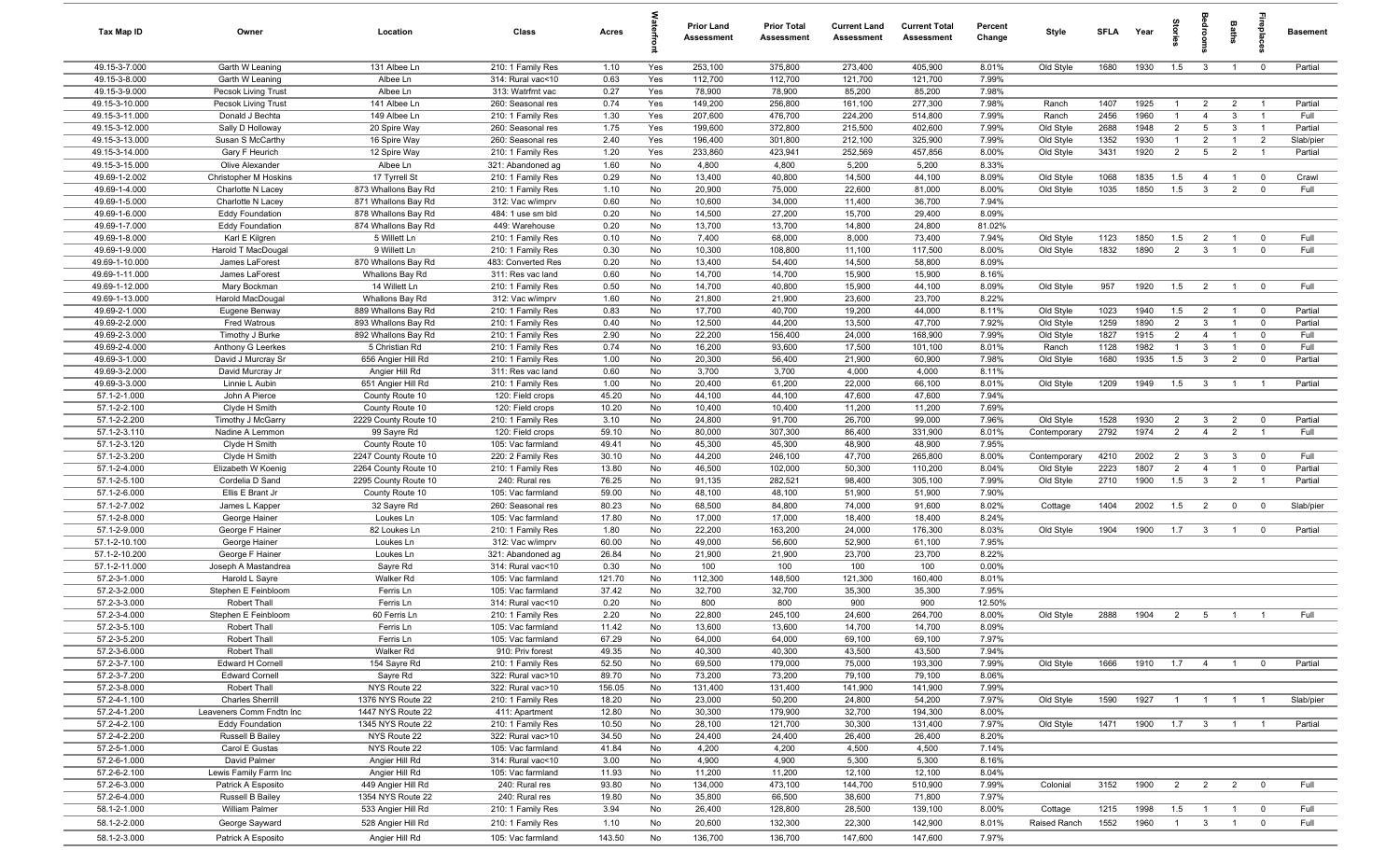| Tax Map ID                       | Owner                                       | Location                                   | Class                                  | Acres           |            | <b>Prior Land</b><br>Assessment | <b>Prior Total</b><br>Assessment | <b>Current Land</b><br>Assessment | <b>Current Total</b><br>Assessment | Percent<br>Change | Style        | <b>SFLA</b> | Year | prie           |                         | Baths          |                         | <b>Basement</b> |
|----------------------------------|---------------------------------------------|--------------------------------------------|----------------------------------------|-----------------|------------|---------------------------------|----------------------------------|-----------------------------------|------------------------------------|-------------------|--------------|-------------|------|----------------|-------------------------|----------------|-------------------------|-----------------|
| 49.15-3-7.000                    | Garth W Leaning                             | 131 Albee Ln                               | 210: 1 Family Res                      | 1.10            | Yes        | 253,100                         | 375,800                          | 273,400                           | 405,900                            | 8.01%             | Old Style    | 1680        | 1930 | 1.5            | $\mathbf{3}$            | $\overline{1}$ | $\overline{0}$          | Partial         |
| 49.15-3-8.000                    | Garth W Leaning                             | Albee Ln                                   | 314: Rural vac<10                      | 0.63            | Yes        | 112,700                         | 112,700                          | 121,700                           | 121,700                            | 7.99%             |              |             |      |                |                         |                |                         |                 |
| 49.15-3-9.000<br>49.15-3-10.000  | Pecsok Living Trust                         | Albee Ln<br>141 Albee Ln                   | 313: Watrfrnt vac                      | 0.27<br>0.74    | Yes<br>Yes | 78,900<br>149,200               | 78,900<br>256,800                | 85,200<br>161,100                 | 85,200<br>277,300                  | 7.98%<br>7.98%    | Ranch        | 1407        | 1925 | $\overline{1}$ | $\overline{2}$          | $\overline{2}$ | $\overline{1}$          | Partial         |
| 49.15-3-11.000                   | Pecsok Living Trust<br>Donald J Bechta      | 149 Albee Ln                               | 260: Seasonal res<br>210: 1 Family Res | 1.30            | Yes        | 207,600                         | 476,700                          | 224,200                           | 514,800                            | 7.99%             | Ranch        | 2456        | 1960 | $\mathbf{1}$   | $\overline{4}$          | $\mathbf{3}$   | $\overline{1}$          | Full            |
| 49.15-3-12.000                   | Sally D Holloway                            | 20 Spire Way                               | 260: Seasonal res                      | 1.75            | Yes        | 199,600                         | 372,800                          | 215,500                           | 402,600                            | 7.99%             | Old Style    | 2688        | 1948 | $\overline{2}$ | $5\overline{)}$         | $\mathbf{3}$   | $\overline{1}$          | Partial         |
| 49.15-3-13.000                   | Susan S McCarthy                            | 16 Spire Way                               | 260: Seasonal res                      | 2.40            | Yes        | 196,400                         | 301,800                          | 212,100                           | 325,900                            | 7.99%             | Old Style    | 1352        | 1930 | $\overline{1}$ | $\overline{2}$          | $\overline{1}$ | $\overline{2}$          | Slab/pier       |
| 49.15-3-14.000                   | Gary F Heurich                              | 12 Spire Way                               | 210: 1 Family Res                      | 1.20            | Yes        | 233,860                         | 423,941                          | 252,569                           | 457,856                            | 8.00%             | Old Style    | 3431        | 1920 | $\overline{2}$ | $5\overline{5}$         | $\overline{2}$ | $\overline{1}$          | Partial         |
| 49.15-3-15.000                   | Olive Alexander                             | Albee Ln                                   | 321: Abandoned ag                      | 1.60            | No         | 4,800                           | 4,800                            | 5,200                             | 5,200                              | 8.33%             |              |             |      |                |                         |                |                         |                 |
| 49.69-1-2.002                    | Christopher M Hoskins                       | 17 Tyrrell St                              | 210: 1 Family Res                      | 0.29            | No         | 13,400                          | 40,800                           | 14,500                            | 44,100                             | 8.09%             | Old Style    | 1068        | 1835 | 1.5            | $\overline{4}$          | $\mathbf{1}$   | $\mathbf 0$             | Crawl           |
| 49.69-1-4.000                    | Charlotte N Lacey                           | 873 Whallons Bay Rd                        | 210: 1 Family Res                      | 1.10            | No         | 20,900                          | 75,000<br>34,000                 | 22,600<br>11,400                  | 81,000                             | 8.00%<br>7.94%    | Old Style    | 1035        | 1850 | 1.5            | $\mathbf{3}$            | $\overline{2}$ | $\mathbf 0$             | Full            |
| 49.69-1-5.000<br>49.69-1-6.000   | Charlotte N Lacey<br><b>Eddy Foundation</b> | 871 Whallons Bay Rd<br>878 Whallons Bay Rd | 312: Vac w/imprv<br>484: 1 use sm bld  | 0.60<br>0.20    | No<br>No   | 10,600<br>14,500                | 27,200                           | 15,700                            | 36,700<br>29,400                   | 8.09%             |              |             |      |                |                         |                |                         |                 |
| 49.69-1-7.000                    | <b>Eddy Foundation</b>                      | 874 Whallons Bay Rd                        | 449: Warehouse                         | 0.20            | No         | 13,700                          | 13,700                           | 14,800                            | 24,800                             | 81.02%            |              |             |      |                |                         |                |                         |                 |
| 49.69-1-8.000                    | Karl E Kilgren                              | 5 Willett Ln                               | 210: 1 Family Res                      | 0.10            | No         | 7,400                           | 68,000                           | 8,000                             | 73,400                             | 7.94%             | Old Style    | 1123        | 1850 | 1.5            | $\overline{2}$          | $\overline{1}$ | $\mathbf 0$             | Full            |
| 49.69-1-9.000                    | Harold T MacDougal                          | 9 Willett Ln                               | 210: 1 Family Res                      | 0.30            | No         | 10,300                          | 108,800                          | 11,100                            | 117,500                            | 8.00%             | Old Style    | 1832        | 1890 | $\overline{2}$ | $\mathbf{3}$            | $\overline{1}$ | $\mathbf 0$             | Full            |
| 49.69-1-10.000                   | James LaForest                              | 870 Whallons Bay Rd                        | 483: Converted Res                     | 0.20            | No         | 13,400                          | 54,400                           | 14,500                            | 58,800                             | 8.09%             |              |             |      |                |                         |                |                         |                 |
| 49.69-1-11.000                   | James LaForest                              | Whallons Bay Rd                            | 311: Res vac land                      | 0.60            | No         | 14,700                          | 14,700                           | 15,900                            | 15,900                             | 8.16%             |              |             |      |                |                         |                |                         |                 |
| 49.69-1-12.000<br>49.69-1-13.000 | Mary Bockman                                | 14 Willett Ln                              | 210: 1 Family Res                      | 0.50            | No<br>No   | 14,700<br>21,800                | 40,800<br>21,900                 | 15,900                            | 44,100                             | 8.09%<br>8.22%    | Old Style    | 957         | 1920 | 1.5            | $\overline{2}$          | $\overline{1}$ | $\overline{0}$          | Full            |
| 49.69-2-1.000                    | Harold MacDougal<br>Eugene Benway           | Whallons Bay Rd<br>889 Whallons Bay Rd     | 312: Vac w/imprv<br>210: 1 Family Res  | 1.60<br>0.83    | No         | 17,700                          | 40,700                           | 23,600<br>19,200                  | 23,700<br>44,000                   | 8.11%             | Old Style    | 1023        | 1940 | 1.5            | $\overline{2}$          | $\overline{1}$ | $\mathbf 0$             | Partial         |
| 49.69-2-2.000                    | Fred Watrous                                | 893 Whallons Bay Rd                        | 210: 1 Family Res                      | 0.40            | No         | 12,500                          | 44,200                           | 13,500                            | 47,700                             | 7.92%             | Old Style    | 1259        | 1890 | $\overline{2}$ | 3                       |                | $\mathbf 0$             | Partial         |
| 49.69-2-3.000                    | Timothy J Burke                             | 892 Whallons Bay Rd                        | 210: 1 Family Res                      | 2.90            | No         | 22,200                          | 156,400                          | 24,000                            | 168,900                            | 7.99%             | Old Style    | 1827        | 1915 | $\overline{2}$ | $\overline{4}$          | $\overline{1}$ | $\mathbf 0$             | Full            |
| 49.69-2-4.000                    | Anthony G Leerkes                           | 5 Christian Rd                             | 210: 1 Family Res                      | 0.74            | No         | 16,200                          | 93,600                           | 17,500                            | 101,100                            | 8.01%             | Ranch        | 1128        | 1982 | $\overline{1}$ | 3                       |                | $^{\circ}$              | Full            |
| 49.69-3-1.000                    | David J Murcray Sr                          | 656 Angier Hill Rd                         | 210: 1 Family Res                      | 1.00            | No         | 20,300                          | 56,400                           | 21,900                            | 60,900                             | 7.98%             | Old Style    | 1680        | 1935 | 1.5            | $\mathbf{3}$            | $\overline{2}$ | $\mathbf 0$             | Partial         |
| 49.69-3-2.000                    | David Murcray Jr                            | Angier Hill Rd                             | 311: Res vac land                      | 0.60            | No         | 3,700                           | 3,700                            | 4,000                             | 4,000                              | 8.11%             |              |             |      |                |                         |                |                         |                 |
| 49.69-3-3.000<br>57.1-2-1.000    | Linnie L Aubin<br>John A Pierce             | 651 Angier Hill Rd<br>County Route 10      | 210: 1 Family Res<br>120: Field crops  | 1.00<br>45.20   | No<br>No   | 20,400<br>44,100                | 61,200<br>44,100                 | 22,000<br>47,600                  | 66,100<br>47,600                   | 8.01%<br>7.94%    | Old Style    | 1209        | 1949 | 1.5            | $\mathbf{3}$            | $\overline{1}$ | $\overline{1}$          | Partial         |
| 57.1-2-2.100                     | Clyde H Smith                               | County Route 10                            | 120: Field crops                       | 10.20           | No         | 10,400                          | 10,400                           | 11,200                            | 11,200                             | 7.69%             |              |             |      |                |                         |                |                         |                 |
| 57.1-2-2.200                     | Timothy J McGarry                           | 2229 County Route 10                       | 210: 1 Family Res                      | 3.10            | No         | 24,800                          | 91,700                           | 26,700                            | 99,000                             | 7.96%             | Old Style    | 1528        | 1930 | $\overline{2}$ | $\mathbf{3}$            | $\overline{2}$ | $\mathbf 0$             | Partial         |
| 57.1-2-3.110                     | Nadine A Lemmon                             | 99 Sayre Rd                                | 120: Field crops                       | 59.10           | No         | 80,000                          | 307,300                          | 86,400                            | 331,900                            | 8.01%             | Contemporary | 2792        | 1974 | 2              | $\overline{4}$          | $\overline{2}$ | $\overline{1}$          | Full            |
| 57.1-2-3.120                     | Clyde H Smith                               | County Route 10                            | 105: Vac farmland                      | 49.41           | No         | 45,300                          | 45,300                           | 48,900                            | 48,900                             | 7.95%             |              |             |      |                |                         |                |                         |                 |
| 57.1-2-3.200                     | Clyde H Smith                               | 2247 County Route 10                       | 220: 2 Family Res                      | 30.10           | No         | 44,200                          | 246,100                          | 47,700                            | 265,800                            | 8.00%             | Contemporary | 4210        | 2002 | $\overline{2}$ | $\overline{\mathbf{3}}$ | $\mathbf{3}$   | $\mathbf 0$             | Full            |
| 57.1-2-4.000                     | Elizabeth W Koenig                          | 2264 County Route 10                       | 210: 1 Family Res                      | 13.80           | No         | 46,500                          | 102,000                          | 50,300                            | 110,200                            | 8.04%             | Old Style    | 2223        | 1807 | $\overline{2}$ | $\overline{4}$          | $\overline{1}$ | $\mathbf 0$             | Partial         |
| 57.1-2-5.100<br>57.1-2-6.000     | Cordelia D Sand<br>Ellis E Brant Jr         | 2295 County Route 10                       | 240: Rural res<br>105: Vac farmland    | 76.25<br>59.00  | No<br>No   | 91,135<br>48,100                | 282,521<br>48,100                | 98,400<br>51,900                  | 305,100<br>51,900                  | 7.99%<br>7.90%    | Old Style    | 2710        | 1900 | 1.5            | $\mathbf{3}$            | $\overline{2}$ | $\overline{1}$          | Partial         |
| 57.1-2-7.002                     | James L Kapper                              | County Route 10<br>32 Sayre Rd             | 260: Seasonal res                      | 80.23           | No         | 68,500                          | 84,800                           | 74,000                            | 91,600                             | 8.02%             | Cottage      | 1404        | 2002 | 1.5            | $\overline{2}$          | $\mathbf 0$    | $\mathbf{0}$            | Slab/pier       |
| 57.1-2-8.000                     | George Hainer                               | Loukes Ln                                  | 105: Vac farmland                      | 17.80           | No         | 17,000                          | 17,000                           | 18,400                            | 18,400                             | 8.24%             |              |             |      |                |                         |                |                         |                 |
| 57.1-2-9.000                     | George F Hainer                             | 82 Loukes Ln                               | 210: 1 Family Res                      | 1.80            | No         | 22,200                          | 163,200                          | 24,000                            | 176,300                            | 8.03%             | Old Style    | 1904        | 1900 | 1.7            | $\mathbf{3}$            | $\overline{1}$ | $^{\circ}$              | Partial         |
| 57.1-2-10.100                    | George Hainer                               | Loukes Ln                                  | 312: Vac w/imprv                       | 60.00           | No         | 49,000                          | 56,600                           | 52,900                            | 61,100                             | 7.95%             |              |             |      |                |                         |                |                         |                 |
| 57.1-2-10.200                    | George F Hainer                             | Loukes Ln                                  | 321: Abandoned ag                      | 26.84           | No         | 21,900                          | 21,900                           | 23,700                            | 23,700                             | 8.22%             |              |             |      |                |                         |                |                         |                 |
| 57.1-2-11.000                    | Joseph A Mastandrea                         | Sayre Rd                                   | 314: Rural vac<10                      | 0.30            | No         | 100                             | 100                              | 100                               | 100                                | 0.00%             |              |             |      |                |                         |                |                         |                 |
| 57.2-3-1.000<br>57.2-3-2.000     | Harold L Sayre<br>Stephen E Feinbloom       | Walker Rd<br>Ferris Ln                     | 105: Vac farmland<br>105: Vac farmland | 121.70<br>37.42 | No<br>No   | 112,300<br>32,700               | 148,500<br>32,700                | 121,300<br>35,300                 | 160,400<br>35,300                  | 8.01%<br>7.95%    |              |             |      |                |                         |                |                         |                 |
| 57.2-3-3.000                     | Robert Thall                                | Ferris Ln                                  | 314: Rural vac<10                      | 0.20            | No         | 800                             | 800                              | 900                               | 900                                | 12.50%            |              |             |      |                |                         |                |                         |                 |
| 57.2-3-4.000                     | Stephen E Feinbloom                         | 60 Ferris Ln                               | 210: 1 Family Res                      | 2.20            | No         | 22,800                          | 245,100                          | 24,600                            | 264,700                            | 8.00%             | Old Style    | 2888        | 1904 | $\overline{2}$ | 5                       | $\overline{1}$ | $\overline{1}$          | Full            |
| 57.2-3-5.100                     | Robert Thall                                | Ferris Ln                                  | 105: Vac farmland                      | 11.42           | No         | 13,600                          | 13,600                           | 14,700                            | 14,700                             | 8.09%             |              |             |      |                |                         |                |                         |                 |
| 57.2-3-5.200                     | Robert Thall                                | Ferris Ln                                  | 105: Vac farmland                      | 67.29           | No         | 64,000                          | 64,000                           | 69,100                            | 69,100                             | 7.97%             |              |             |      |                |                         |                |                         |                 |
| 57.2-3-6.000                     | Robert Thall                                | Walker Rd                                  | 910: Priv forest                       | 49.35           | No         | 40,300                          | 40,300                           | 43,500                            | 43,500                             | 7.94%             |              |             |      |                |                         |                |                         |                 |
| 57.2-3-7.100                     | Edward H Cornell                            | 154 Sayre Rd                               | 210: 1 Family Res                      | 52.50           | No         | 69,500                          | 179,000                          | 75,000                            | 193,300                            | 7.99%             | Old Style    | 1666        | 1910 | 1.7            | $\overline{4}$          | $\overline{1}$ | $\mathbf 0$             | Partial         |
| 57.2-3-7.200<br>57.2-3-8.000     | <b>Edward Cornell</b><br>Robert Thall       | Sayre Rd<br>NYS Route 22                   | 322: Rural vac>10<br>322: Rural vac>10 | 89.70<br>156.05 | No<br>No   | 73,200<br>131,400               | 73,200<br>131,400                | 79,100<br>141,900                 | 79,100<br>141,900                  | 8.06%<br>7.99%    |              |             |      |                |                         |                |                         |                 |
| 57.2-4-1.100                     | <b>Charles Sherrill</b>                     | 1376 NYS Route 22                          | 210: 1 Family Res                      | 18.20           | No         | 23,000                          | 50,200                           | 24,800                            | 54,200                             | 7.97%             | Old Style    | 1590        | 1927 | $\overline{1}$ | $\overline{1}$          | $\overline{1}$ | $\overline{1}$          | Slab/pier       |
| 57.2-4-1.200                     | Leaveners Comm Fndtn Inc                    | 1447 NYS Route 22                          | 411: Apartment                         | 12.80           | No         | 30,300                          | 179,900                          | 32,700                            | 194,300                            | 8.00%             |              |             |      |                |                         |                |                         |                 |
| 57.2-4-2.100                     | <b>Eddy Foundation</b>                      | 1345 NYS Route 22                          | 210: 1 Family Res                      | 10.50           | No         | 28,100                          | 121,700                          | 30,300                            | 131,400                            | 7.97%             | Old Style    | 1471        | 1900 | 1.7            | $\overline{\mathbf{3}}$ | $\overline{1}$ | $\overline{1}$          | Partial         |
| 57.2-4-2.200                     | Russell B Bailey                            | NYS Route 22                               | 322: Rural vac>10                      | 34.50           | No         | 24,400                          | 24,400                           | 26,400                            | 26,400                             | 8.20%             |              |             |      |                |                         |                |                         |                 |
| 57.2-5-1.000                     | Carol E Gustas                              | NYS Route 22                               | 105: Vac farmland                      | 41.84           | No         | 4,200                           | 4,200                            | 4,500                             | 4,500                              | 7.14%             |              |             |      |                |                         |                |                         |                 |
| 57.2-6-1.000                     | David Palmer                                | Angier Hill Rd                             | 314: Rural vac<10                      | 3.00            | No         | 4,900                           | 4,900                            | 5,300                             | 5,300                              | 8.16%             |              |             |      |                |                         |                |                         |                 |
| 57.2-6-2.100                     | Lewis Family Farm Inc                       | Angier Hill Rd                             | 105: Vac farmland                      | 11.93           | No         | 11,200                          | 11,200                           | 12,100                            | 12,100                             | 8.04%             |              |             |      |                |                         |                |                         |                 |
| 57.2-6-3.000<br>57.2-6-4.000     | Patrick A Esposito<br>Russell B Bailey      | 449 Angier Hill Rd<br>1354 NYS Route 22    | 240: Rural res<br>240: Rural res       | 93.80<br>19.80  | No<br>No   | 134,000<br>35,800               | 473,100<br>66,500                | 144,700<br>38,600                 | 510,900<br>71,800                  | 7.99%<br>7.97%    | Colonial     | 3152        | 1900 | $\overline{2}$ |                         | $2 \t 2$       | $\overline{0}$          | Full            |
| 58.1-2-1.000                     | William Palmer                              | 533 Angier Hill Rd                         | 210: 1 Family Res                      | 3.94            | No         | 26,400                          | 128,800                          | 28,500                            | 139,100                            | 8.00%             | Cottage      | 1215        | 1998 | 1.5            | $\overline{1}$          | $\overline{1}$ | $\overline{\mathbf{0}}$ | Full            |
| 58.1-2-2.000                     | George Sayward                              | 528 Angier Hill Rd                         | 210: 1 Family Res                      | 1.10            | No         | 20,600                          | 132,300                          | 22,300                            | 142,900                            | 8.01%             | Raised Ranch | 1552        | 1960 | $\overline{1}$ | $\overline{3}$          | $\overline{1}$ | $\mathbf 0$             | Full            |
| 58.1-2-3.000                     | Patrick A Esposito                          | Angier Hill Rd                             | 105: Vac farmland                      | 143.50          | No         | 136,700                         | 136,700                          | 147,600                           | 147,600                            | 7.97%             |              |             |      |                |                         |                |                         |                 |